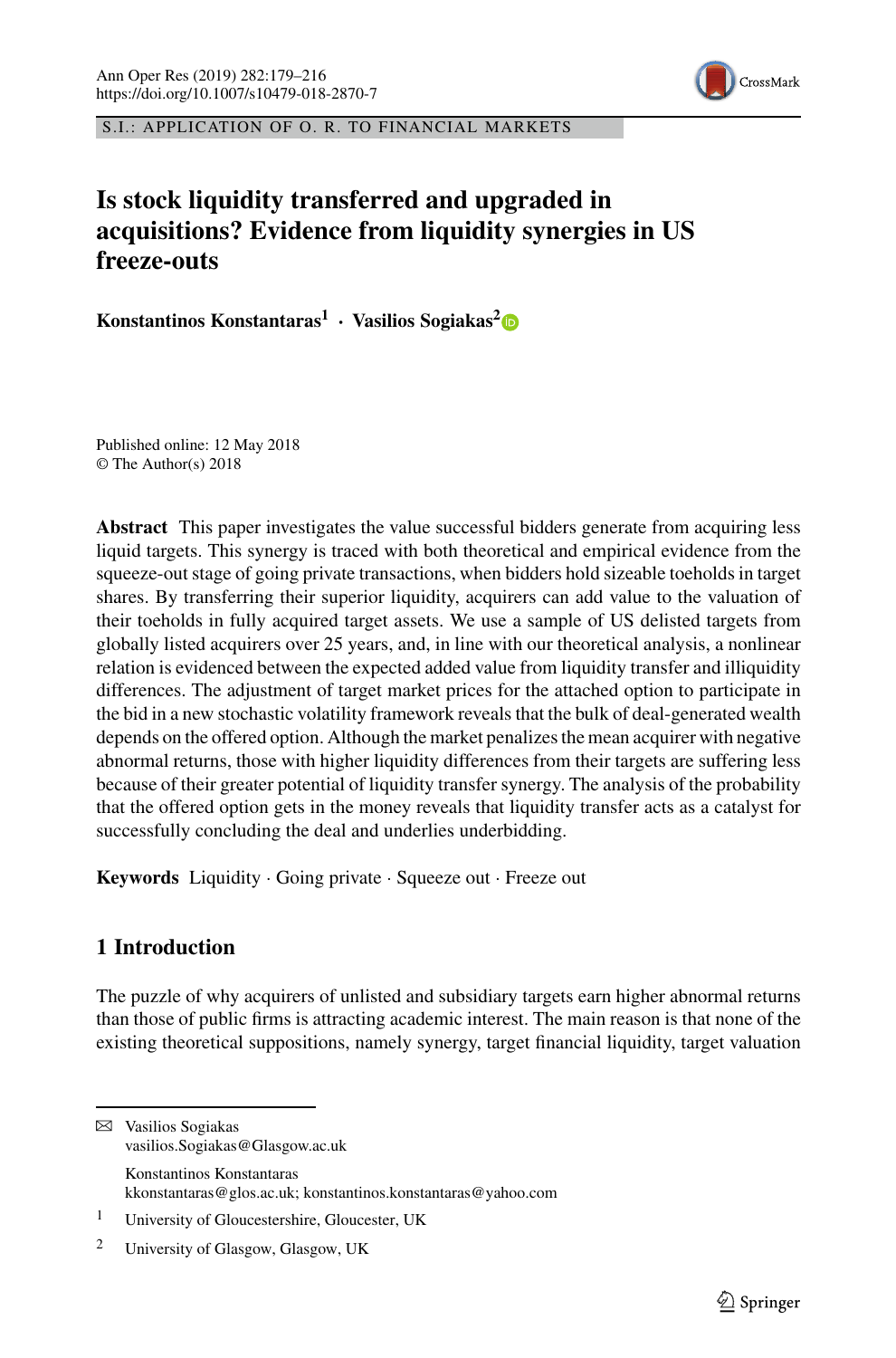

S.I.: APPLICATION OF O. R. TO FINANCIAL MARKETS

# **Is stock liquidity transferred and upgraded in acquisitions? Evidence from liquidity synergies in US freeze-outs**

**Konstantinos Konstantaras1 · Vasilios Sogiakas[2](http://orcid.org/0000-0002-1641-6129)**

Published online: 12 May 2018 © The Author(s) 2018

**Abstract** This paper investigates the value successful bidders generate from acquiring less liquid targets. This synergy is traced with both theoretical and empirical evidence from the squeeze-out stage of going private transactions, when bidders hold sizeable toeholds in target shares. By transferring their superior liquidity, acquirers can add value to the valuation of their toeholds in fully acquired target assets. We use a sample of US delisted targets from globally listed acquirers over 25 years, and, in line with our theoretical analysis, a nonlinear relation is evidenced between the expected added value from liquidity transfer and illiquidity differences. The adjustment of target market prices for the attached option to participate in the bid in a new stochastic volatility framework reveals that the bulk of deal-generated wealth depends on the offered option. Although the market penalizes the mean acquirer with negative abnormal returns, those with higher liquidity differences from their targets are suffering less because of their greater potential of liquidity transfer synergy. The analysis of the probability that the offered option gets in the money reveals that liquidity transfer acts as a catalyst for successfully concluding the deal and underlies underbidding.

**Keywords** Liquidity · Going private · Squeeze out · Freeze out

### **1 Introduction**

The puzzle of why acquirers of unlisted and subsidiary targets earn higher abnormal returns than those of public firms is attracting academic interest. The main reason is that none of the existing theoretical suppositions, namely synergy, target financial liquidity, target valuation

 $\boxtimes$  Vasilios Sogiakas vasilios.Sogiakas@Glasgow.ac.uk Konstantinos Konstantaras kkonstantaras@glos.ac.uk; konstantinos.konstantaras@yahoo.com

<sup>1</sup> University of Gloucestershire, Gloucester, UK

<sup>2</sup> University of Glasgow, Glasgow, UK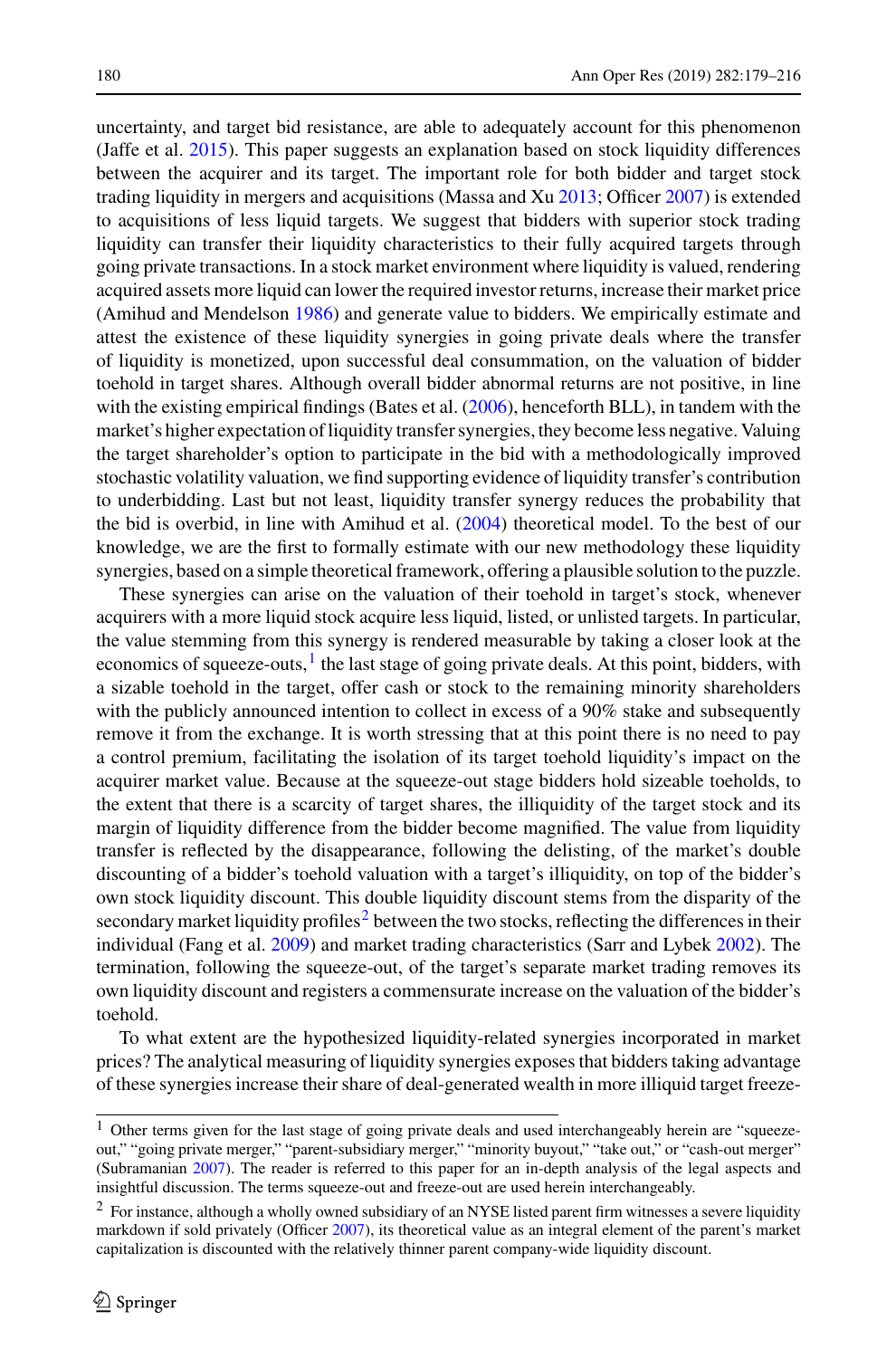uncertainty, and target bid resistance, are able to adequately account for this phenomenon (Jaffe et al. [2015\)](#page-36-0). This paper suggests an explanation based on stock liquidity differences between the acquirer and its target. The important role for both bidder and target stock trading liquidity in mergers and acquisitions (Massa and Xu [2013;](#page-36-1) Officer [2007\)](#page-36-2) is extended to acquisitions of less liquid targets. We suggest that bidders with superior stock trading liquidity can transfer their liquidity characteristics to their fully acquired targets through going private transactions. In a stock market environment where liquidity is valued, rendering acquired assets more liquid can lower the required investor returns, increase their market price (Amihud and Mendelson [1986\)](#page-34-0) and generate value to bidders. We empirically estimate and attest the existence of these liquidity synergies in going private deals where the transfer of liquidity is monetized, upon successful deal consummation, on the valuation of bidder toehold in target shares. Although overall bidder abnormal returns are not positive, in line with the existing empirical findings (Bates et al. [\(2006\)](#page-34-1), henceforth BLL), in tandem with the market's higher expectation of liquidity transfer synergies, they become less negative. Valuing the target shareholder's option to participate in the bid with a methodologically improved stochastic volatility valuation, we find supporting evidence of liquidity transfer's contribution to underbidding. Last but not least, liquidity transfer synergy reduces the probability that the bid is overbid, in line with Amihud et al. [\(2004\)](#page-34-2) theoretical model. To the best of our knowledge, we are the first to formally estimate with our new methodology these liquidity synergies, based on a simple theoretical framework, offering a plausible solution to the puzzle.

These synergies can arise on the valuation of their toehold in target's stock, whenever acquirers with a more liquid stock acquire less liquid, listed, or unlisted targets. In particular, the value stemming from this synergy is rendered measurable by taking a closer look at the economics of squeeze-outs[,](#page-1-0) $<sup>1</sup>$  $<sup>1</sup>$  $<sup>1</sup>$  the last stage of going private deals. At this point, bidders, with</sup> a sizable toehold in the target, offer cash or stock to the remaining minority shareholders with the publicly announced intention to collect in excess of a 90% stake and subsequently remove it from the exchange. It is worth stressing that at this point there is no need to pay a control premium, facilitating the isolation of its target toehold liquidity's impact on the acquirer market value. Because at the squeeze-out stage bidders hold sizeable toeholds, to the extent that there is a scarcity of target shares, the illiquidity of the target stock and its margin of liquidity difference from the bidder become magnified. The value from liquidity transfer is reflected by the disappearance, following the delisting, of the market's double discounting of a bidder's toehold valuation with a target's illiquidity, on top of the bidder's own stock liquidity discount. This double liquidity discount stems from the disparity of the [s](#page-1-2)econdary market liquidity profiles<sup>[2](#page-1-3)</sup> between the two stocks, reflecting the differences in their individual (Fang et al. [2009\)](#page-35-0) and market trading characteristics (Sarr and Lybek [2002\)](#page-36-3). The termination, following the squeeze-out, of the target's separate market trading removes its own liquidity discount and registers a commensurate increase on the valuation of the bidder's toehold.

To what extent are the hypothesized liquidity-related synergies incorporated in market prices? The analytical measuring of liquidity synergies exposes that bidders taking advantage of these synergies increase their share of deal-generated wealth in more illiquid target freeze-

<span id="page-1-1"></span><span id="page-1-0"></span><sup>&</sup>lt;sup>1</sup> Other terms given for the last stage of going private deals and used interchangeably herein are "squeezeout," "going private merger," "parent-subsidiary merger," "minority buyout," "take out," or "cash-out merger" (Subramanian [2007\)](#page-37-0). The reader is referred to this paper for an in-depth analysis of the legal aspects and insightful discussion. The terms squeeze-out and freeze-out are used herein interchangeably.

<span id="page-1-3"></span><span id="page-1-2"></span> $2$  For instance, although a wholly owned subsidiary of an NYSE listed parent firm witnesses a severe liquidity markdown if sold privately (Officer [2007\)](#page-36-2), its theoretical value as an integral element of the parent's market capitalization is discounted with the relatively thinner parent company-wide liquidity discount.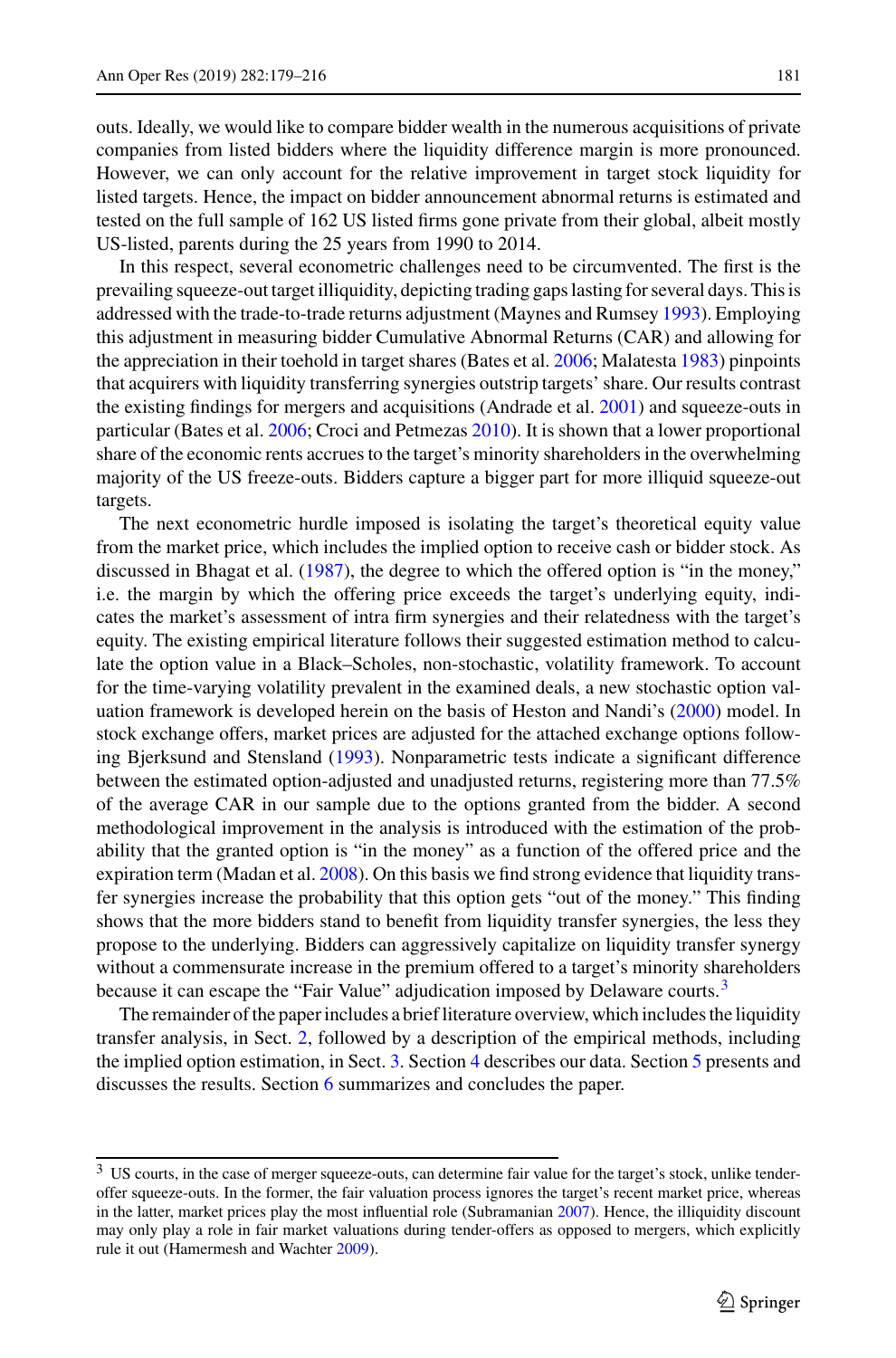outs. Ideally, we would like to compare bidder wealth in the numerous acquisitions of private companies from listed bidders where the liquidity difference margin is more pronounced. However, we can only account for the relative improvement in target stock liquidity for listed targets. Hence, the impact on bidder announcement abnormal returns is estimated and tested on the full sample of 162 US listed firms gone private from their global, albeit mostly US-listed, parents during the 25 years from 1990 to 2014.

In this respect, several econometric challenges need to be circumvented. The first is the prevailing squeeze-out target illiquidity, depicting trading gaps lasting for several days. This is addressed with the trade-to-trade returns adjustment (Maynes and Rumsey [1993\)](#page-36-4). Employing this adjustment in measuring bidder Cumulative Abnormal Returns (CAR) and allowing for the appreciation in their toehold in target shares (Bates et al. [2006;](#page-34-1) Malatesta [1983\)](#page-36-5) pinpoints that acquirers with liquidity transferring synergies outstrip targets' share. Our results contrast the existing findings for mergers and acquisitions (Andrade et al. [2001\)](#page-34-3) and squeeze-outs in particular (Bates et al. [2006;](#page-34-1) Croci and Petmezas [2010\)](#page-35-1). It is shown that a lower proportional share of the economic rents accrues to the target's minority shareholders in the overwhelming majority of the US freeze-outs. Bidders capture a bigger part for more illiquid squeeze-out targets.

The next econometric hurdle imposed is isolating the target's theoretical equity value from the market price, which includes the implied option to receive cash or bidder stock. As discussed in Bhagat et al. [\(1987\)](#page-35-2), the degree to which the offered option is "in the money," i.e. the margin by which the offering price exceeds the target's underlying equity, indicates the market's assessment of intra firm synergies and their relatedness with the target's equity. The existing empirical literature follows their suggested estimation method to calculate the option value in a Black–Scholes, non-stochastic, volatility framework. To account for the time-varying volatility prevalent in the examined deals, a new stochastic option valuation framework is developed herein on the basis of Heston and Nandi's [\(2000\)](#page-36-6) model. In stock exchange offers, market prices are adjusted for the attached exchange options following Bjerksund and Stensland [\(1993\)](#page-35-3). Nonparametric tests indicate a significant difference between the estimated option-adjusted and unadjusted returns, registering more than 77.5% of the average CAR in our sample due to the options granted from the bidder. A second methodological improvement in the analysis is introduced with the estimation of the probability that the granted option is "in the money" as a function of the offered price and the expiration term (Madan et al. [2008\)](#page-36-7). On this basis we find strong evidence that liquidity transfer synergies increase the probability that this option gets "out of the money." This finding shows that the more bidders stand to benefit from liquidity transfer synergies, the less they propose to the underlying. Bidders can aggressively capitalize on liquidity transfer synergy without a commensurate increase in the premium offered to a target's minority shareholders because it can escape the "Fair Value" adjudication imposed by Delaware courts[.](#page-2-0)<sup>[3](#page-2-1)</sup>

The remainder of the paper includes a brief literature overview, which includes the liquidity transfer analysis, in Sect. [2,](#page-3-0) followed by a description of the empirical methods, including the implied option estimation, in Sect. [3.](#page-8-0) Section [4](#page-12-0) describes our data. Section [5](#page-16-0) presents and discusses the results. Section [6](#page-30-0) summarizes and concludes the paper.

<span id="page-2-1"></span><span id="page-2-0"></span> $3 \text{ US courts}$ , in the case of merger squeeze-outs, can determine fair value for the target's stock, unlike tenderoffer squeeze-outs. In the former, the fair valuation process ignores the target's recent market price, whereas in the latter, market prices play the most influential role (Subramanian [2007\)](#page-37-0). Hence, the illiquidity discount may only play a role in fair market valuations during tender-offers as opposed to mergers, which explicitly rule it out (Hamermesh and Wachter [2009\)](#page-36-8).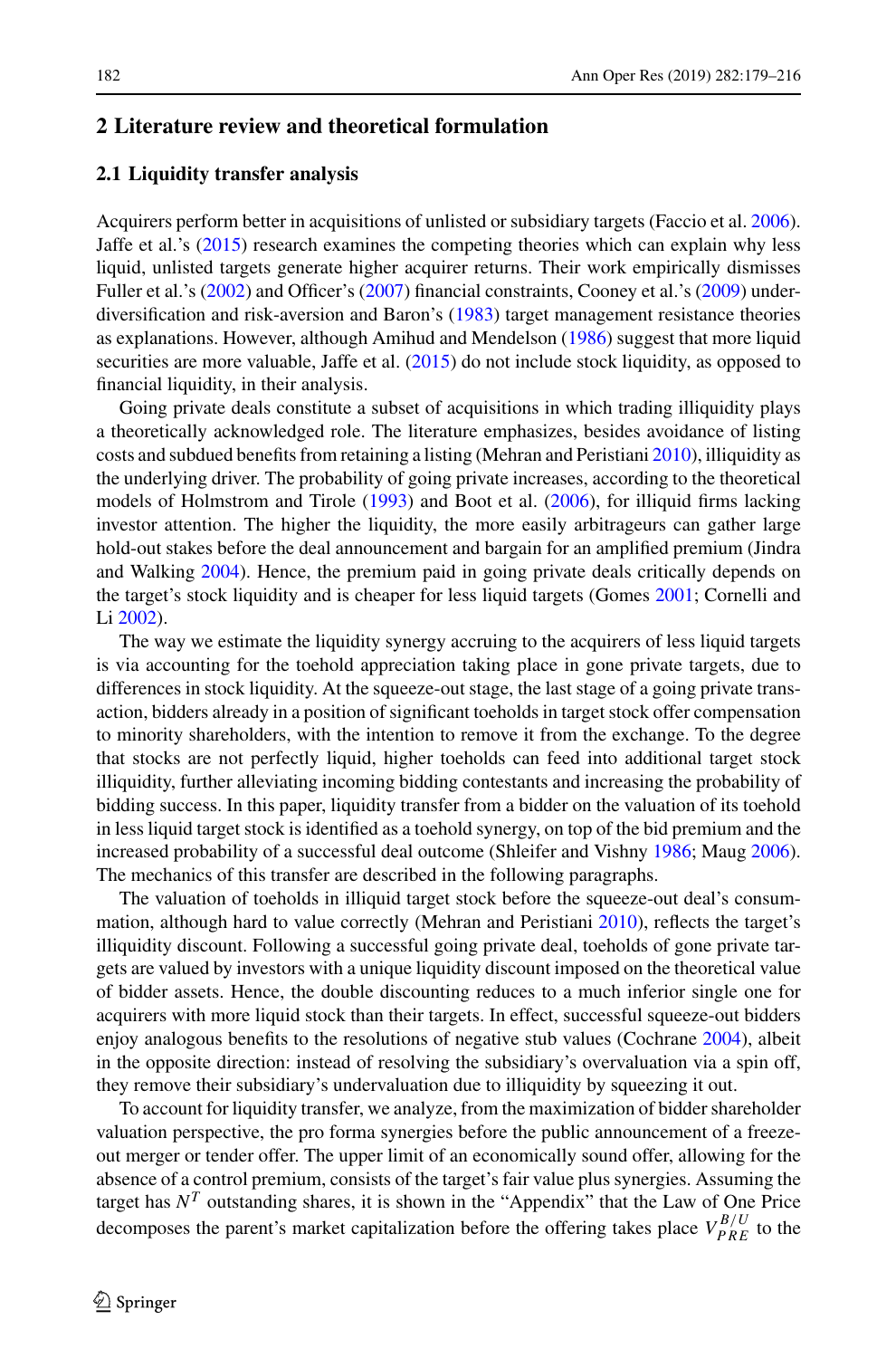#### <span id="page-3-0"></span>**2 Literature review and theoretical formulation**

#### **2.1 Liquidity transfer analysis**

Acquirers perform better in acquisitions of unlisted or subsidiary targets (Faccio et al. [2006\)](#page-35-4). Jaffe et al.'s [\(2015\)](#page-36-0) research examines the competing theories which can explain why less liquid, unlisted targets generate higher acquirer returns. Their work empirically dismisses Fuller et al.'s [\(2002\)](#page-35-5) and Officer's [\(2007\)](#page-36-2) financial constraints, Cooney et al.'s [\(2009\)](#page-35-6) underdiversification and risk-aversion and Baron's [\(1983\)](#page-34-4) target management resistance theories as explanations. However, although Amihud and Mendelson [\(1986\)](#page-34-0) suggest that more liquid securities are more valuable, Jaffe et al. [\(2015\)](#page-36-0) do not include stock liquidity, as opposed to financial liquidity, in their analysis.

Going private deals constitute a subset of acquisitions in which trading illiquidity plays a theoretically acknowledged role. The literature emphasizes, besides avoidance of listing costs and subdued benefits from retaining a listing (Mehran and Peristiani [2010\)](#page-36-9), illiquidity as the underlying driver. The probability of going private increases, according to the theoretical models of Holmstrom and Tirole [\(1993\)](#page-36-10) and Boot et al. [\(2006\)](#page-35-7), for illiquid firms lacking investor attention. The higher the liquidity, the more easily arbitrageurs can gather large hold-out stakes before the deal announcement and bargain for an amplified premium (Jindra and Walking [2004\)](#page-36-11). Hence, the premium paid in going private deals critically depends on the target's stock liquidity and is cheaper for less liquid targets (Gomes [2001;](#page-35-8) Cornelli and Li [2002\)](#page-35-9).

The way we estimate the liquidity synergy accruing to the acquirers of less liquid targets is via accounting for the toehold appreciation taking place in gone private targets, due to differences in stock liquidity. At the squeeze-out stage, the last stage of a going private transaction, bidders already in a position of significant toeholds in target stock offer compensation to minority shareholders, with the intention to remove it from the exchange. To the degree that stocks are not perfectly liquid, higher toeholds can feed into additional target stock illiquidity, further alleviating incoming bidding contestants and increasing the probability of bidding success. In this paper, liquidity transfer from a bidder on the valuation of its toehold in less liquid target stock is identified as a toehold synergy, on top of the bid premium and the increased probability of a successful deal outcome (Shleifer and Vishny [1986;](#page-36-12) Maug [2006\)](#page-36-13). The mechanics of this transfer are described in the following paragraphs.

The valuation of toeholds in illiquid target stock before the squeeze-out deal's consummation, although hard to value correctly (Mehran and Peristiani [2010\)](#page-36-9), reflects the target's illiquidity discount. Following a successful going private deal, toeholds of gone private targets are valued by investors with a unique liquidity discount imposed on the theoretical value of bidder assets. Hence, the double discounting reduces to a much inferior single one for acquirers with more liquid stock than their targets. In effect, successful squeeze-out bidders enjoy analogous benefits to the resolutions of negative stub values (Cochrane [2004\)](#page-35-10), albeit in the opposite direction: instead of resolving the subsidiary's overvaluation via a spin off, they remove their subsidiary's undervaluation due to illiquidity by squeezing it out.

To account for liquidity transfer, we analyze, from the maximization of bidder shareholder valuation perspective, the pro forma synergies before the public announcement of a freezeout merger or tender offer. The upper limit of an economically sound offer, allowing for the absence of a control premium, consists of the target's fair value plus synergies. Assuming the target has  $N<sup>T</sup>$  outstanding shares, it is shown in the "Appendix" that the Law of One Price decomposes the parent's market capitalization before the offering takes place  $V_{PRE}^{B/U}$  to the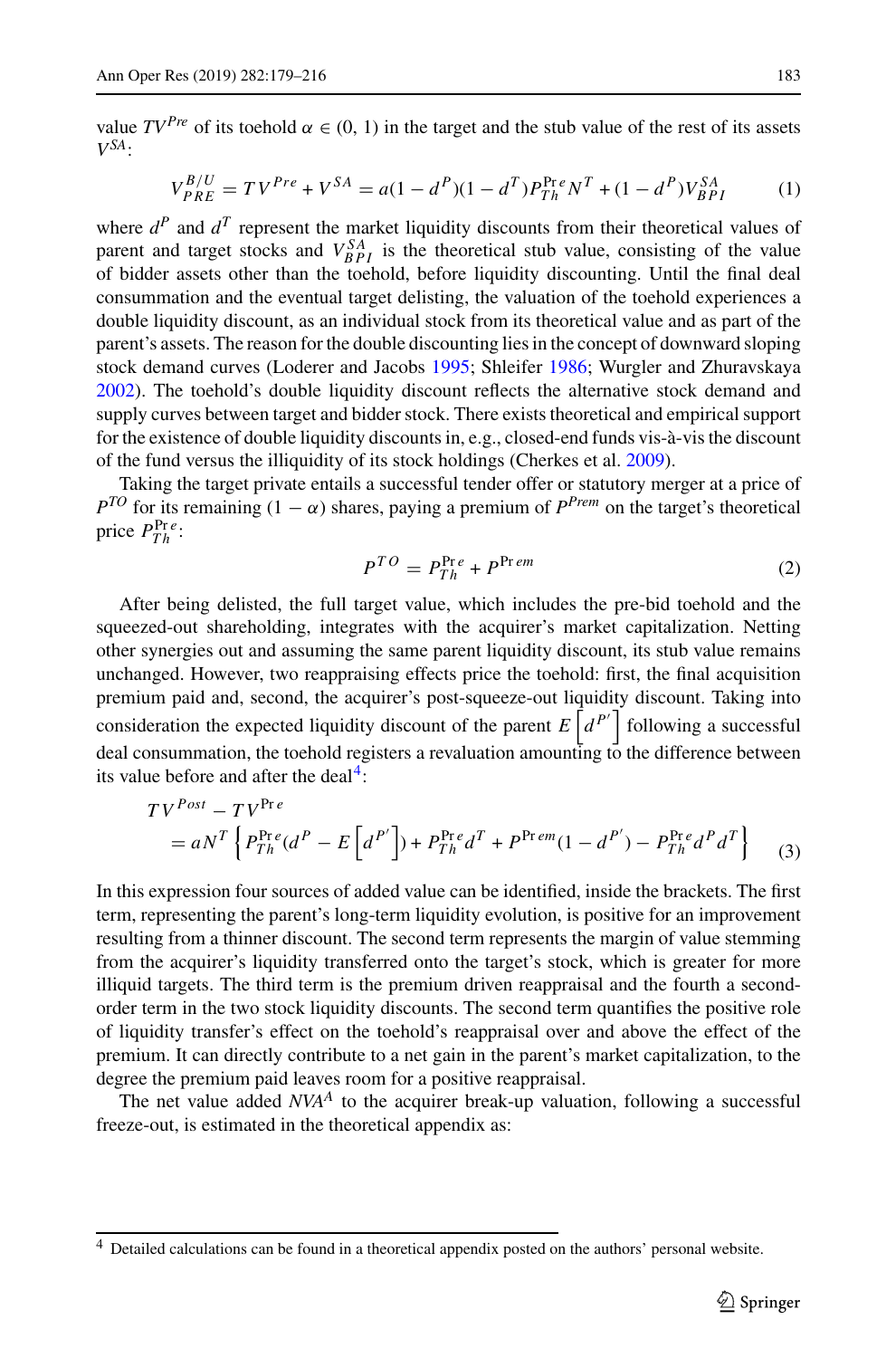value  $TV^{Pre}$  of its toehold  $\alpha \in (0, 1)$  in the target and the stub value of the rest of its assets *VSA*:

$$
V_{PRE}^{B/U} = TV^{Pre} + V^{SA} = a(1 - d^P)(1 - d^T)P_{Th}^{Pre}N^T + (1 - d^P)V_{BPI}^{SA}
$$
 (1)

where  $d<sup>P</sup>$  and  $d<sup>T</sup>$  represent the market liquidity discounts from their theoretical values of parent and target stocks and  $V_{BPI}^{SA}$  is the theoretical stub value, consisting of the value of bidder assets other than the toehold, before liquidity discounting. Until the final deal consummation and the eventual target delisting, the valuation of the toehold experiences a double liquidity discount, as an individual stock from its theoretical value and as part of the parent's assets. The reason for the double discounting lies in the concept of downward sloping stock demand curves (Loderer and Jacobs [1995;](#page-36-14) Shleifer [1986;](#page-36-15) Wurgler and Zhuravskaya [2002\)](#page-37-1). The toehold's double liquidity discount reflects the alternative stock demand and supply curves between target and bidder stock. There exists theoretical and empirical support for the existence of double liquidity discounts in, e.g., closed-end funds vis-à-vis the discount of the fund versus the illiquidity of its stock holdings (Cherkes et al. [2009\)](#page-35-11).

Taking the target private entails a successful tender offer or statutory merger at a price of  $P^{TO}$  for its remaining  $(1 - \alpha)$  shares, paying a premium of  $P^{Prem}$  on the target's theoretical price  $P_{Th}^{\text{Pre}}$ :

<span id="page-4-2"></span>
$$
P^{TO} = P_{Th}^{\text{Pre}} + P^{\text{Prem}} \tag{2}
$$

After being delisted, the full target value, which includes the pre-bid toehold and the squeezed-out shareholding, integrates with the acquirer's market capitalization. Netting other synergies out and assuming the same parent liquidity discount, its stub value remains unchanged. However, two reappraising effects price the toehold: first, the final acquisition premium paid and, second, the acquirer's post-squeeze-out liquidity discount. Taking into consideration the expected liquidity discount of the parent  $E\left[d^{P}\right]$  following a successful deal consummation, the toehold registers a revaluation amounting to the difference between its va[l](#page-4-0)ue before and after the deal<sup>4</sup>:

$$
TV^{Post} - TV^{\text{Pre}} = aN^T \left\{ P_{Th}^{\text{Pre}}(d^P - E\left[d^{P'}\right]) + P_{Th}^{\text{Pre}}d^T + P^{\text{Pre}m}(1 - d^{P'}) - P_{Th}^{\text{Pre}}d^P d^T \right\}
$$
(3)

In this expression four sources of added value can be identified, inside the brackets. The first term, representing the parent's long-term liquidity evolution, is positive for an improvement resulting from a thinner discount. The second term represents the margin of value stemming from the acquirer's liquidity transferred onto the target's stock, which is greater for more illiquid targets. The third term is the premium driven reappraisal and the fourth a secondorder term in the two stock liquidity discounts. The second term quantifies the positive role of liquidity transfer's effect on the toehold's reappraisal over and above the effect of the premium. It can directly contribute to a net gain in the parent's market capitalization, to the degree the premium paid leaves room for a positive reappraisal.

The net value added *NVA<sup>A</sup>* to the acquirer break-up valuation, following a successful freeze-out, is estimated in the theoretical appendix as:

<span id="page-4-1"></span><span id="page-4-0"></span><sup>4</sup> Detailed calculations can be found in a theoretical appendix posted on the authors' personal website.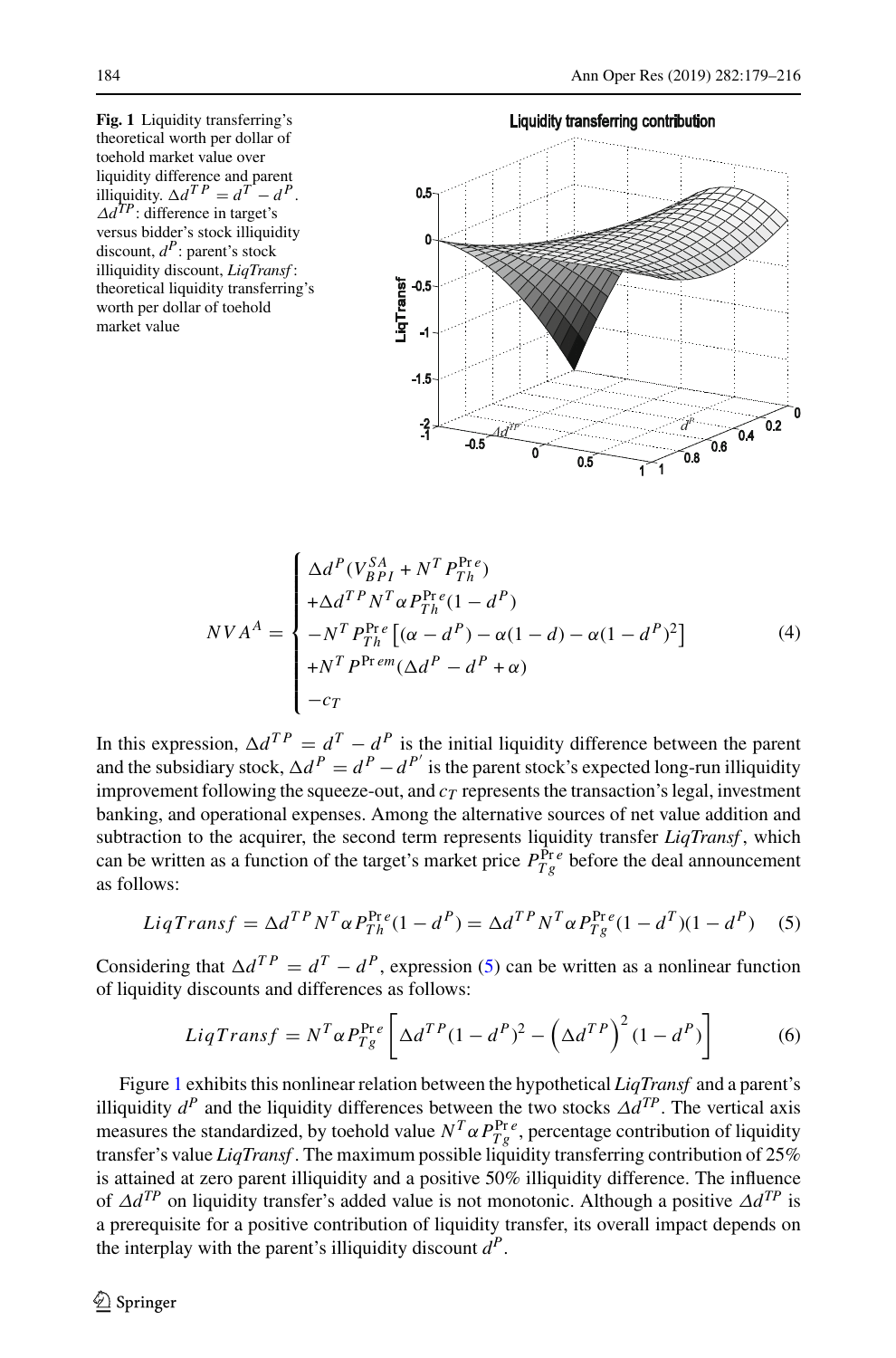<span id="page-5-1"></span>



<span id="page-5-2"></span>
$$
NVA^{A} = \begin{cases} \Delta d^{P}(V_{BPI}^{SA} + N^{T} P_{Th}^{Pre}) \\ + \Delta d^{TP} N^{T} \alpha P_{Th}^{Pre} (1 - d^{P}) \\ - N^{T} P_{Th}^{Pre} \left[ (\alpha - d^{P}) - \alpha (1 - d) - \alpha (1 - d^{P})^{2} \right] \\ + N^{T} P^{Prem} (\Delta d^{P} - d^{P} + \alpha) \\ -c_{T} \end{cases}
$$
(4)

In this expression,  $\Delta d^T P = d^T - d^P$  is the initial liquidity difference between the parent and the subsidiary stock,  $\Delta d^P = d^P - d^{P'}$  is the parent stock's expected long-run illiquidity improvement following the squeeze-out, and  $c_T$  represents the transaction's legal, investment banking, and operational expenses. Among the alternative sources of net value addition and subtraction to the acquirer, the second term represents liquidity transfer *LiqTransf*, which can be written as a function of the target's market price  $P_{T_e}^{\text{Pr } e}$  before the deal announcement as follows:

$$
LiqTransf = \Delta d^{TP} N^T \alpha P_{Th}^{\text{Pre}} (1 - d^P) = \Delta d^{TP} N^T \alpha P_{Tg}^{\text{Pre}} (1 - d^T)(1 - d^P) \tag{5}
$$

Considering that  $\Delta d^{TP} = d^T - d^P$ , expression [\(5\)](#page-5-0) can be written as a nonlinear function of liquidity discounts and differences as follows:

<span id="page-5-3"></span><span id="page-5-0"></span>
$$
LiqTransf = N^T \alpha P_{Tg}^{\text{Pre}} \left[ \Delta d^{TP} (1 - d^P)^2 - \left( \Delta d^{TP} \right)^2 (1 - d^P) \right] \tag{6}
$$

Figure [1](#page-5-1) exhibits this nonlinear relation between the hypothetical *LiqTransf* and a parent's illiquidity  $d^P$  and the liquidity differences between the two stocks  $\Delta d^{TP}$ . The vertical axis measures the standardized, by toehold value  $N^T \alpha P_{Tg}^{\text{Pre}}$ , percentage contribution of liquidity transfer's value *LiqTransf* . The maximum possible liquidity transferring contribution of 25% is attained at zero parent illiquidity and a positive 50% illiquidity difference. The influence of  $\Delta d^{TP}$  on liquidity transfer's added value is not monotonic. Although a positive  $\Delta d^{TP}$  is a prerequisite for a positive contribution of liquidity transfer, its overall impact depends on the interplay with the parent's illiquidity discount  $d^P$ .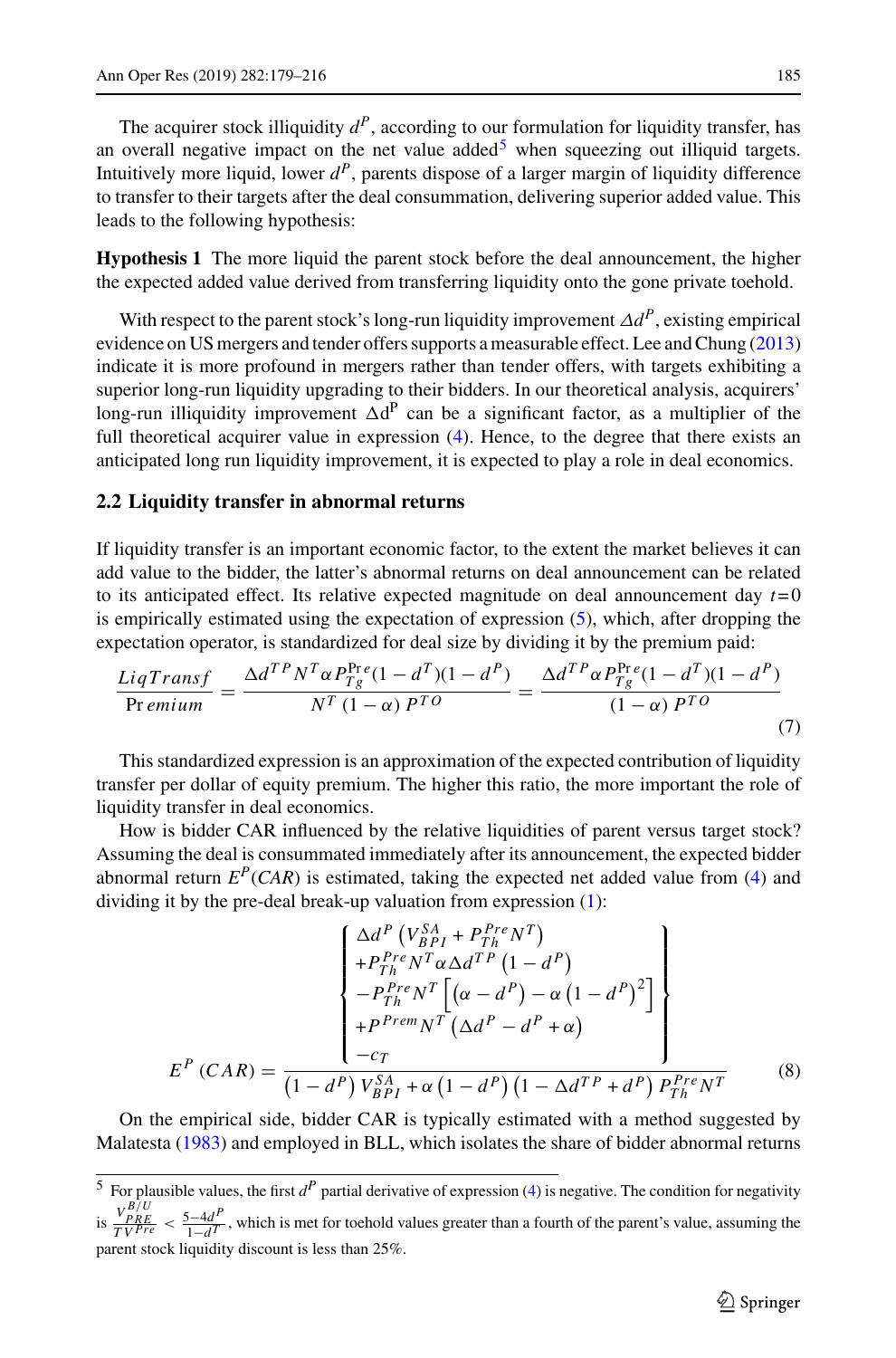<span id="page-6-3"></span>

The acquirer stock illiquidity  $d^P$ , according to our formulation for liquidity transfer, has an overall negative impact on the net value added<sup>[5](#page-6-1)</sup> when squeezing out illiquid targets. Intuitively more liquid, lower  $d^P$ , parents dispose of a larger margin of liquidity difference to transfer to their targets after the deal consummation, delivering superior added value. This leads to the following hypothesis:

**Hypothesis 1** The more liquid the parent stock before the deal announcement, the higher the expected added value derived from transferring liquidity onto the gone private toehold.

With respect to the parent stock's long-run liquidity improvement Δ*dP*, existing empirical evidence on US mergers and tender offers supports a measurable effect. Lee and Chung [\(2013\)](#page-36-16) indicate it is more profound in mergers rather than tender offers, with targets exhibiting a superior long-run liquidity upgrading to their bidders. In our theoretical analysis, acquirers' long-run illiquidity improvement  $\Delta d^P$  can be a significant factor, as a multiplier of the full theoretical acquirer value in expression [\(4\)](#page-5-2). Hence, to the degree that there exists an anticipated long run liquidity improvement, it is expected to play a role in deal economics.

#### **2.2 Liquidity transfer in abnormal returns**

If liquidity transfer is an important economic factor, to the extent the market believes it can add value to the bidder, the latter's abnormal returns on deal announcement can be related to its anticipated effect. Its relative expected magnitude on deal announcement day  $t=0$ is empirically estimated using the expectation of expression [\(5\)](#page-5-0), which, after dropping the expectation operator, is standardized for deal size by dividing it by the premium paid:

$$
\frac{LiqTransf}{Pr\,emium} = \frac{\Delta d^{TP} N^T \alpha P_{Tg}^{Pre}(1 - d^T)(1 - d^P)}{N^T (1 - \alpha) P^{TO}} = \frac{\Delta d^{TP} \alpha P_{Tg}^{Pre}(1 - d^T)(1 - d^P)}{(1 - \alpha) P^{TO}} \tag{7}
$$

This standardized expression is an approximation of the expected contribution of liquidity transfer per dollar of equity premium. The higher this ratio, the more important the role of liquidity transfer in deal economics.

How is bidder CAR influenced by the relative liquidities of parent versus target stock? Assuming the deal is consummated immediately after its announcement, the expected bidder abnormal return  $E^P(CAR)$  is estimated, taking the expected net added value from [\(4\)](#page-5-2) and dividing it by the pre-deal break-up valuation from expression [\(1\)](#page-4-2):

<span id="page-6-2"></span>
$$
E^{P}(CAR) = \frac{\begin{pmatrix} \Delta d^{P} (V_{BPI}^{SA} + P_{Th}^{Pre} N^{T}) \\ + P_{Th}^{Pre} N^{T} \alpha \Delta d^{TP} (1 - d^{P}) \\ - P_{Th}^{Pre} N^{T} [( \alpha - d^{P}) - \alpha (1 - d^{P})^{2} ] \\ + P^{Prem} N^{T} (\Delta d^{P} - d^{P} + \alpha) \end{pmatrix}}{-c_{T}}
$$
\n
$$
E^{P}(CAR) = \frac{1}{(1 - d^{P}) V_{BPI}^{SA} + \alpha (1 - d^{P}) (1 - \Delta d^{TP} + d^{P}) P_{Th}^{Pre} N^{T}}
$$
\n(8)

On the empirical side, bidder CAR is typically estimated with a method suggested by Malatesta [\(1983\)](#page-36-5) and employed in BLL, which isolates the share of bidder abnormal returns

<span id="page-6-1"></span><span id="page-6-0"></span>For plausible values, the first  $d^P$  partial derivative of expression [\(4\)](#page-5-2) is negative. The condition for negativity is  $\frac{V_{PRE}^{B/U}}{TV_{PRE}} < \frac{5-4d^P}{1-d^T}$ , which is met for toehold values greater than a fourth of the parent's value, assuming the parent stock liquidity discount is less than 25%.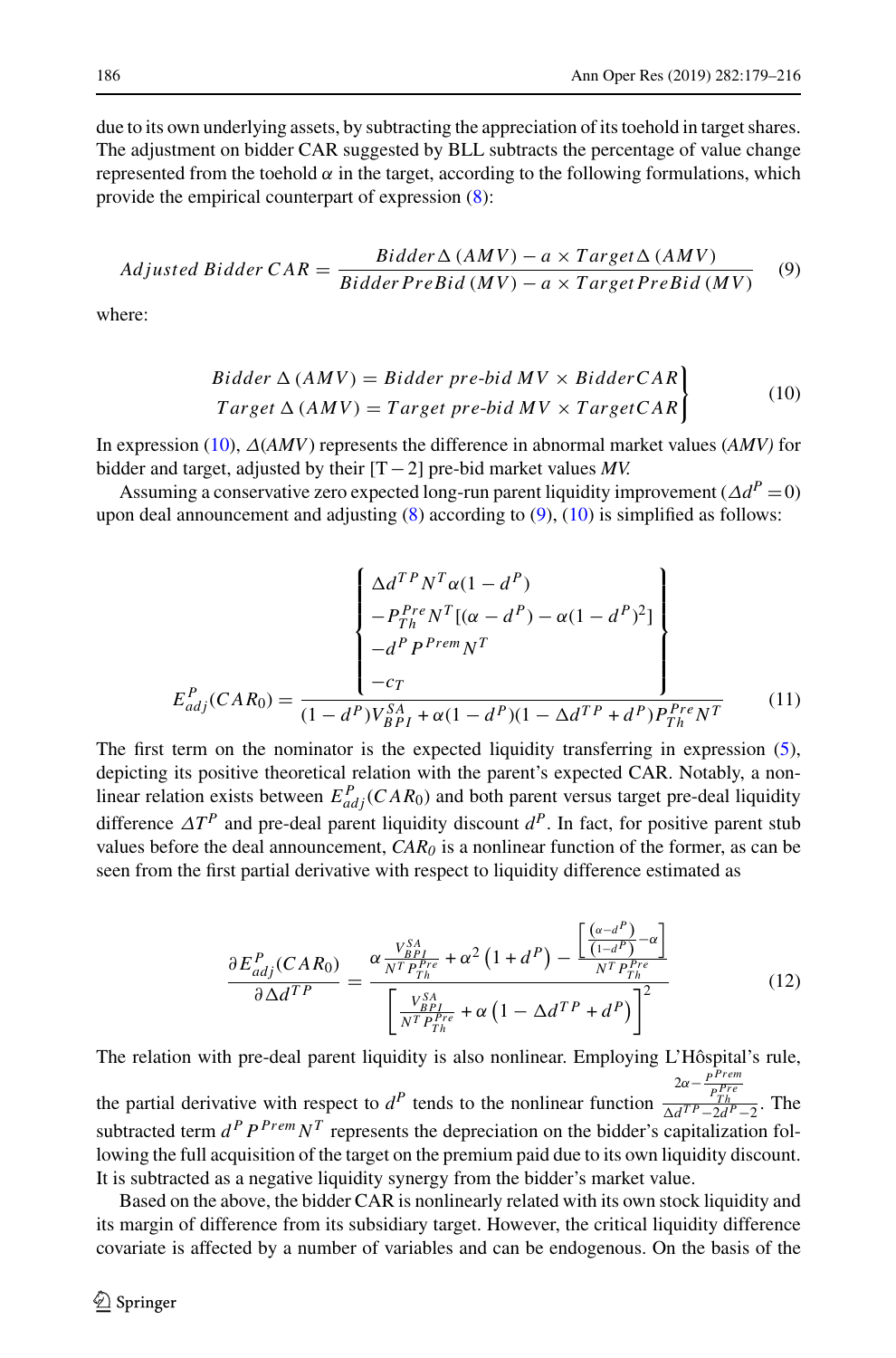due to its own underlying assets, by subtracting the appreciation of its toehold in target shares. The adjustment on bidder CAR suggested by BLL subtracts the percentage of value change represented from the toehold  $\alpha$  in the target, according to the following formulations, which provide the empirical counterpart of expression [\(8\)](#page-6-2):

$$
Adjusted \, Bidder \, CAR = \frac{Bidder \, \Delta \, (AMV) - a \times Target \, \Delta \, (AMV)}{Bidder \, PreBid \, (MV) - a \times Target \, PreBid \, (MV)} \tag{9}
$$

where:

<span id="page-7-1"></span><span id="page-7-0"></span>
$$
Bidder \Delta (AMV) = Bidder pre-bid MV \times BidderCAR
$$
  
Target  $\Delta (AMV) = Target pre-bid MV \times TargetCAR$  (10)

In expression [\(10\)](#page-7-0), Δ(*AMV*) represents the difference in abnormal market values (*AMV)* for bidder and target, adjusted by their [T−2] pre-bid market values *MV.*

Assuming a conservative zero expected long-run parent liquidity improvement ( $\Delta d^P = 0$ ) upon deal announcement and adjusting  $(8)$  according to  $(9)$ ,  $(10)$  is simplified as follows:

$$
E_{adj}^{P}(CAR_{0}) = \frac{\begin{cases} \Delta d^{TP} N^{T} \alpha (1 - d^{P}) \\ -P_{Th}^{Pre} N^{T} [(\alpha - d^{P}) - \alpha (1 - d^{P})^{2}] \\ -d^{P} P^{Prem} N^{T} \end{cases}}{-c_{T}} \times E_{adj}^{P}(CAR_{0}) = \frac{-c_{T}}{(1 - d^{P})V_{BPI}^{SA} + \alpha (1 - d^{P})(1 - \Delta d^{TP} + d^{P}) P_{Th}^{Pre} N^{T}} \tag{11}
$$

The first term on the nominator is the expected liquidity transferring in expression [\(5\)](#page-5-0), depicting its positive theoretical relation with the parent's expected CAR. Notably, a nonlinear relation exists between  $E_{adj}^P(CAR_0)$  and both parent versus target pre-deal liquidity difference  $\Delta T^P$  and pre-deal parent liquidity discount  $d^P$ . In fact, for positive parent stub values before the deal announcement,  $CAR_0$  is a nonlinear function of the former, as can be seen from the first partial derivative with respect to liquidity difference estimated as

<span id="page-7-2"></span>
$$
\frac{\partial E_{adj}^{P}(CAR_{0})}{\partial \Delta d^{TP}} = \frac{\alpha \frac{V_{BPL}^{SA}}{N^{TP_{Ph}^{P}} + \alpha^{2} (1 + d^{P}) - \frac{\left[\frac{(\alpha - d^{P})}{(1 - d^{P})} - \alpha\right]}{N^{TP_{Ph}^{P}}}}{\left[\frac{V_{BPL}^{SA}}{N^{TP_{Ph}^{P}} + \alpha (1 - \Delta d^{TP} + d^{P})\right]^{2}}
$$
(12)

The relation with pre-deal parent liquidity is also nonlinear. Employing L'Hôspital's rule, the partial derivative with respect to  $d<sup>P</sup>$  tends to the nonlinear function  $\frac{2\alpha - \frac{P^{Prem}}{P_{Th}^{Pre}}}{\Delta d^{TP}-2d^{P}-2}$ . The subtracted term  $d^P P^{Prem} N^T$  represents the depreciation on the bidder's capitalization following the full acquisition of the target on the premium paid due to its own liquidity discount. It is subtracted as a negative liquidity synergy from the bidder's market value.

Based on the above, the bidder CAR is nonlinearly related with its own stock liquidity and its margin of difference from its subsidiary target. However, the critical liquidity difference covariate is affected by a number of variables and can be endogenous. On the basis of the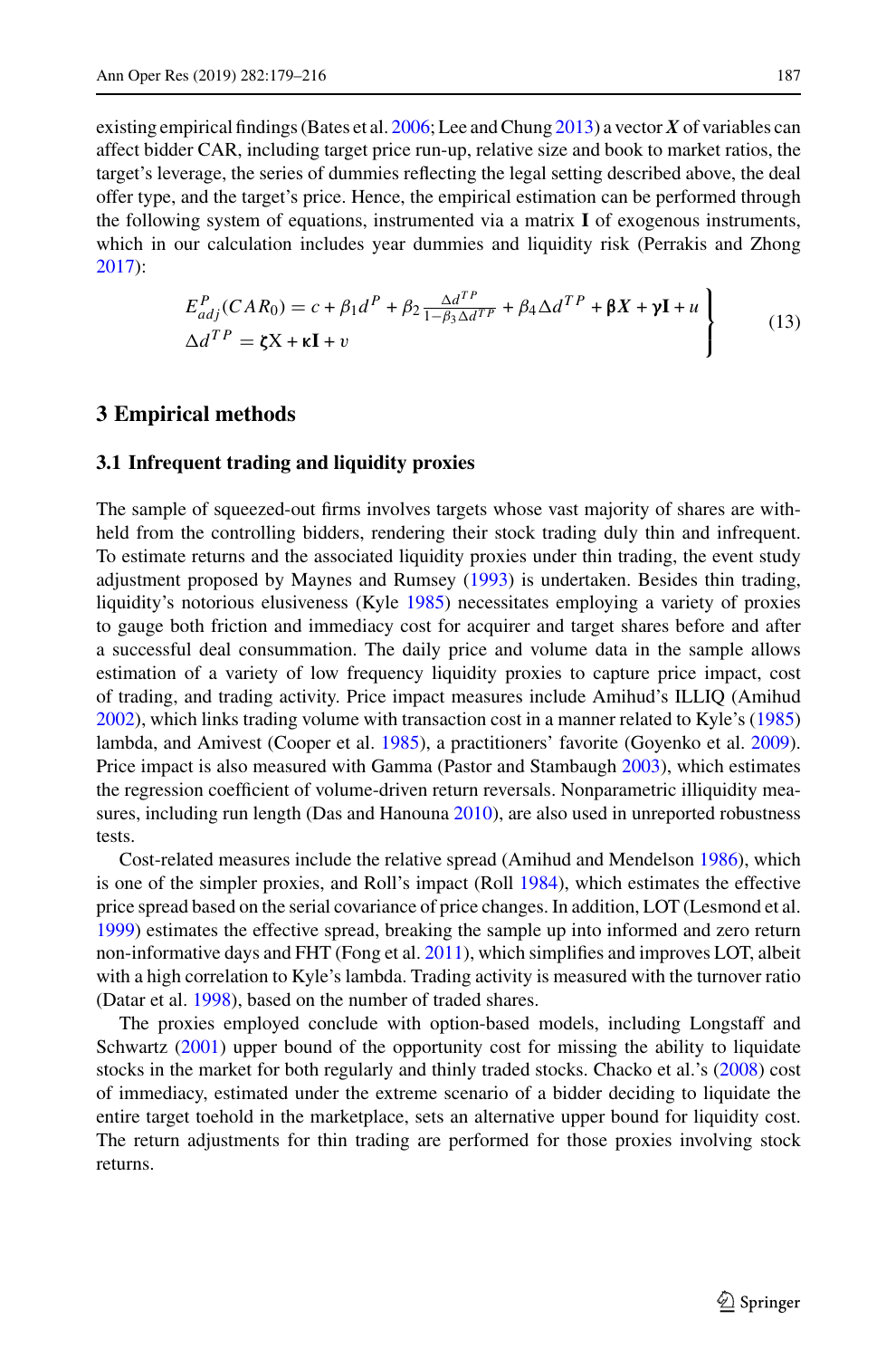existing empirical findings (Bates et al. [2006;](#page-34-1) Lee and Chung [2013\)](#page-36-16) a vector *X* of variables can affect bidder CAR, including target price run-up, relative size and book to market ratios, the target's leverage, the series of dummies reflecting the legal setting described above, the deal offer type, and the target's price. Hence, the empirical estimation can be performed through the following system of equations, instrumented via a matrix **I** of exogenous instruments, which in our calculation includes year dummies and liquidity risk (Perrakis and Zhong [2017\)](#page-36-17):

$$
E_{adj}^{P}(CAR_{0}) = c + \beta_{1}d^{P} + \beta_{2} \frac{\Delta d^{TP}}{1 - \beta_{3}\Delta d^{TP}} + \beta_{4}\Delta d^{TP} + \beta X + \gamma I + u
$$
  

$$
\Delta d^{TP} = \zeta X + \kappa I + v
$$
 (13)

#### <span id="page-8-0"></span>**3 Empirical methods**

#### **3.1 Infrequent trading and liquidity proxies**

The sample of squeezed-out firms involves targets whose vast majority of shares are withheld from the controlling bidders, rendering their stock trading duly thin and infrequent. To estimate returns and the associated liquidity proxies under thin trading, the event study adjustment proposed by Maynes and Rumsey [\(1993\)](#page-36-4) is undertaken. Besides thin trading, liquidity's notorious elusiveness (Kyle [1985\)](#page-36-18) necessitates employing a variety of proxies to gauge both friction and immediacy cost for acquirer and target shares before and after a successful deal consummation. The daily price and volume data in the sample allows estimation of a variety of low frequency liquidity proxies to capture price impact, cost of trading, and trading activity. Price impact measures include Amihud's ILLIQ (Amihud [2002\)](#page-34-5), which links trading volume with transaction cost in a manner related to Kyle's [\(1985\)](#page-36-18) lambda, and Amivest (Cooper et al. [1985\)](#page-35-12), a practitioners' favorite (Goyenko et al. [2009\)](#page-35-13). Price impact is also measured with Gamma (Pastor and Stambaugh [2003\)](#page-36-19), which estimates the regression coefficient of volume-driven return reversals. Nonparametric illiquidity measures, including run length (Das and Hanouna [2010\)](#page-35-14), are also used in unreported robustness tests.

Cost-related measures include the relative spread (Amihud and Mendelson [1986\)](#page-34-0), which is one of the simpler proxies, and Roll's impact (Roll [1984\)](#page-36-20), which estimates the effective price spread based on the serial covariance of price changes. In addition, LOT (Lesmond et al. [1999\)](#page-36-21) estimates the effective spread, breaking the sample up into informed and zero return non-informative days and FHT (Fong et al. [2011\)](#page-35-15), which simplifies and improves LOT, albeit with a high correlation to Kyle's lambda. Trading activity is measured with the turnover ratio (Datar et al. [1998\)](#page-35-16), based on the number of traded shares.

The proxies employed conclude with option-based models, including Longstaff and Schwartz [\(2001\)](#page-36-22) upper bound of the opportunity cost for missing the ability to liquidate stocks in the market for both regularly and thinly traded stocks. Chacko et al.'s [\(2008\)](#page-35-17) cost of immediacy, estimated under the extreme scenario of a bidder deciding to liquidate the entire target toehold in the marketplace, sets an alternative upper bound for liquidity cost. The return adjustments for thin trading are performed for those proxies involving stock returns.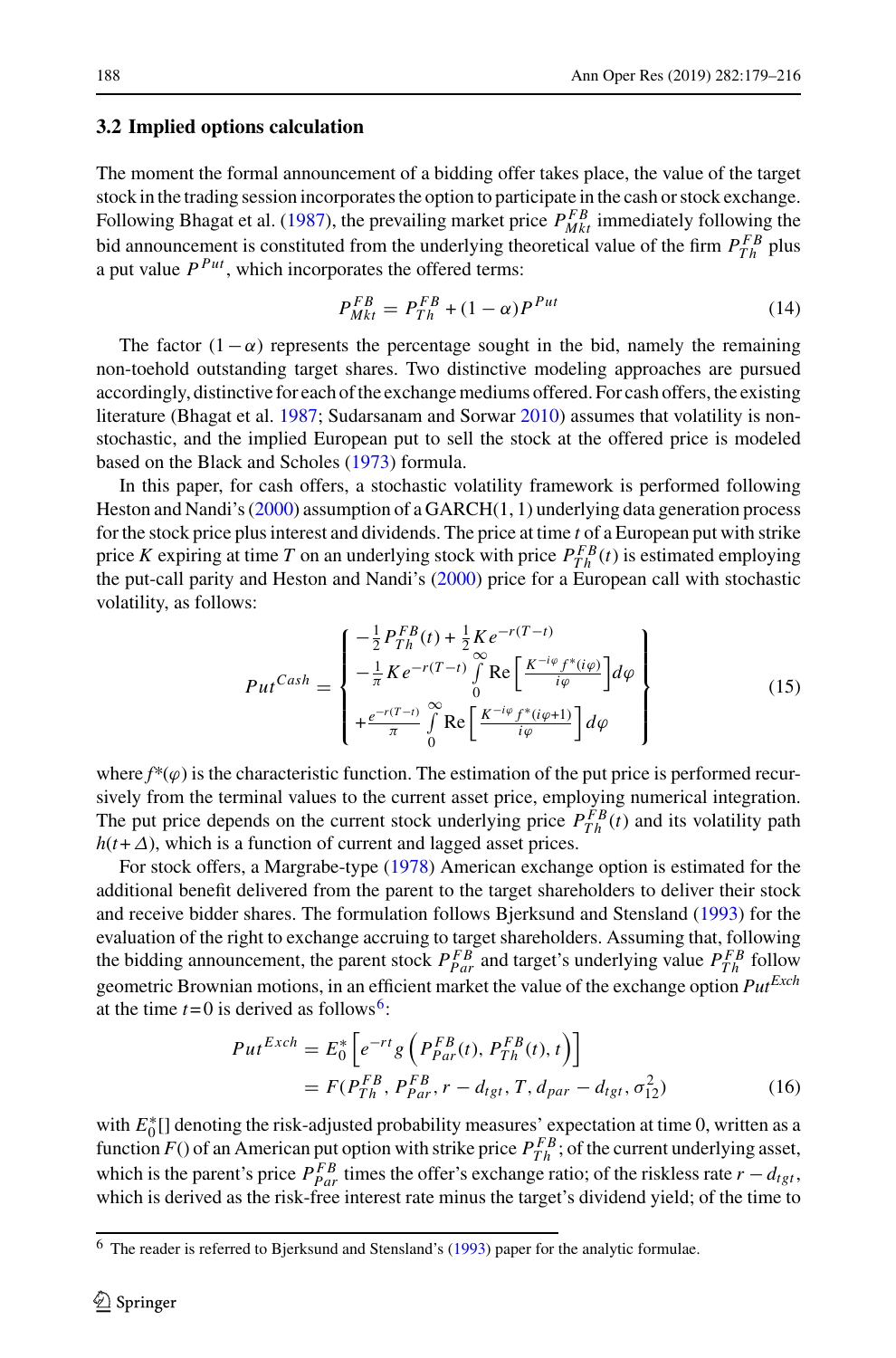#### **3.2 Implied options calculation**

The moment the formal announcement of a bidding offer takes place, the value of the target stock in the trading session incorporates the option to participate in the cash or stock exchange. Following Bhagat et al. [\(1987\)](#page-35-2), the prevailing market price  $P_{Mkt}^{FB}$  immediately following the bid announcement is constituted from the underlying theoretical value of the firm  $P_{Th}^{FB}$  plus a put value  $P^{Put}$ , which incorporates the offered terms:

$$
P_{Mkt}^{FB} = P_{Th}^{FB} + (1 - \alpha)P^{Put}
$$
\n(14)

The factor  $(1-\alpha)$  represents the percentage sought in the bid, namely the remaining non-toehold outstanding target shares. Two distinctive modeling approaches are pursued accordingly, distinctive for each of the exchange mediums offered. For cash offers, the existing literature (Bhagat et al. [1987;](#page-35-2) Sudarsanam and Sorwar [2010\)](#page-37-2) assumes that volatility is nonstochastic, and the implied European put to sell the stock at the offered price is modeled based on the Black and Scholes [\(1973\)](#page-35-18) formula.

In this paper, for cash offers, a stochastic volatility framework is performed following Heston and Nandi's [\(2000\)](#page-36-6) assumption of a GARCH(1, 1) underlying data generation process for the stock price plus interest and dividends. The price at time *t* of a European put with strike price *K* expiring at time *T* on an underlying stock with price  $P_{Th}^{FB}(t)$  is estimated employing the put-call parity and Heston and Nandi's [\(2000\)](#page-36-6) price for a European call with stochastic volatility, as follows:

$$
Put^{Cash} = \begin{cases} -\frac{1}{2} P_{Th}^{FB}(t) + \frac{1}{2} K e^{-r(T-t)} \\ -\frac{1}{\pi} K e^{-r(T-t)} \int_{0}^{\infty} \text{Re}\left[\frac{K^{-i\varphi} f^{*}(i\varphi)}{i\varphi}\right] d\varphi \\ + \frac{e^{-r(T-t)}}{\pi} \int_{0}^{\infty} \text{Re}\left[\frac{K^{-i\varphi} f^{*}(i\varphi+1)}{i\varphi}\right] d\varphi \end{cases}
$$
(15)

where  $f^*(\varphi)$  is the characteristic function. The estimation of the put price is performed recursively from the terminal values to the current asset price, employing numerical integration. The put price depends on the current stock underlying price  $P_{Th}^{FB}(t)$  and its volatility path  $h(t+\Delta)$ , which is a function of current and lagged asset prices.

For stock offers, a Margrabe-type [\(1978\)](#page-36-23) American exchange option is estimated for the additional benefit delivered from the parent to the target shareholders to deliver their stock and receive bidder shares. The formulation follows Bjerksund and Stensland [\(1993\)](#page-35-3) for the evaluation of the right to exchange accruing to target shareholders. Assuming that, following the bidding announcement, the parent stock  $P_{Par}^{FB}$  and target's underlying value  $P_{Th}^{FB}$  follow geometric Brownian motions, in an efficient market the value of the exchange option *PutExch* at the time  $t = 0$  i[s](#page-9-0) derived as follows<sup>6</sup>:

$$
Put^{Exch} = E_0^* \left[ e^{-rt} g \left( P_{Par}^{FB}(t), P_{Th}^{FB}(t), t \right) \right]
$$
  
=  $F(P_{Th}^{FB}, P_{Par}^{FB}, r - d_{tgt}, T, d_{par} - d_{tgt}, \sigma_{12}^2)$  (16)

with  $E_0^*$ [] denoting the risk-adjusted probability measures' expectation at time 0, written as a function  $F()$  of an American put option with strike price  $P_{Th}^{FB}$ ; of the current underlying asset, which is the parent's price  $P_{Par}^{FB}$  times the offer's exchange ratio; of the riskless rate  $r - d_{tgt}$ , which is derived as the risk-free interest rate minus the target's dividend yield; of the time to

<span id="page-9-1"></span><span id="page-9-0"></span><sup>6</sup> The reader is referred to Bjerksund and Stensland's [\(1993\)](#page-35-3) paper for the analytic formulae.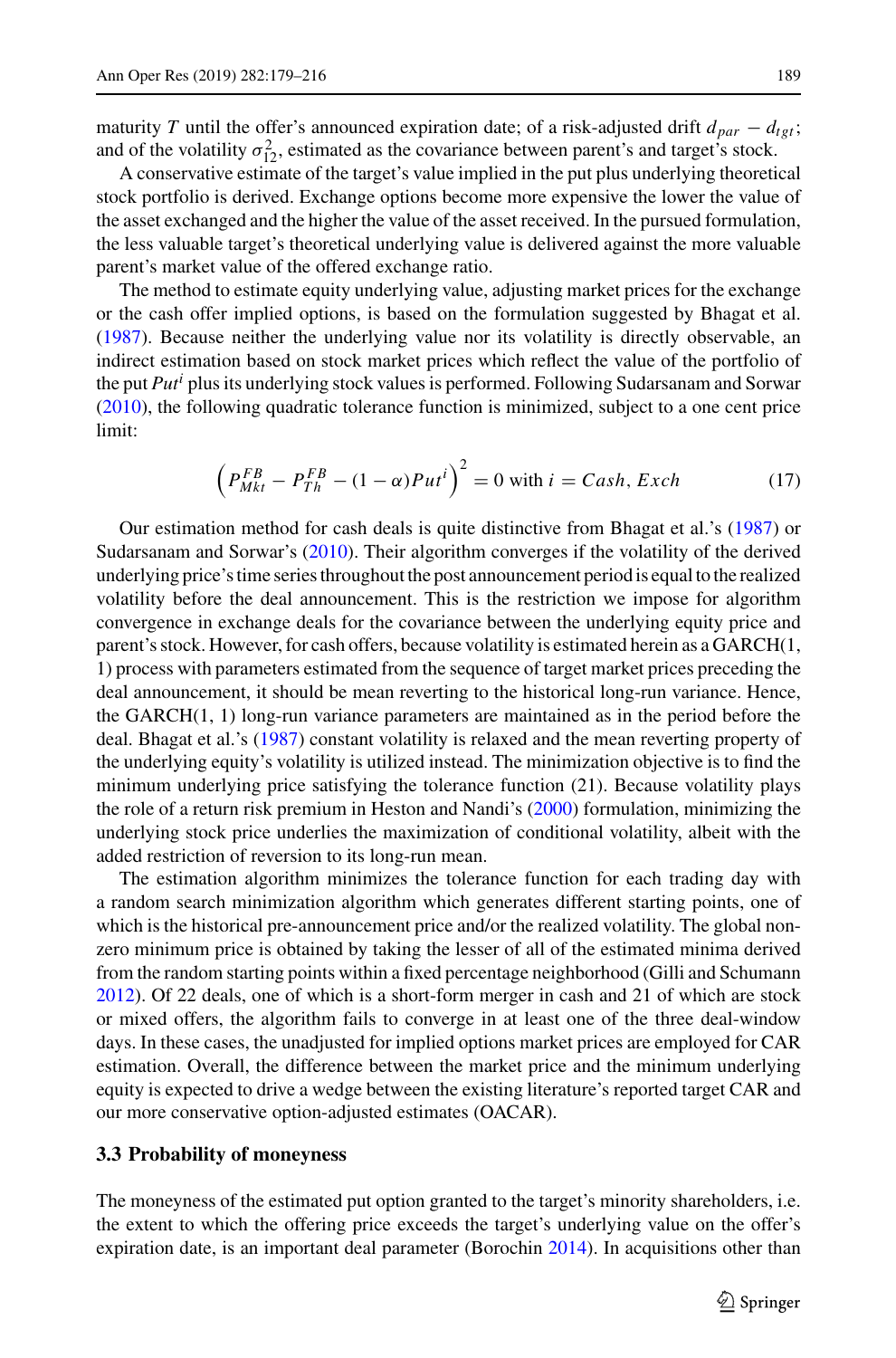maturity *T* until the offer's announced expiration date; of a risk-adjusted drift  $d_{par} - d_{tgt}$ ; and of the volatility  $\sigma_{12}^2$ , estimated as the covariance between parent's and target's stock.

A conservative estimate of the target's value implied in the put plus underlying theoretical stock portfolio is derived. Exchange options become more expensive the lower the value of the asset exchanged and the higher the value of the asset received. In the pursued formulation, the less valuable target's theoretical underlying value is delivered against the more valuable parent's market value of the offered exchange ratio.

The method to estimate equity underlying value, adjusting market prices for the exchange or the cash offer implied options, is based on the formulation suggested by Bhagat et al. [\(1987\)](#page-35-2). Because neither the underlying value nor its volatility is directly observable, an indirect estimation based on stock market prices which reflect the value of the portfolio of the put *Put<sup>i</sup>* plus its underlying stock values is performed. Following Sudarsanam and Sorwar [\(2010\)](#page-37-2), the following quadratic tolerance function is minimized, subject to a one cent price limit:

$$
\left(P_{Mkt}^{FB} - P_{Th}^{FB} - (1 - \alpha)Put^i\right)^2 = 0 \text{ with } i = Cash, Exch
$$
 (17)

Our estimation method for cash deals is quite distinctive from Bhagat et al.'s [\(1987\)](#page-35-2) or Sudarsanam and Sorwar's [\(2010\)](#page-37-2). Their algorithm converges if the volatility of the derived underlying price's time series throughout the post announcement period is equal to the realized volatility before the deal announcement. This is the restriction we impose for algorithm convergence in exchange deals for the covariance between the underlying equity price and parent's stock. However, for cash offers, because volatility is estimated herein as a GARCH(1, 1) process with parameters estimated from the sequence of target market prices preceding the deal announcement, it should be mean reverting to the historical long-run variance. Hence, the GARCH(1, 1) long-run variance parameters are maintained as in the period before the deal. Bhagat et al.'s [\(1987\)](#page-35-2) constant volatility is relaxed and the mean reverting property of the underlying equity's volatility is utilized instead. The minimization objective is to find the minimum underlying price satisfying the tolerance function (21). Because volatility plays the role of a return risk premium in Heston and Nandi's [\(2000\)](#page-36-6) formulation, minimizing the underlying stock price underlies the maximization of conditional volatility, albeit with the added restriction of reversion to its long-run mean.

The estimation algorithm minimizes the tolerance function for each trading day with a random search minimization algorithm which generates different starting points, one of which is the historical pre-announcement price and/or the realized volatility. The global nonzero minimum price is obtained by taking the lesser of all of the estimated minima derived from the random starting points within a fixed percentage neighborhood (Gilli and Schumann [2012\)](#page-35-19). Of 22 deals, one of which is a short-form merger in cash and 21 of which are stock or mixed offers, the algorithm fails to converge in at least one of the three deal-window days. In these cases, the unadjusted for implied options market prices are employed for CAR estimation. Overall, the difference between the market price and the minimum underlying equity is expected to drive a wedge between the existing literature's reported target CAR and our more conservative option-adjusted estimates (OACAR).

#### <span id="page-10-0"></span>**3.3 Probability of moneyness**

The moneyness of the estimated put option granted to the target's minority shareholders, i.e. the extent to which the offering price exceeds the target's underlying value on the offer's expiration date, is an important deal parameter (Borochin [2014\)](#page-35-20). In acquisitions other than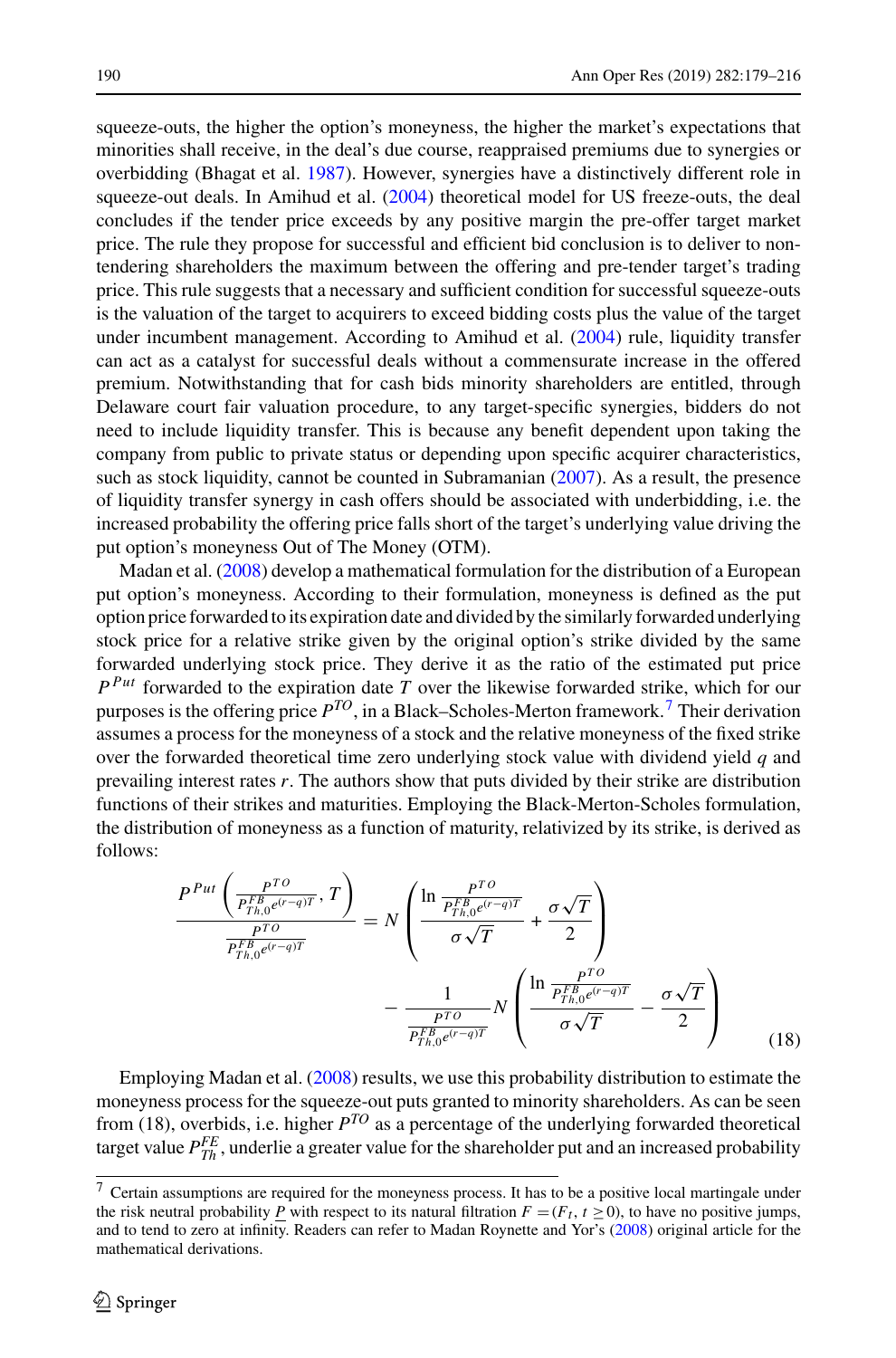squeeze-outs, the higher the option's moneyness, the higher the market's expectations that minorities shall receive, in the deal's due course, reappraised premiums due to synergies or overbidding (Bhagat et al. [1987\)](#page-35-2). However, synergies have a distinctively different role in squeeze-out deals. In Amihud et al. [\(2004\)](#page-34-2) theoretical model for US freeze-outs, the deal concludes if the tender price exceeds by any positive margin the pre-offer target market price. The rule they propose for successful and efficient bid conclusion is to deliver to nontendering shareholders the maximum between the offering and pre-tender target's trading price. This rule suggests that a necessary and sufficient condition for successful squeeze-outs is the valuation of the target to acquirers to exceed bidding costs plus the value of the target under incumbent management. According to Amihud et al. [\(2004\)](#page-34-2) rule, liquidity transfer can act as a catalyst for successful deals without a commensurate increase in the offered premium. Notwithstanding that for cash bids minority shareholders are entitled, through Delaware court fair valuation procedure, to any target-specific synergies, bidders do not need to include liquidity transfer. This is because any benefit dependent upon taking the company from public to private status or depending upon specific acquirer characteristics, such as stock liquidity, cannot be counted in Subramanian [\(2007\)](#page-37-0). As a result, the presence of liquidity transfer synergy in cash offers should be associated with underbidding, i.e. the increased probability the offering price falls short of the target's underlying value driving the put option's moneyness Out of The Money (OTM).

Madan et al. [\(2008\)](#page-36-7) develop a mathematical formulation for the distribution of a European put option's moneyness. According to their formulation, moneyness is defined as the put option price forwarded to its expiration date and divided by the similarly forwarded underlying stock price for a relative strike given by the original option's strike divided by the same forwarded underlying stock price. They derive it as the ratio of the estimated put price *PPut* forwarded to the expiration date *T* over the likewise forwarded strike, which for our purposes is the offering price  $P^{TO}$ , in a Black–Scholes-Merton framework[.](#page-11-0)<sup>[7](#page-11-1)</sup> Their derivation assumes a process for the moneyness of a stock and the relative moneyness of the fixed strike over the forwarded theoretical time zero underlying stock value with dividend yield *q* and prevailing interest rates *r*. The authors show that puts divided by their strike are distribution functions of their strikes and maturities. Employing the Black-Merton-Scholes formulation, the distribution of moneyness as a function of maturity, relativized by its strike, is derived as follows:

$$
\frac{P^{Put}\left(\frac{P^{TO}}{P_{Th,0}^{FB}e^{(r-q)T}},T\right)}{P_{Th,0}^{FB}e^{(r-q)T}} = N\left(\frac{\ln\frac{P^{TO}}{P_{Th,0}^{FB}e^{(r-q)T}}}{\sigma\sqrt{T}} + \frac{\sigma\sqrt{T}}{2}\right)
$$

$$
-\frac{1}{\frac{P^{TO}}{P_{Th,0}^{FB}e^{(r-q)T}}}N\left(\frac{\ln\frac{P^{TO}}{P_{Th,0}^{FB}e^{(r-q)T}}}{\sigma\sqrt{T}} - \frac{\sigma\sqrt{T}}{2}\right)
$$
(18)

Employing Madan et al. [\(2008\)](#page-36-7) results, we use this probability distribution to estimate the moneyness process for the squeeze-out puts granted to minority shareholders. As can be seen from (18), overbids, i.e. higher *PTO* as a percentage of the underlying forwarded theoretical target value  $P_{Th}^{FE}$  , underlie a greater value for the shareholder put and an increased probability

<span id="page-11-1"></span><span id="page-11-0"></span><sup>7</sup> Certain assumptions are required for the moneyness process. It has to be a positive local martingale under the risk neutral probability *P* with respect to its natural filtration  $F = (F_t, t \ge 0)$ , to have no positive jumps, and to tend to zero at infinity. Readers can refer to Madan Roynette and Yor's [\(2008\)](#page-36-7) original article for the mathematical derivations.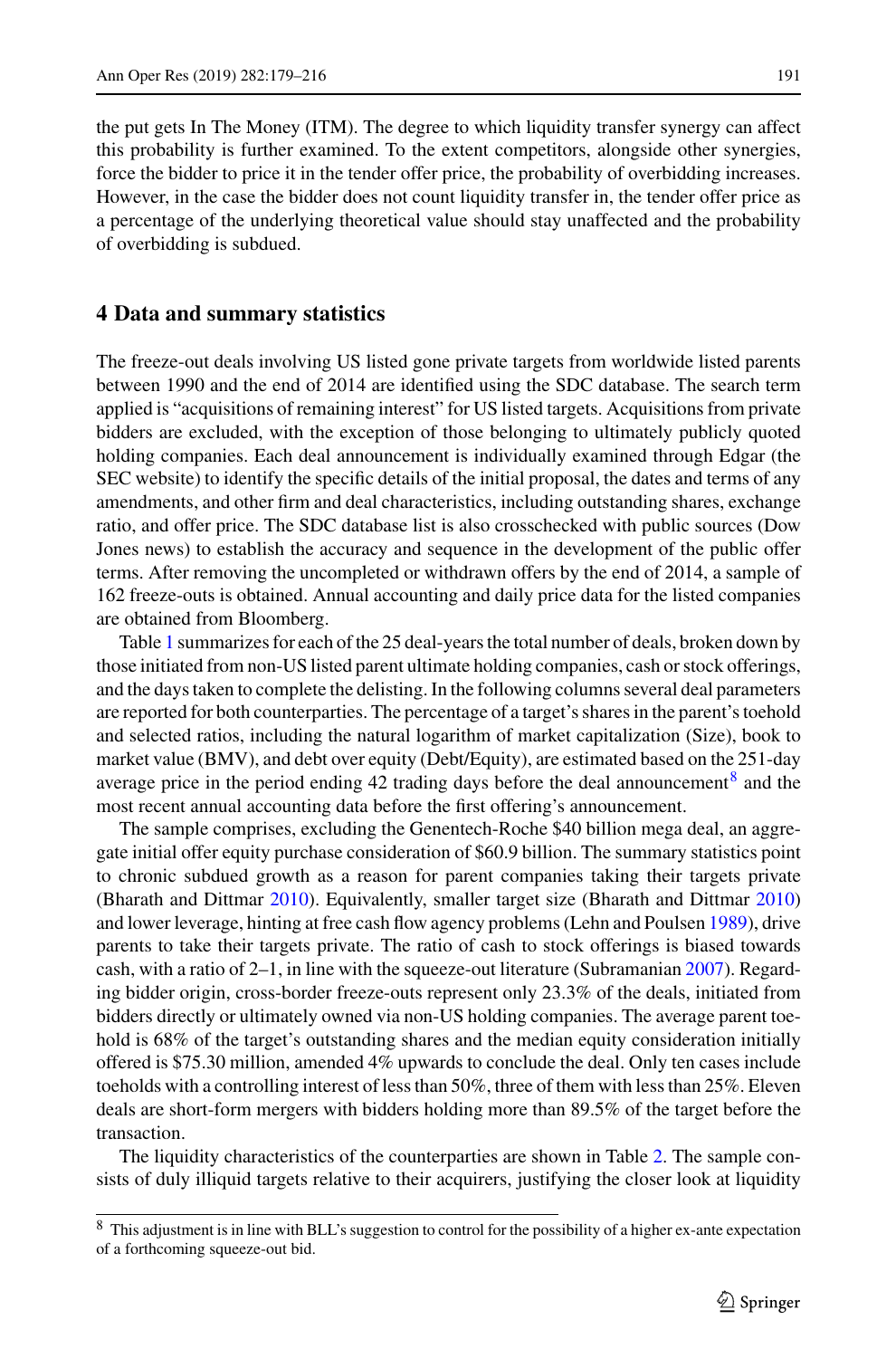the put gets In The Money (ITM). The degree to which liquidity transfer synergy can affect this probability is further examined. To the extent competitors, alongside other synergies, force the bidder to price it in the tender offer price, the probability of overbidding increases. However, in the case the bidder does not count liquidity transfer in, the tender offer price as a percentage of the underlying theoretical value should stay unaffected and the probability of overbidding is subdued.

#### <span id="page-12-0"></span>**4 Data and summary statistics**

The freeze-out deals involving US listed gone private targets from worldwide listed parents between 1990 and the end of 2014 are identified using the SDC database. The search term applied is "acquisitions of remaining interest" for US listed targets. Acquisitions from private bidders are excluded, with the exception of those belonging to ultimately publicly quoted holding companies. Each deal announcement is individually examined through Edgar (the SEC website) to identify the specific details of the initial proposal, the dates and terms of any amendments, and other firm and deal characteristics, including outstanding shares, exchange ratio, and offer price. The SDC database list is also crosschecked with public sources (Dow Jones news) to establish the accuracy and sequence in the development of the public offer terms. After removing the uncompleted or withdrawn offers by the end of 2014, a sample of 162 freeze-outs is obtained. Annual accounting and daily price data for the listed companies are obtained from Bloomberg.

Table [1](#page-13-0) summarizes for each of the 25 deal-years the total number of deals, broken down by those initiated from non-US listed parent ultimate holding companies, cash or stock offerings, and the days taken to complete the delisting. In the following columns several deal parameters are reported for both counterparties. The percentage of a target's shares in the parent's toehold and selected ratios, including the natural logarithm of market capitalization (Size), book to market value (BMV), and debt over equity (Debt/Equity), are estimated based on the 251-day average price in the period ending 42 trading days before the deal announcement<sup>[8](#page-12-2)</sup> and the most recent annual accounting data before the first offering's announcement.

The sample comprises, excluding the Genentech-Roche \$40 billion mega deal, an aggregate initial offer equity purchase consideration of \$60.9 billion. The summary statistics point to chronic subdued growth as a reason for parent companies taking their targets private (Bharath and Dittmar [2010\)](#page-35-21). Equivalently, smaller target size (Bharath and Dittmar [2010\)](#page-35-21) and lower leverage, hinting at free cash flow agency problems (Lehn and Poulsen [1989\)](#page-36-24), drive parents to take their targets private. The ratio of cash to stock offerings is biased towards cash, with a ratio of 2–1, in line with the squeeze-out literature (Subramanian [2007\)](#page-37-0). Regarding bidder origin, cross-border freeze-outs represent only 23.3% of the deals, initiated from bidders directly or ultimately owned via non-US holding companies. The average parent toehold is 68% of the target's outstanding shares and the median equity consideration initially offered is \$75.30 million, amended 4% upwards to conclude the deal. Only ten cases include toeholds with a controlling interest of less than 50%, three of them with less than 25%. Eleven deals are short-form mergers with bidders holding more than 89.5% of the target before the transaction.

The liquidity characteristics of the counterparties are shown in Table [2.](#page-17-0) The sample consists of duly illiquid targets relative to their acquirers, justifying the closer look at liquidity

<span id="page-12-2"></span><span id="page-12-1"></span><sup>&</sup>lt;sup>8</sup> This adjustment is in line with BLL's suggestion to control for the possibility of a higher ex-ante expectation of a forthcoming squeeze-out bid.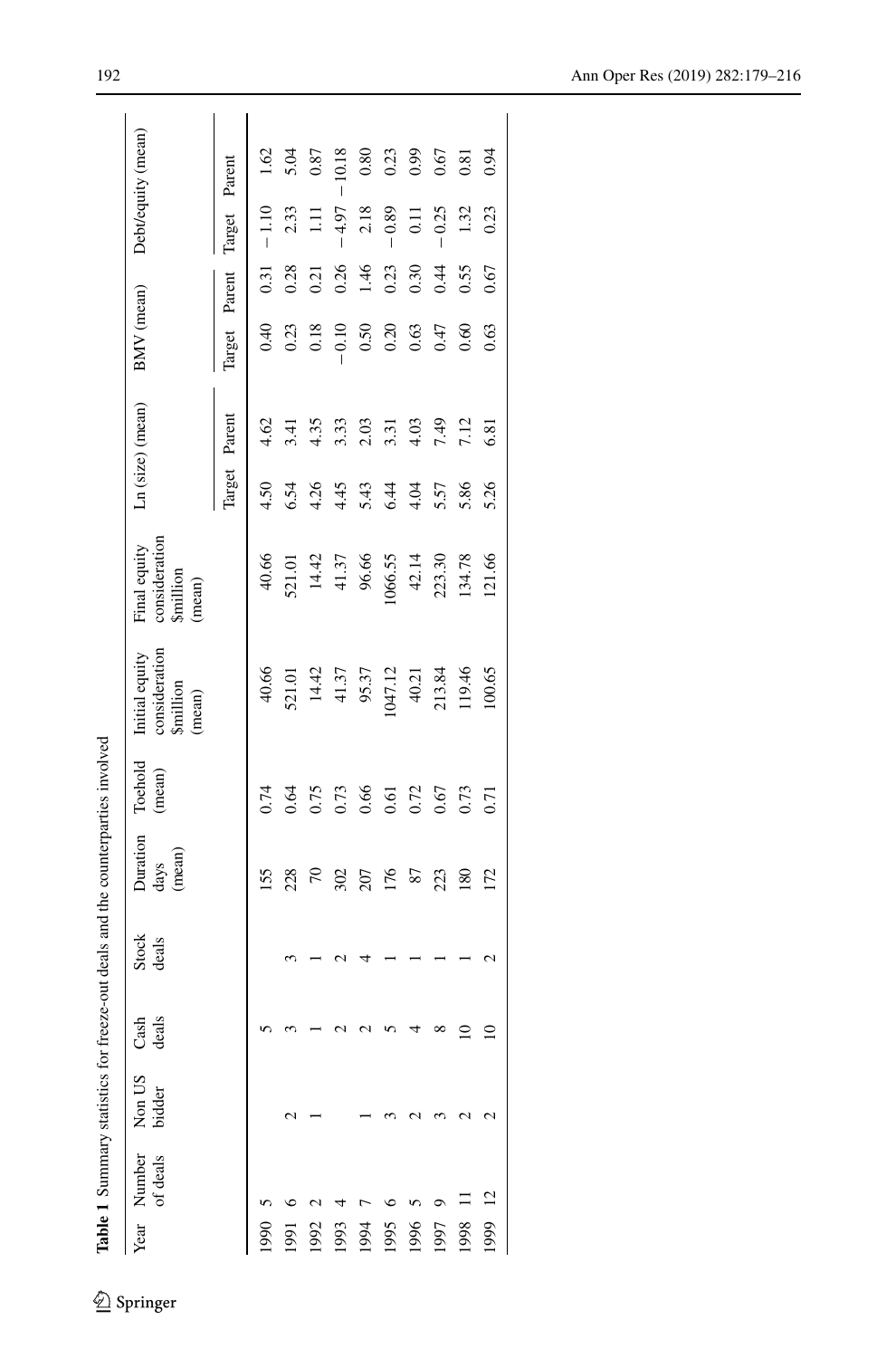<span id="page-13-0"></span>

|      |                         |                  |               |                | <b>Table 1</b> Summary statistics for freeze-out deals and the counterparties involved |                   |                                                       |                                                     |               |                  |               |      |                    |        |
|------|-------------------------|------------------|---------------|----------------|----------------------------------------------------------------------------------------|-------------------|-------------------------------------------------------|-----------------------------------------------------|---------------|------------------|---------------|------|--------------------|--------|
|      | Year Number<br>of deals | Non US<br>bidder | Cash<br>deals | Stock<br>deals | Duration<br>days<br>(mean)                                                             | Toehold<br>(mean) | consideration<br>Initial equity<br>Smillion<br>(mean) | consideration<br>Final equity<br>smillion<br>(mean) |               | Ln (size) (mean) | BMV (mean)    |      | Debt/equity (mean) |        |
|      |                         |                  |               |                |                                                                                        |                   |                                                       |                                                     | Target Parent |                  | Target Parent |      | Target             | Parent |
| 990  |                         |                  |               |                | 155                                                                                    | 0.74              | 40.66                                                 | 40.66                                               | 4.50          | 4.62             | 0.40          | 0.31 | $-1.10$            | 1.62   |
| 1991 |                         |                  |               |                | 228                                                                                    | 0.64              | 521.01                                                | 521.01                                              | 6.54          | 3.41             | 0.23          | 0.28 | 2.33               | 5.04   |
| 1992 |                         |                  |               |                | R                                                                                      | 0.75              | 14.42                                                 | 14.42                                               | 4.26          | 4.35             | 0.18          | 0.21 | Ξ                  | 0.87   |
| 1993 |                         |                  |               |                | 302                                                                                    | 0.73              | 41.37                                                 | 41.37                                               | 4.45          | 3.33             | $-0.10$       | 0.26 | $-4.97$            | 10.18  |
| 1994 |                         |                  |               |                | 207                                                                                    | 0.66              | 95.37                                                 | 96.66                                               | 5.43          | 2.03             | 0.50          | 1.46 | 2.18               | 0.80   |
| 1995 |                         |                  |               |                | 176                                                                                    | 0.61              | 1047.12                                               | 1066.55                                             | 6.44          | 3.31             | 0.20          | 0.23 | $-0.89$            | 0.23   |
| 1996 |                         |                  |               |                | 87                                                                                     | 0.72              | 40.21                                                 | 42.14                                               | 4.04          | 4.03             | 0.63          | 0.30 | $\overline{0}$     | 66.0   |
| 1997 |                         |                  |               |                | 223                                                                                    | 0.67              | 213.84                                                | 223.30                                              | 5.57          | 67.7             | 0.47          | 0.44 | $-0.25$            | 0.67   |
| 1998 |                         |                  |               |                | 180                                                                                    | 0.73              | 119.46                                                | 134.78                                              | 5.86          | 7.12             | 0.60          | 0.55 | 1.32               | 0.81   |
| 1999 | $\overline{c}$          |                  |               |                | 172                                                                                    | 0.71              | 100.65                                                | 121.66                                              | 5.26          | 6.81             | 0.63          | 0.67 | 0.23               | 0.94   |
|      |                         |                  |               |                |                                                                                        |                   |                                                       |                                                     |               |                  |               |      |                    |        |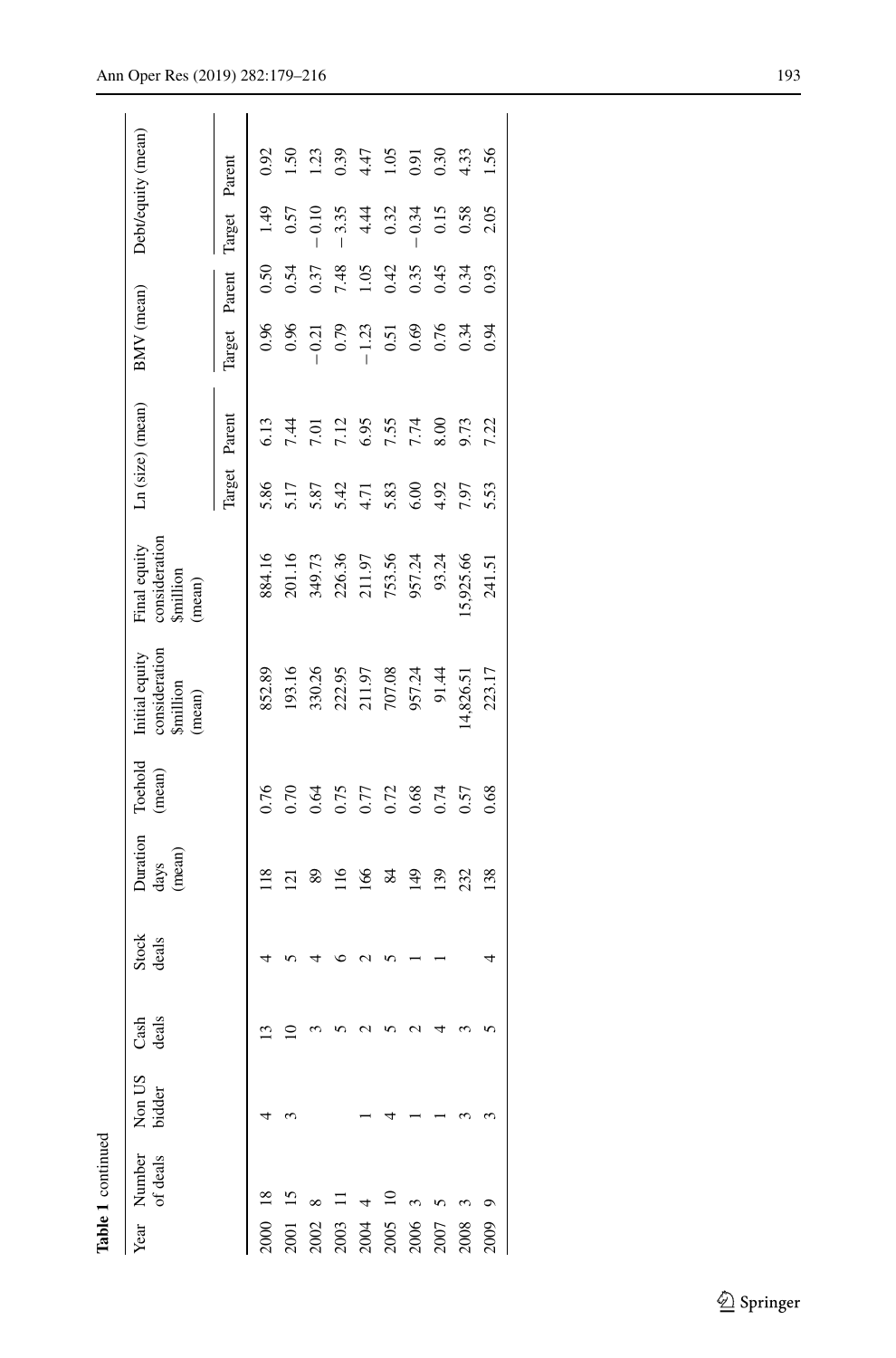|      | lable 1 continued       |                  |                   |                |                            |                            |                                                              |                                                      |                  |                              |               |      |                    |                       |
|------|-------------------------|------------------|-------------------|----------------|----------------------------|----------------------------|--------------------------------------------------------------|------------------------------------------------------|------------------|------------------------------|---------------|------|--------------------|-----------------------|
|      | Year Number<br>of deals | Non US<br>bidder | S<br>Cash<br>deal | Stock<br>deals | Duration<br>days<br>(mean) | Toehold<br>(mean)          | consideration<br>Initial equity<br><b>Smillion</b><br>(mean) | consideration<br>Final equity<br>\$million<br>(mean) | Ln (size) (mean) |                              | BMV (mean)    |      | Debt/equity (mean) |                       |
|      |                         |                  |                   |                |                            |                            |                                                              |                                                      | Target Parent    |                              | Target Parent |      | Target             | Parent                |
|      |                         |                  |                   |                | 118                        | 0.76                       | 852.89                                                       |                                                      | 5.86             | 6.13                         | 0.96          | 0.50 | 1.49               | 0.92                  |
|      |                         |                  |                   |                | $\Xi$                      |                            | 193.16                                                       | 884.16<br>201.16                                     | 5.17             | 7.4                          | 0.96          | 0.54 | 0.57               | 1.50                  |
| 2002 |                         |                  |                   |                | 89                         | 0.70                       | 330.26                                                       | 349.73                                               | 5.87             | 7.01                         | $-0.21$       | 0.37 | $-0.10$            | 1.23                  |
| 2003 |                         |                  |                   |                | $\frac{16}{1}$             |                            |                                                              |                                                      | 5.42<br>4.71     |                              | 0.79          | 7.48 | $-3.35$            | 0.39                  |
| 2004 |                         |                  |                   |                | 66                         |                            | 222.95<br>211.97<br>707.08                                   | 226.36<br>211.97<br>753.56                           |                  |                              | $-1.23$       | 1.05 | 4.44               |                       |
| 2005 |                         |                  |                   |                | $\mathfrak{A}$             | $0.75$<br>$0.77$<br>$0.68$ |                                                              |                                                      | 5.83             | 7.12<br>6.95<br>7.55<br>8.00 | 0.51          | 0.42 | 0.32               | 4.47<br>1.05<br>1.091 |
| 2006 |                         |                  |                   |                | $\frac{49}{5}$             |                            | 957.24                                                       | 957.24                                               | 6.00             |                              | 0.69          | 0.35 | $-0.34$            |                       |
| 2007 |                         |                  |                   |                | 139                        | 0.74                       | 91.44                                                        | 93.24                                                | 4.92             |                              | 0.76          | 0.45 | 0.15               | 0.30                  |
| 2008 |                         |                  |                   |                | 232                        | 0.57                       | 4,826.51                                                     | 5,925.66                                             | 7.97             | 9.73                         | 0.34          | 0.34 | 0.58               | 4.33                  |
| 2009 |                         |                  |                   | 4              | 138                        | 0.68                       | 223.17                                                       | 241.51                                               | 5.53             | 7.22                         | 0.94          | 0.93 | 2.05               | 1.56                  |
|      |                         |                  |                   |                |                            |                            |                                                              |                                                      |                  |                              |               |      |                    |                       |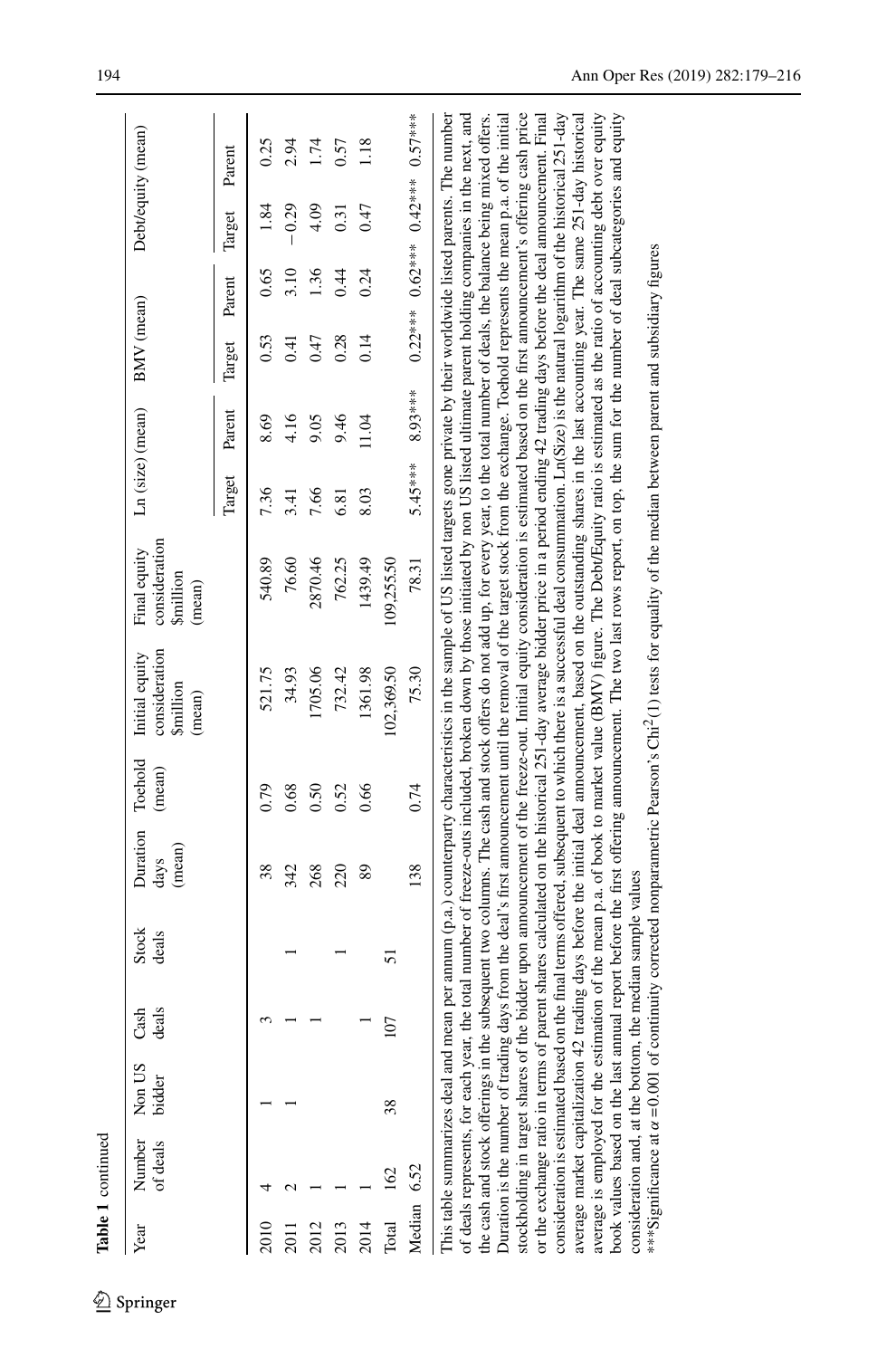|             | Table 1 continued                                                           |                  |               |                                                            |                            |                   |                                                              |                                                                                                                                                                                                                                                                                                                                                                                                                                                                                                                                                                                                                                                                                                                                                                                                                                                                                                                                                                                                                                                                                                                                                                                                                                                                                                                                                                                                                                                                                                                                                                                                                                                                                                                                                                                                                                                                                                                                                                             |                  |         |            |        |                    |                                         |
|-------------|-----------------------------------------------------------------------------|------------------|---------------|------------------------------------------------------------|----------------------------|-------------------|--------------------------------------------------------------|-----------------------------------------------------------------------------------------------------------------------------------------------------------------------------------------------------------------------------------------------------------------------------------------------------------------------------------------------------------------------------------------------------------------------------------------------------------------------------------------------------------------------------------------------------------------------------------------------------------------------------------------------------------------------------------------------------------------------------------------------------------------------------------------------------------------------------------------------------------------------------------------------------------------------------------------------------------------------------------------------------------------------------------------------------------------------------------------------------------------------------------------------------------------------------------------------------------------------------------------------------------------------------------------------------------------------------------------------------------------------------------------------------------------------------------------------------------------------------------------------------------------------------------------------------------------------------------------------------------------------------------------------------------------------------------------------------------------------------------------------------------------------------------------------------------------------------------------------------------------------------------------------------------------------------------------------------------------------------|------------------|---------|------------|--------|--------------------|-----------------------------------------|
| Year        | Number<br>of deals                                                          | Non US<br>bidder | deals<br>Cash | Stock<br>deals                                             | Duration<br>(mean)<br>days | Toehold<br>(mean) | consideration<br>Initial equity<br><b>Smillion</b><br>(mean) | consideration<br>Final equity<br>Smillion<br>(mean)                                                                                                                                                                                                                                                                                                                                                                                                                                                                                                                                                                                                                                                                                                                                                                                                                                                                                                                                                                                                                                                                                                                                                                                                                                                                                                                                                                                                                                                                                                                                                                                                                                                                                                                                                                                                                                                                                                                         | Ln (size) (mean) |         | BMV (mean) |        | Debt/equity (mean) |                                         |
|             |                                                                             |                  |               |                                                            |                            |                   |                                                              |                                                                                                                                                                                                                                                                                                                                                                                                                                                                                                                                                                                                                                                                                                                                                                                                                                                                                                                                                                                                                                                                                                                                                                                                                                                                                                                                                                                                                                                                                                                                                                                                                                                                                                                                                                                                                                                                                                                                                                             | Target           | Parent  | Target     | Parent | Target             | Parent                                  |
|             |                                                                             |                  | 3             |                                                            | 38                         | 0.79              | 521.75                                                       | 540.89                                                                                                                                                                                                                                                                                                                                                                                                                                                                                                                                                                                                                                                                                                                                                                                                                                                                                                                                                                                                                                                                                                                                                                                                                                                                                                                                                                                                                                                                                                                                                                                                                                                                                                                                                                                                                                                                                                                                                                      | 7.36             | 8.69    | 0.53       | 0.65   | 1.84               | 0.25                                    |
|             |                                                                             |                  |               |                                                            | 342                        | 0.68              | 34.93                                                        | 76.60                                                                                                                                                                                                                                                                                                                                                                                                                                                                                                                                                                                                                                                                                                                                                                                                                                                                                                                                                                                                                                                                                                                                                                                                                                                                                                                                                                                                                                                                                                                                                                                                                                                                                                                                                                                                                                                                                                                                                                       | 3.41             | 4.16    | 0.41       | 3.10   | $-0.29$            | 2.94                                    |
| 2012        |                                                                             |                  |               |                                                            | 268                        | 0.50              | 1705.06                                                      | 2870.46                                                                                                                                                                                                                                                                                                                                                                                                                                                                                                                                                                                                                                                                                                                                                                                                                                                                                                                                                                                                                                                                                                                                                                                                                                                                                                                                                                                                                                                                                                                                                                                                                                                                                                                                                                                                                                                                                                                                                                     | 7.66             | 9.05    | 0.47       | 1.36   | 4.09               | 1.74                                    |
| 2013        |                                                                             |                  |               |                                                            | 220                        | 0.52              | 732.42                                                       | 762.25                                                                                                                                                                                                                                                                                                                                                                                                                                                                                                                                                                                                                                                                                                                                                                                                                                                                                                                                                                                                                                                                                                                                                                                                                                                                                                                                                                                                                                                                                                                                                                                                                                                                                                                                                                                                                                                                                                                                                                      | 6.81             | 9.46    | 0.28       | 0.44   | 0.31               | 0.57                                    |
| 2014        |                                                                             |                  |               |                                                            | 89                         | 0.66              | 1361.98                                                      | 1439.49                                                                                                                                                                                                                                                                                                                                                                                                                                                                                                                                                                                                                                                                                                                                                                                                                                                                                                                                                                                                                                                                                                                                                                                                                                                                                                                                                                                                                                                                                                                                                                                                                                                                                                                                                                                                                                                                                                                                                                     | 8.03             | 11.04   | 0.14       | 0.24   | 0.47               | 1.18                                    |
| Total       | $\mathcal{S}$                                                               | 38               | Ē             | 5                                                          |                            |                   | 102,369.50                                                   | 109,255.50                                                                                                                                                                                                                                                                                                                                                                                                                                                                                                                                                                                                                                                                                                                                                                                                                                                                                                                                                                                                                                                                                                                                                                                                                                                                                                                                                                                                                                                                                                                                                                                                                                                                                                                                                                                                                                                                                                                                                                  |                  |         |            |        |                    |                                         |
| Median 6.52 |                                                                             |                  |               |                                                            | 138                        | 0.74              | 75.30                                                        | 78.31                                                                                                                                                                                                                                                                                                                                                                                                                                                                                                                                                                                                                                                                                                                                                                                                                                                                                                                                                                                                                                                                                                                                                                                                                                                                                                                                                                                                                                                                                                                                                                                                                                                                                                                                                                                                                                                                                                                                                                       | $5.45***$        | 8.93*** |            |        |                    | $0.22***$ $0.62***$ $0.42***$ $0.57***$ |
|             | stockholding in target shares of the<br>consideration is estimated based on |                  |               | consideration and, at the bottom, the median sample values |                            |                   |                                                              | bidder upon announcement of the freeze-out. Initial equity consideration is estimated based on the first announcement's offering cash price<br>average is employed for the estimation of the mean p.a. of book to market value (BMV) figure. The Debt/Equity ratio is estimated as the ratio of accounting debt over equity<br>This table summarizes deal and mean per annum (p.a.) counterparty characteristics in the sample of US listed targets gone private by their worldwide listed parents. The number<br>the final terms offered, subsequent to which there is a successful deal consummation. Ln(Size) is the natural logarithm of the historical 251-day<br>of deals represents, for each year, the total number of freeze-outs included, broken down by those initiated by non US listed ultimate parent holding companies in the next, and<br>book values based on the last annual report before the first offering announcement. The two last rows report, on top, the sum for the number of deal subcategories and equity<br>Duration is the number of trading days from the deal's first announcement until the removal of the target stock from the exchange. Toehold represents the mean p.a. of the initial<br>or the exchange ratio in terms of parent shares calculated on the historical 251-day average bidder price in a period ending 42 trading days before the deal announcement. Final<br>average market capitalization 42 trading days before the initial deal announcement, based on the outstanding shares in the last accounting year. The same 251-day historical<br>the cash and stock offerings in the subsequent two columns. The cash and stock offers do not add up, for every year, to the total number of deals, the balance being mixed offers.<br>***Significance at $\alpha$ = 0.001 of continuity corrected nonparametric Pearson's Chi <sup>2</sup> (1) tests for equality of the median between parent and subsidiary figures |                  |         |            |        |                    |                                         |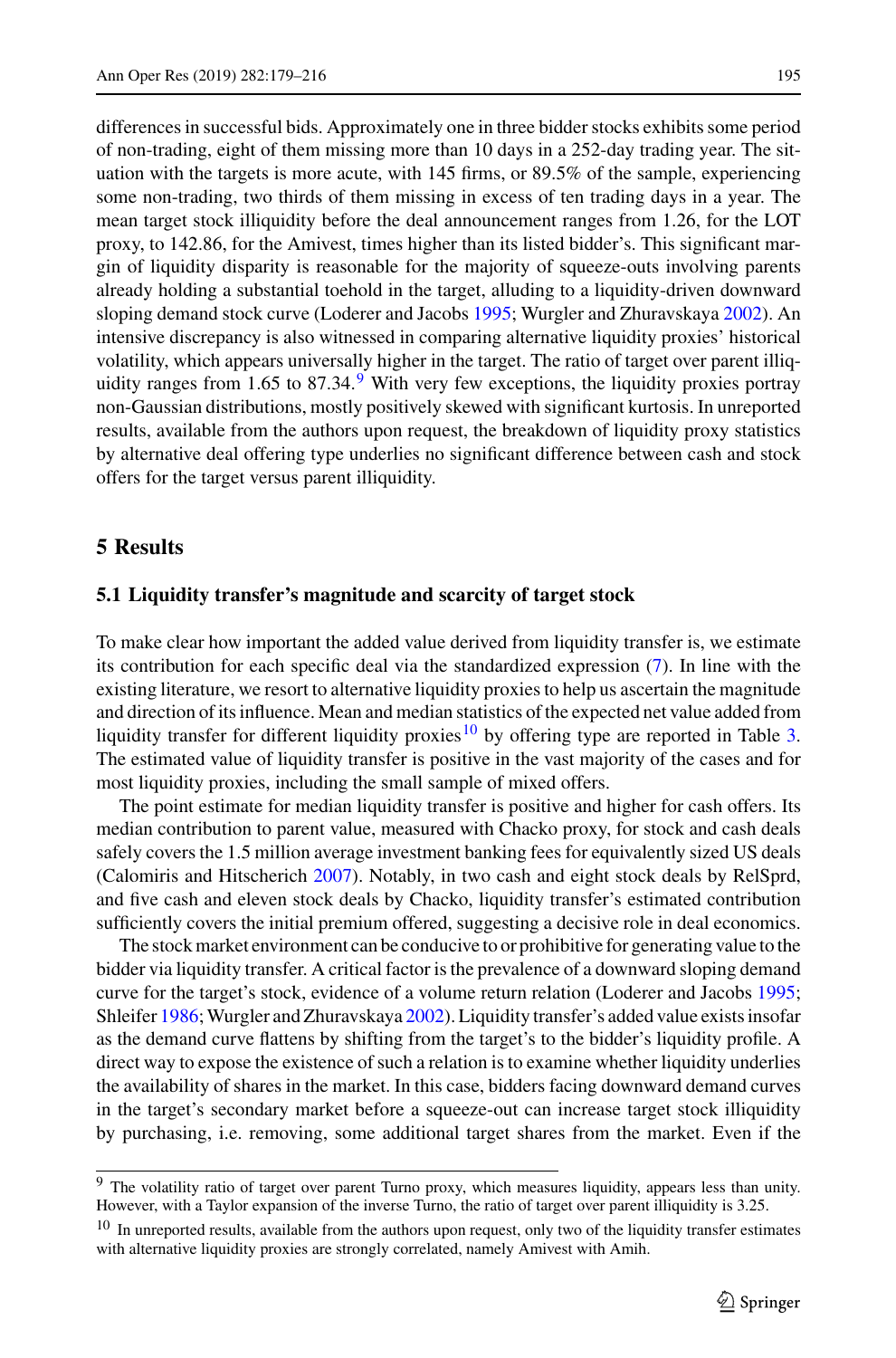differences in successful bids. Approximately one in three bidder stocks exhibits some period of non-trading, eight of them missing more than 10 days in a 252-day trading year. The situation with the targets is more acute, with 145 firms, or 89.5% of the sample, experiencing some non-trading, two thirds of them missing in excess of ten trading days in a year. The mean target stock illiquidity before the deal announcement ranges from 1.26, for the LOT proxy, to 142.86, for the Amivest, times higher than its listed bidder's. This significant margin of liquidity disparity is reasonable for the majority of squeeze-outs involving parents already holding a substantial toehold in the target, alluding to a liquidity-driven downward sloping demand stock curve (Loderer and Jacobs [1995;](#page-36-14) Wurgler and Zhuravskaya [2002\)](#page-37-1). An intensive discrepancy is also witnessed in comparing alternative liquidity proxies' historical volatility, which appears universally higher in the target. The ratio of target over parent illiq-uidity ranges from 1[.](#page-16-1)65 to 87.34. $9$  With very few exceptions, the liquidity proxies portray non-Gaussian distributions, mostly positively skewed with significant kurtosis. In unreported results, available from the authors upon request, the breakdown of liquidity proxy statistics by alternative deal offering type underlies no significant difference between cash and stock offers for the target versus parent illiquidity.

#### <span id="page-16-5"></span><span id="page-16-0"></span>**5 Results**

#### **5.1 Liquidity transfer's magnitude and scarcity of target stock**

To make clear how important the added value derived from liquidity transfer is, we estimate its contribution for each specific deal via the standardized expression [\(7\)](#page-6-3). In line with the existing literature, we resort to alternative liquidity proxies to help us ascertain the magnitude and direction of its influence. Mean and median statistics of the expected net value added from liquidity tran[s](#page-16-3)fer for different liquidity proxies<sup>[10](#page-16-4)</sup> by offering type are reported in Table [3.](#page-18-0) The estimated value of liquidity transfer is positive in the vast majority of the cases and for most liquidity proxies, including the small sample of mixed offers.

The point estimate for median liquidity transfer is positive and higher for cash offers. Its median contribution to parent value, measured with Chacko proxy, for stock and cash deals safely covers the 1.5 million average investment banking fees for equivalently sized US deals (Calomiris and Hitscherich [2007\)](#page-35-22). Notably, in two cash and eight stock deals by RelSprd, and five cash and eleven stock deals by Chacko, liquidity transfer's estimated contribution sufficiently covers the initial premium offered, suggesting a decisive role in deal economics.

The stock market environment can be conducive to or prohibitive for generating value to the bidder via liquidity transfer. A critical factor is the prevalence of a downward sloping demand curve for the target's stock, evidence of a volume return relation (Loderer and Jacobs [1995;](#page-36-14) Shleifer [1986;](#page-36-15) Wurgler and Zhuravskaya [2002\)](#page-37-1). Liquidity transfer's added value exists insofar as the demand curve flattens by shifting from the target's to the bidder's liquidity profile. A direct way to expose the existence of such a relation is to examine whether liquidity underlies the availability of shares in the market. In this case, bidders facing downward demand curves in the target's secondary market before a squeeze-out can increase target stock illiquidity by purchasing, i.e. removing, some additional target shares from the market. Even if the

<span id="page-16-3"></span><span id="page-16-2"></span><span id="page-16-1"></span><sup>9</sup> The volatility ratio of target over parent Turno proxy, which measures liquidity, appears less than unity. However, with a Taylor expansion of the inverse Turno, the ratio of target over parent illiquidity is 3.25.

<span id="page-16-4"></span><sup>&</sup>lt;sup>10</sup> In unreported results, available from the authors upon request, only two of the liquidity transfer estimates with alternative liquidity proxies are strongly correlated, namely Amivest with Amih.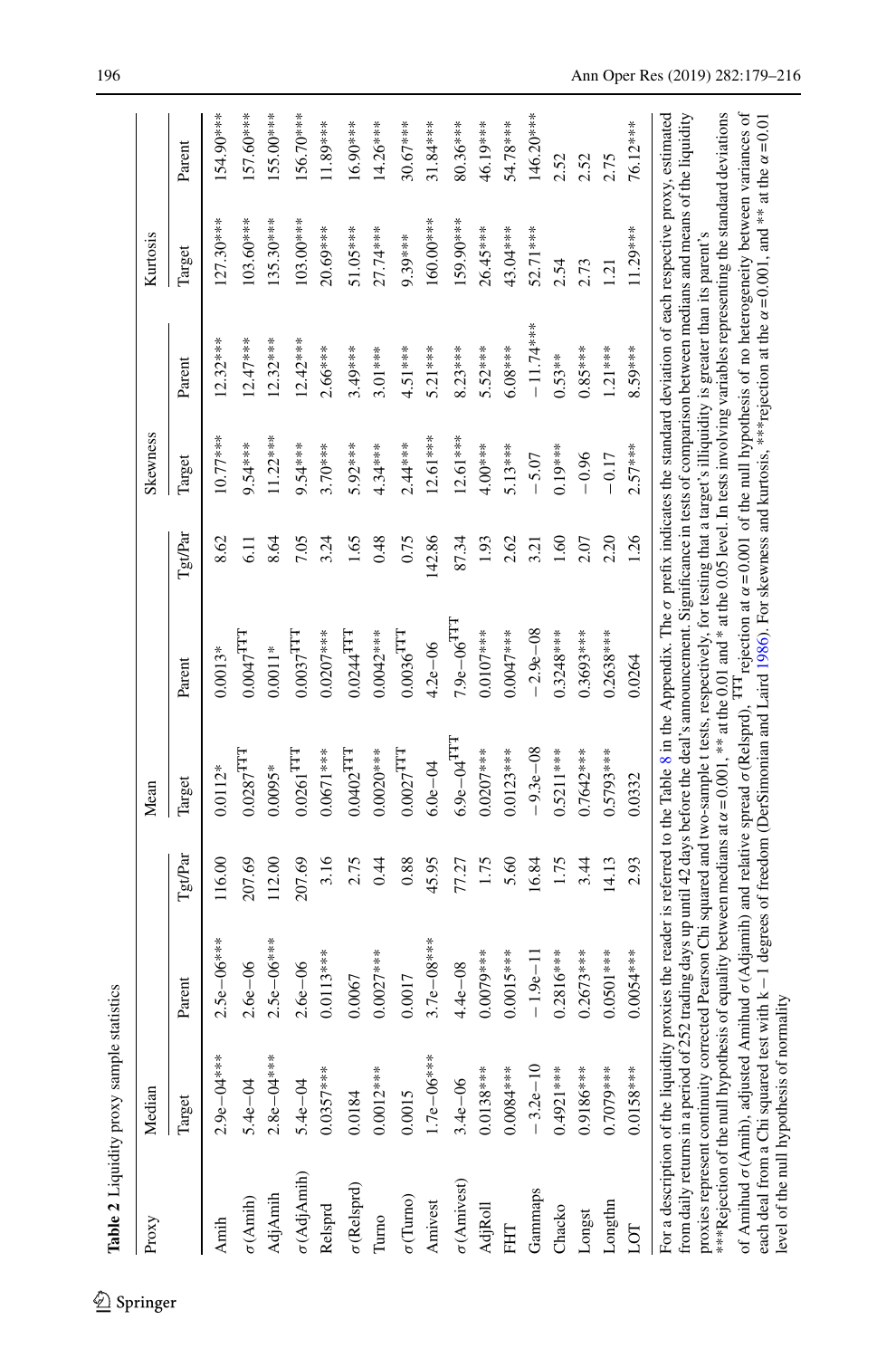Table 2 Liquidity proxy sample statistics

| Proxy                 | Median         |                |                             | Mean                                            |                            |                | Skewness   |             | Kurtosis    |             |
|-----------------------|----------------|----------------|-----------------------------|-------------------------------------------------|----------------------------|----------------|------------|-------------|-------------|-------------|
|                       | Target         | Parent         | $\mathrm{Tg}t/\mathrm{Par}$ | Target                                          | Parent                     | TgtPar         | Target     | Parent      | Target      | Parent      |
| Amih                  | $2.9e - 04***$ | $2.5e - 06***$ | 116.00                      | $0.0112*$                                       | $0.0013*$                  | 8.62           | $10.77***$ | $12.32***$  | $127.30***$ | $154.90***$ |
| $\sigma(\rm{Amih})$   | $5.4e-04$      | $2.6e - 06$    | 207.69                      | $0.0287$ $\textbf{FFT}$                         | $TFT_{100,000}$            | $\overline{5}$ | $9.54***$  | $12.47***$  | $103.60***$ | $157.60***$ |
| AdjAmih               | $2.8e - 04**$  | $2.5e - 06***$ | 112.00                      | $0.0095*$                                       | $0.0011*$                  | 8.64           | $11.22***$ | $12.32***$  | 135.30***   | $155.00***$ |
| $\sigma(\rm AdjAmih)$ | $5.4e-04$      | $2.6e - 06$    | 207.69                      | $0.0261$ <sup>TTT</sup>                         | $0.0037$ <sup>TTT</sup>    | 7.05           | $9.54***$  | $12.42***$  | $103.00***$ | $156.70***$ |
| Relsprd               | $0.0357***$    | $0.0113***$    | 3.16                        | $0.0671***$                                     | $0.0207***$                | 3.24           | $3.70***$  | $2.66***$   | 20.69***    | 11.89****   |
| $\sigma$ (Relsprd)    | 0.0184         | 0.0067         | 2.75                        | $\overline{\text{trt}}$ 2040.0                  | $0.0244$ <sup>TTT</sup>    | 1.65           | 5.92***    | $3.49***$   | $51.05***$  | $16.90***$  |
| Turno                 | $0.0012***$    | $0.0027***$    | 0.44                        | $0.0020***$                                     | $0.0042***$                | 0.48           | $4.34***$  | $3.01***$   | $27.74***$  | 14.26***    |
| $\sigma$ (Turno)      | 0.0015         | 0.0017         | 0.88                        | $\mathrm{t\mathbf{r}\mathbf{r}\mathbf{r}}$ 1200 | $0.0036^{\rm TT}$          | 0.75           | $2.44***$  | 4.51 ***    | 9.39***     | $30.67***$  |
| Amivest               | $1.7e - 06***$ | $3.7e - 08***$ | 45.95                       | $6.0e - 04$                                     | $4.2e - 06$                | 142.86         | 12.61***   | 5.21 ***    | $160.00***$ | 31.84***    |
| $\sigma$ (Amivest)    | $3.4e - 06$    | $4.4e - 08$    | 77.27                       | $6.9\mathrm{e}{-04}^\mathrm{TT}$                | $7.9e - 06$ <sup>TTT</sup> | 87.34          | $12.61***$ | $8.23***$   | 159.90***   | $80.36***$  |
| AdjRoll               | $0.0138***$    | 0.0079***      | 1.75                        | $0.0207***$                                     | $0.0107***$                | 1.93           | $4.00***$  | $5.52***$   | 26.45****   | 46.19***    |
| <b>FHT</b>            | $0.0084***$    | $0.0015***$    | 5.60                        | $0.0123***$                                     | $0.0047***$                | 2.62           | $5.13***$  | $6.08***$   | 43.04***    | 54.78***    |
| Gammaps               | $-3.2e - 10$   | $-1.9e-11$     | 16.84                       | $-9.3e - 08$                                    | $-2.9e - 08$               | 3.21           | $-5.07$    | $-11.74***$ | 52.71***    | $146.20***$ |
| Chacko                | 0.4921 ***     | $0.2816***$    | 1.75                        | $0.5211***$                                     | 0.3248***                  | 1.60           | $0.19***$  | $0.53**$    | 2.54        | 2.52        |
| Longst                | $0.9186***$    | $0.2673***$    | 3.44                        | $0.7642***$                                     | $0.3693***$                | 2.07           | $-0.96$    | $0.85***$   | 2.73        | 2.52        |
| Longthn               | 0.7079***      | $0.0501***$    | 14.13                       | $0.5793***$                                     | $0.2638***$                | 2.20           | $-0.17$    | $1.21***$   | 1.21        | 2.75        |
| LOT                   | $0.0158***$    | $0.0054***$    | 2.93                        | 0.0332                                          | 0.0264                     | 1.26           | $2.57***$  | 8.59***     | 11.29***    | 76.12***    |

 $\overline{\mathbf{y}}$ 

\*\*\*Rejection of the null hypothesis of equality between medians at  $\alpha = 0.001$ , \*\* at the 0.01 and \* at the 0.05 level. In tests involving variables representing the standard deviations of Amihud σ(Amih), adjusted Amihud σ(Adjamih) and relative spread σ(Relsprd),  $^{747}$  rejection at  $\alpha = 0.001$  of the null hypothesis of no heterogeneity between variances of

\*\*\*\*Rejection of the null hypothesis of equality between medians at  $\alpha$  =0.001, \*\* at the 0.01 and \* at the 0.05 level. In tests involving variables representing the standard deviations of Amihud  $\sigma$ (Amih), adjusted Amihud  $\sigma$ (Adjamih) and relative spread  $\sigma$ (Relsprd),  $^{TTT}$  rejection at  $\alpha$  =0.001 of the null hypothesis of no heterogeneity between variances of each deal from a Chi squared test with  $k-1$  degrees of freedom (DerSimonian and Laird 1986). For skewness and kurtosis, \*\*\*rejection at the  $\alpha = 0.001$ , and \*\* at the  $\alpha = 0.01$ 

−1 degrees of freedom (DerSimonian and Laird [1986\)](#page-35-23). For skewness and kurtosis, \*\*\*rejection at the α = 0.001, and \*\* at the α = 0.01

<span id="page-17-0"></span>each deal from a Chi squared test with k

level of the null hypothesis of normality

level of the null hypothesis of normality

 $\mathbf{L}$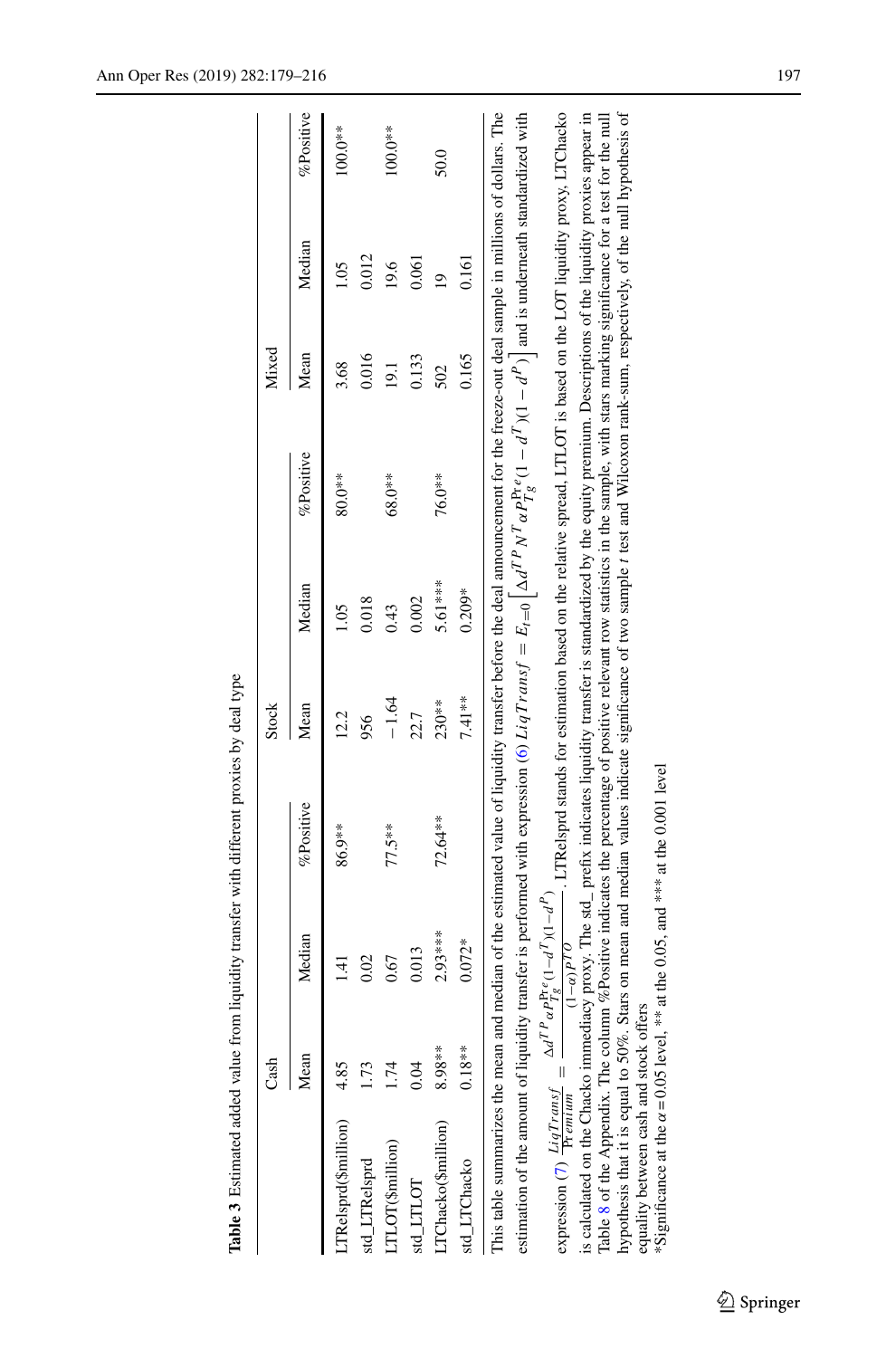| Table 3 Estimated added value from liquidity transfer with different proxies by deal type                                                                                                                                                                                                                                                                                                        |          |                                                              |                                                                                                                         |         |          |           |       |                 |           |
|--------------------------------------------------------------------------------------------------------------------------------------------------------------------------------------------------------------------------------------------------------------------------------------------------------------------------------------------------------------------------------------------------|----------|--------------------------------------------------------------|-------------------------------------------------------------------------------------------------------------------------|---------|----------|-----------|-------|-----------------|-----------|
|                                                                                                                                                                                                                                                                                                                                                                                                  | Cash     |                                                              |                                                                                                                         | Stock   |          |           | Mixed |                 |           |
|                                                                                                                                                                                                                                                                                                                                                                                                  | Mean     | Median                                                       | %Positive                                                                                                               | Mean    | Median   | %Positive | Mean  | Median          | %Positive |
| LTRelsprd(\$million)                                                                                                                                                                                                                                                                                                                                                                             |          | $\pm$                                                        | 86.9**                                                                                                                  | 12.2    | 0.1      | 80.0**    | 3.68  | 0.05            | 100.0**   |
| std_LTRelsprd                                                                                                                                                                                                                                                                                                                                                                                    |          | 0.02                                                         |                                                                                                                         | 956     | 0.018    |           | 0.016 | 0.012           |           |
| LTLOT(\$million)                                                                                                                                                                                                                                                                                                                                                                                 |          | 0.67                                                         | 77.5**                                                                                                                  | $-1.64$ | 0.43     | 68.0**    | 191   | 19.6            | 100.0**   |
| std_LTLOT                                                                                                                                                                                                                                                                                                                                                                                        |          | 0.013                                                        |                                                                                                                         | 22.7    | 0.002    |           | 0.133 | 0.061           |           |
| LTChacko(\$million)                                                                                                                                                                                                                                                                                                                                                                              | $8.98**$ | $2.93***$                                                    | 72.64**                                                                                                                 | $230**$ | 5.61***  | 76.0**    | 502   | $\overline{19}$ | 50.0      |
| std_LTChacko                                                                                                                                                                                                                                                                                                                                                                                     | $0.18**$ | $0.072*$                                                     |                                                                                                                         | 7.41 ** | $0.209*$ |           | 0.165 | 0.161           |           |
| This table summarizes the mean and median of the estimated value of liquidity transfer before the deal announcement for the freeze-out deal sample in millions of dollars. The<br>estimation of the amount of liquidity transfer is performed with expression (6) Liq Trans $f = E_t = 0 \left  \Delta d^T P N^T \alpha P_{Tg}^T (1 - d^T)(1 - d^P) \right $ and is underneath standardized with |          |                                                              |                                                                                                                         |         |          |           |       |                 |           |
| expression (7) $\frac{LiqTransf}{Pr$ = $\frac{\Delta G}{I}$                                                                                                                                                                                                                                                                                                                                      |          | $\Delta d^T P \alpha P_{T_p}^{\rm Pr} e (1 - d^T) (1 - d^P)$ | $-$ . LTRelsprd stands for estimation based on the relative spread, LTLOT is based on the LOT liquidity proxy, LTChacko |         |          |           |       |                 |           |
| is calculated on the Chacko immediacy proxy. The std_prefix indicates liquidity transfer is standardized by the equity premium. Descriptions of the liquidity proxies appear in<br>Table 8 of the Appendix. The column %Positive indicates the percentage of positive relevant row statistics in the sample, with stars marking significance for a test for the null                             |          | $(1-\alpha)P^TO$                                             |                                                                                                                         |         |          |           |       |                 |           |
| hypothesis that it is equal to 50%. Stars on mean and median values indicate significance of two sample t test and Wilcoxon rank-sum, respectively, of the null hypothesis of<br>equality between cash and stock offers                                                                                                                                                                          |          |                                                              |                                                                                                                         |         |          |           |       |                 |           |
| *Significance at the $\alpha$ = 0.05 level, ** at the 0.05, and *** at the 0.001 level                                                                                                                                                                                                                                                                                                           |          |                                                              |                                                                                                                         |         |          |           |       |                 |           |

<span id="page-18-0"></span>

| i<br>S         |
|----------------|
| ---------<br>l |
| Î              |
|                |
|                |
|                |
|                |
|                |
|                |
| ļ              |
|                |
| i<br>י         |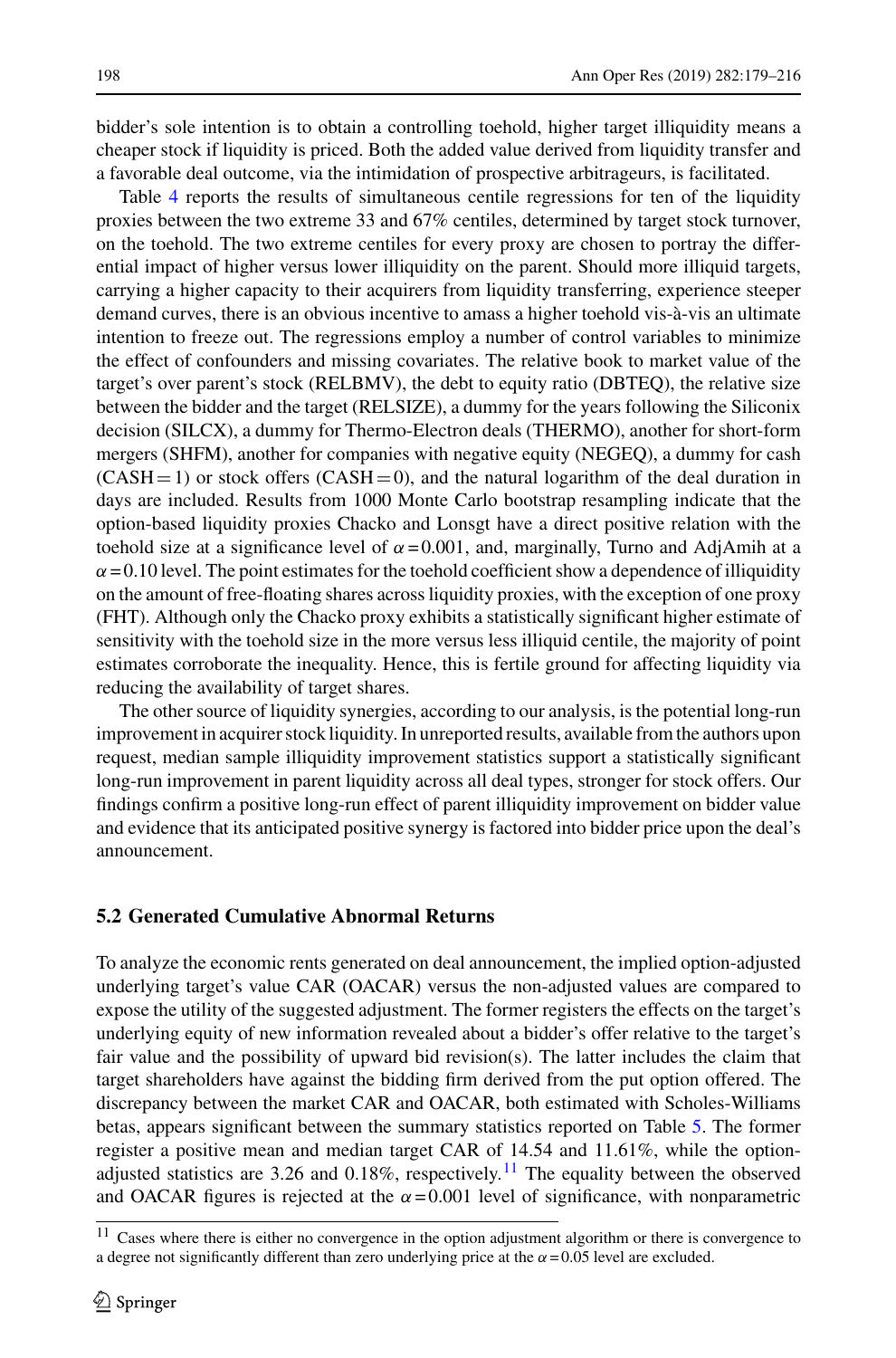bidder's sole intention is to obtain a controlling toehold, higher target illiquidity means a cheaper stock if liquidity is priced. Both the added value derived from liquidity transfer and a favorable deal outcome, via the intimidation of prospective arbitrageurs, is facilitated.

Table [4](#page-20-0) reports the results of simultaneous centile regressions for ten of the liquidity proxies between the two extreme 33 and 67% centiles, determined by target stock turnover, on the toehold. The two extreme centiles for every proxy are chosen to portray the differential impact of higher versus lower illiquidity on the parent. Should more illiquid targets, carrying a higher capacity to their acquirers from liquidity transferring, experience steeper demand curves, there is an obvious incentive to amass a higher toehold vis-à-vis an ultimate intention to freeze out. The regressions employ a number of control variables to minimize the effect of confounders and missing covariates. The relative book to market value of the target's over parent's stock (RELBMV), the debt to equity ratio (DBTEQ), the relative size between the bidder and the target (RELSIZE), a dummy for the years following the Siliconix decision (SILCX), a dummy for Thermo-Electron deals (THERMO), another for short-form mergers (SHFM), another for companies with negative equity (NEGEQ), a dummy for cash  $(CASH = 1)$  or stock offers  $(CASH = 0)$ , and the natural logarithm of the deal duration in days are included. Results from 1000 Monte Carlo bootstrap resampling indicate that the option-based liquidity proxies Chacko and Lonsgt have a direct positive relation with the toehold size at a significance level of  $\alpha = 0.001$ , and, marginally, Turno and AdjAmih at a  $\alpha$  = 0.10 level. The point estimates for the toehold coefficient show a dependence of illiquidity on the amount of free-floating shares across liquidity proxies, with the exception of one proxy (FHT). Although only the Chacko proxy exhibits a statistically significant higher estimate of sensitivity with the toehold size in the more versus less illiquid centile, the majority of point estimates corroborate the inequality. Hence, this is fertile ground for affecting liquidity via reducing the availability of target shares.

The other source of liquidity synergies, according to our analysis, is the potential long-run improvement in acquirer stock liquidity. In unreported results, available from the authors upon request, median sample illiquidity improvement statistics support a statistically significant long-run improvement in parent liquidity across all deal types, stronger for stock offers. Our findings confirm a positive long-run effect of parent illiquidity improvement on bidder value and evidence that its anticipated positive synergy is factored into bidder price upon the deal's announcement.

### **5.2 Generated Cumulative Abnormal Returns**

To analyze the economic rents generated on deal announcement, the implied option-adjusted underlying target's value CAR (OACAR) versus the non-adjusted values are compared to expose the utility of the suggested adjustment. The former registers the effects on the target's underlying equity of new information revealed about a bidder's offer relative to the target's fair value and the possibility of upward bid revision(s). The latter includes the claim that target shareholders have against the bidding firm derived from the put option offered. The discrepancy between the market CAR and OACAR, both estimated with Scholes-Williams betas, appears significant between the summary statistics reported on Table [5.](#page-23-0) The former register a positive mean and median target CAR of 14.54 and 11.61%, while the option-adjusted statistics are 3[.](#page-19-0)26 and 0.18%, respectively.<sup>[11](#page-19-1)</sup> The equality between the observed and OACAR figures is rejected at the  $\alpha = 0.001$  level of significance, with nonparametric

<span id="page-19-1"></span><span id="page-19-0"></span><sup>&</sup>lt;sup>11</sup> Cases where there is either no convergence in the option adjustment algorithm or there is convergence to a degree not significantly different than zero underlying price at the  $\alpha$  = 0.05 level are excluded.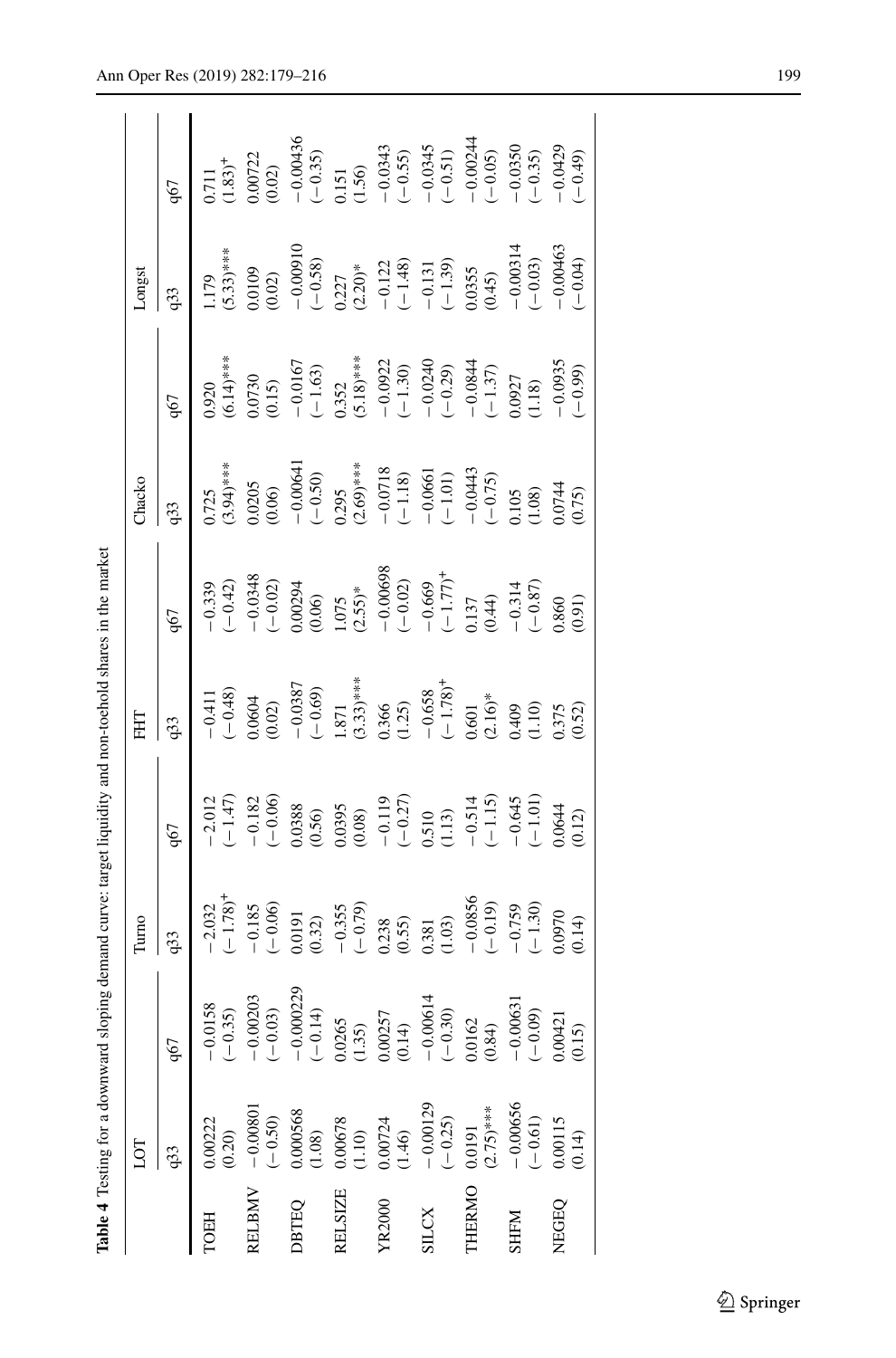<span id="page-20-0"></span>

| i                                                                    |
|----------------------------------------------------------------------|
|                                                                      |
|                                                                      |
|                                                                      |
|                                                                      |
|                                                                      |
|                                                                      |
|                                                                      |
|                                                                      |
| ֧֧֧֧֧֧ׅ֧֧֧֚֚֚֚֚֚֚֚֚֚֚֚֚֚֚֚֚֚֚֚֚֚֚֡֟֟֓֝֝֟֓֝֟֓֞֟֓֞֟֓֞֝֬֝֓֝֟֓֝֬֜֝֬֜֝֬֝֬ |
|                                                                      |
|                                                                      |
|                                                                      |
|                                                                      |
|                                                                      |
|                                                                      |
|                                                                      |
| tu ona non too                                                       |
| j                                                                    |
|                                                                      |
| ı                                                                    |
|                                                                      |
| i<br>l                                                               |
| $\overline{\phantom{a}}$                                             |
|                                                                      |
|                                                                      |
|                                                                      |
|                                                                      |
|                                                                      |
|                                                                      |
|                                                                      |
|                                                                      |
|                                                                      |
|                                                                      |
| į                                                                    |
| .<br>}                                                               |
| Į                                                                    |
| į                                                                    |
|                                                                      |
| l                                                                    |
|                                                                      |
|                                                                      |
|                                                                      |
| l                                                                    |
| ֕֕֡֡                                                                 |
| į                                                                    |
|                                                                      |
|                                                                      |
| $\ddot{\cdot}$<br>Table 4 1                                          |
|                                                                      |
| ;                                                                    |
|                                                                      |
|                                                                      |

|                              | Table 4 Testing for a downward slop                                                                               |                                                                                                                                                                                                                             |                                                                                                                                                                                                                            |                                                                                                                                                                                                                                                                                                                |                                                                                                                                                                                                                                                                                          |                                                                                                                                                                                                                                                  |                                                                                                                                                            |                                                                                                                                                                                                                                            |                                                                                                                                                                       |                                                                                                                                                                 |
|------------------------------|-------------------------------------------------------------------------------------------------------------------|-----------------------------------------------------------------------------------------------------------------------------------------------------------------------------------------------------------------------------|----------------------------------------------------------------------------------------------------------------------------------------------------------------------------------------------------------------------------|----------------------------------------------------------------------------------------------------------------------------------------------------------------------------------------------------------------------------------------------------------------------------------------------------------------|------------------------------------------------------------------------------------------------------------------------------------------------------------------------------------------------------------------------------------------------------------------------------------------|--------------------------------------------------------------------------------------------------------------------------------------------------------------------------------------------------------------------------------------------------|------------------------------------------------------------------------------------------------------------------------------------------------------------|--------------------------------------------------------------------------------------------------------------------------------------------------------------------------------------------------------------------------------------------|-----------------------------------------------------------------------------------------------------------------------------------------------------------------------|-----------------------------------------------------------------------------------------------------------------------------------------------------------------|
|                              | LOT                                                                                                               |                                                                                                                                                                                                                             | <b>Turno</b>                                                                                                                                                                                                               |                                                                                                                                                                                                                                                                                                                | HE                                                                                                                                                                                                                                                                                       |                                                                                                                                                                                                                                                  | hacko                                                                                                                                                      |                                                                                                                                                                                                                                            | ongst                                                                                                                                                                 |                                                                                                                                                                 |
|                              | q33                                                                                                               | q67                                                                                                                                                                                                                         |                                                                                                                                                                                                                            | Ţδ                                                                                                                                                                                                                                                                                                             |                                                                                                                                                                                                                                                                                          | Į9t                                                                                                                                                                                                                                              |                                                                                                                                                            | İ9t                                                                                                                                                                                                                                        | q33                                                                                                                                                                   | rop                                                                                                                                                             |
| TOEH                         | $0.00222$<br>(0.20)                                                                                               |                                                                                                                                                                                                                             |                                                                                                                                                                                                                            |                                                                                                                                                                                                                                                                                                                |                                                                                                                                                                                                                                                                                          |                                                                                                                                                                                                                                                  |                                                                                                                                                            |                                                                                                                                                                                                                                            |                                                                                                                                                                       |                                                                                                                                                                 |
| $RELSMV -0.00801$<br>(-0.50) |                                                                                                                   | $\begin{array}{r} -0.0158 \\ (-0.35) \\ -0.00203 \\ (-0.03) \\ -0.000229 \\ -0.000229 \\ -0.00255 \\ -0.0055 \\ 0.0057 \\ -0.00614 \\ -0.00614 \\ -0.00614 \\ -0.00614 \\ 0.0162 \\ 0.0062 \\ 0.0062 \\ 0.0063 \end{array}$ |                                                                                                                                                                                                                            |                                                                                                                                                                                                                                                                                                                |                                                                                                                                                                                                                                                                                          |                                                                                                                                                                                                                                                  |                                                                                                                                                            |                                                                                                                                                                                                                                            |                                                                                                                                                                       |                                                                                                                                                                 |
| DBTEQ                        |                                                                                                                   |                                                                                                                                                                                                                             |                                                                                                                                                                                                                            |                                                                                                                                                                                                                                                                                                                |                                                                                                                                                                                                                                                                                          |                                                                                                                                                                                                                                                  |                                                                                                                                                            |                                                                                                                                                                                                                                            |                                                                                                                                                                       |                                                                                                                                                                 |
| <b>RELSIZE</b>               | $(1.08)$ $(1.08)$ $(1.0078)$ $(0.00678)$ $(1.10)$ $(0.00724)$ $(1.46)$ $(1.46)$ $(0.00129)$ $(0.00129)$ $(0.019)$ |                                                                                                                                                                                                                             |                                                                                                                                                                                                                            |                                                                                                                                                                                                                                                                                                                |                                                                                                                                                                                                                                                                                          |                                                                                                                                                                                                                                                  |                                                                                                                                                            |                                                                                                                                                                                                                                            |                                                                                                                                                                       |                                                                                                                                                                 |
| YR2000                       |                                                                                                                   |                                                                                                                                                                                                                             |                                                                                                                                                                                                                            |                                                                                                                                                                                                                                                                                                                |                                                                                                                                                                                                                                                                                          |                                                                                                                                                                                                                                                  |                                                                                                                                                            |                                                                                                                                                                                                                                            |                                                                                                                                                                       |                                                                                                                                                                 |
| $SLCX$                       |                                                                                                                   |                                                                                                                                                                                                                             |                                                                                                                                                                                                                            |                                                                                                                                                                                                                                                                                                                |                                                                                                                                                                                                                                                                                          |                                                                                                                                                                                                                                                  |                                                                                                                                                            |                                                                                                                                                                                                                                            |                                                                                                                                                                       |                                                                                                                                                                 |
| THERMO                       |                                                                                                                   |                                                                                                                                                                                                                             |                                                                                                                                                                                                                            |                                                                                                                                                                                                                                                                                                                |                                                                                                                                                                                                                                                                                          |                                                                                                                                                                                                                                                  |                                                                                                                                                            |                                                                                                                                                                                                                                            |                                                                                                                                                                       |                                                                                                                                                                 |
| <b>SHFM</b>                  | $-0.00656$<br>$(-0.61)$                                                                                           |                                                                                                                                                                                                                             |                                                                                                                                                                                                                            |                                                                                                                                                                                                                                                                                                                |                                                                                                                                                                                                                                                                                          |                                                                                                                                                                                                                                                  |                                                                                                                                                            |                                                                                                                                                                                                                                            |                                                                                                                                                                       |                                                                                                                                                                 |
| NEGEQ                        | $0.00115$<br>$(0.14)$                                                                                             | $\begin{array}{c} -0.00631 \\ (-0.09) \\ 0.00421 \\ (0.15) \end{array}$                                                                                                                                                     | $-2.032$<br>$(-1.78)^+$<br>$(-0.06)$<br>$(-0.06)$<br>$(-0.06)$<br>$(-0.09)$<br>$(-0.79)$<br>$(-0.79)$<br>$(-0.79)$<br>$(-0.79)$<br>$(-0.08)$<br>$(-0.09)$<br>$(-0.09)$<br>$(-0.09)$<br>$(-1.30)$<br>$(-1.30)$<br>$(-1.30)$ | $\begin{array}{r} -2.012 \\ -1.47 \\ -0.182 \\ 0.038 \\ 0.039 \\ 0.039 \\ 0.039 \\ 0.039 \\ 0.039 \\ -0.11 \\ -0.51 \\ -0.51 \\ -0.51 \\ -0.54 \\ -0.64 \\ 0.04 \\ 0.004 \\ 0.004 \\ 0.004 \\ 0.004 \\ 0.004 \\ 0.004 \\ 0.004 \\ 0.004 \\ 0.004 \\ 0.006 \\ 0.006 \\ 0.012 \\ 0.006 \\ 0.012 \\ 0.006 \\ 0.0$ | $-0.411$<br>$(-0.48)$<br>$0.0604$<br>$-0.0387$<br>$(-0.69)$<br>$(-0.69)$<br>$(-0.69)$<br>$1.871$<br>$1.373$<br>$-0.658$<br>$-1.78$<br>$-1.78$<br>$-1.78$<br>$(-1.79)$<br>$(-1.79)$<br>$(-1.79)$<br>$(-1.79)$<br>$(-1.04)$<br>$(-1.04)$<br>$(-1.04)$<br>$(-1.05)$<br>$(-1.05)$<br>$(-1.0$ | $-0.339$<br>$-0.0348$<br>$-0.0348$<br>$-0.0324$<br>$-0.0029$<br>$-0.0029$<br>$-0.0069$<br>$-0.069$<br>$-0.069$<br>$-0.069$<br>$-1.77$<br>$-0.059$<br>$-0.059$<br>$-0.059$<br>$-0.059$<br>$-0.034$<br>$-0.314$<br>$-0.37$<br>$-0.357$<br>$-0.357$ | 0.725<br>$(3.94)$ ***<br>0.0205<br>0.006<br>0.006<br>-0.0061<br>-0.0718<br>-0.065<br>-0.0443<br>-0.0443<br>-0.0443<br>-0.0443<br>-0.0443<br>-0.05<br>-0.05 | 0.920<br>$(6.14)$ ***<br>$(6.14)$ ***<br>$(0.15)$<br>$(-1.63)$<br>$(-1.63)$<br>$(-1.63)$<br>$(-1.63)$<br>$(-1.63)$<br>$(-1.30)$<br>$(-0.024)$<br>$(-0.024)$<br>$(-0.024)$<br>$(-1.37)$<br>$(-1.37)$<br>$(-1.30)$<br>$(-1.30)$<br>$(-1.30)$ | 1.179<br>(5.33) <sup>***</sup><br>(6.33) <sup>***</sup><br>(0.02)<br>(0.02)<br>(-0.58)<br>(-0.58)<br>(-0.58)<br>(-1.48)<br>(-1.39)<br>(-0.03)<br>(-0.0034<br>(-0.003) | 0.711<br>(1.83) <sup>+</sup><br>(1.83) <sup>+</sup><br>(0.00722<br>(-0.035)<br>(-0.055)<br>(-0.055)<br>(-0.055)<br>(-0.055)<br>(-0.055)<br>(-0.055)<br>(-0.055) |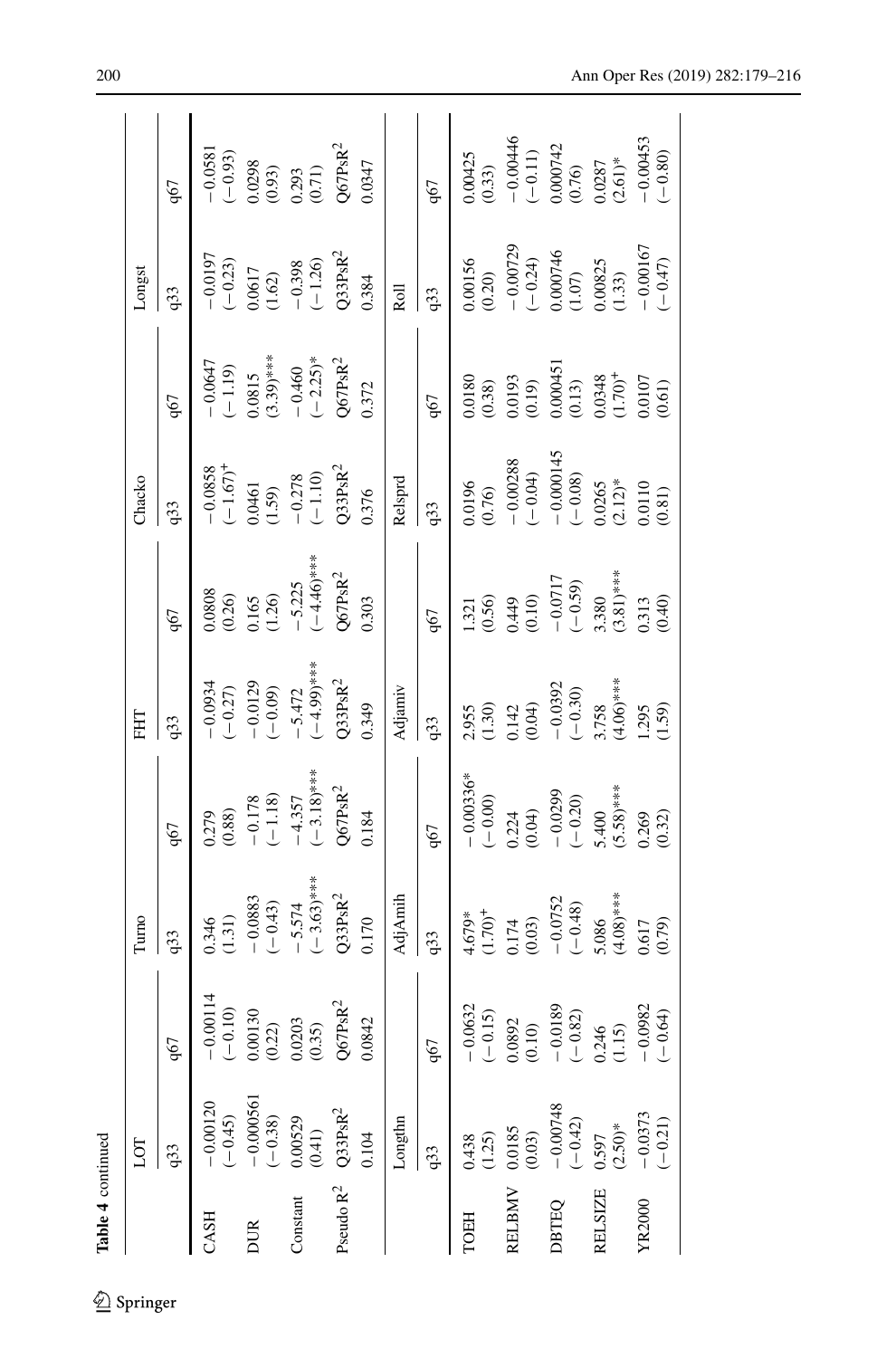| Table 4 continued     |                              |                                                                   |                                                                                                  |                                                                                                               |                                                                          |                                                                                                     |                                                                     |                                                                                                                                                                                                                                                                                                                       |                                                                                                                                  |                                                                                                                                                                  |
|-----------------------|------------------------------|-------------------------------------------------------------------|--------------------------------------------------------------------------------------------------|---------------------------------------------------------------------------------------------------------------|--------------------------------------------------------------------------|-----------------------------------------------------------------------------------------------------|---------------------------------------------------------------------|-----------------------------------------------------------------------------------------------------------------------------------------------------------------------------------------------------------------------------------------------------------------------------------------------------------------------|----------------------------------------------------------------------------------------------------------------------------------|------------------------------------------------------------------------------------------------------------------------------------------------------------------|
|                       | ĒД                           |                                                                   | <b>Turno</b>                                                                                     |                                                                                                               | Ë                                                                        |                                                                                                     | Chacko                                                              |                                                                                                                                                                                                                                                                                                                       | Longst                                                                                                                           |                                                                                                                                                                  |
|                       | q33                          | q67                                                               | q33                                                                                              | $\rm d_{0}$                                                                                                   | q33                                                                      | $\rm d_{\rm Q}$                                                                                     | q33                                                                 | q67                                                                                                                                                                                                                                                                                                                   | q3                                                                                                                               | q67                                                                                                                                                              |
| CASH                  | $-0.00120$<br>$(-0.45)$      |                                                                   |                                                                                                  | 0.279                                                                                                         |                                                                          |                                                                                                     |                                                                     |                                                                                                                                                                                                                                                                                                                       |                                                                                                                                  |                                                                                                                                                                  |
| DUR                   | $-0.000561$<br>$(-0.38)$     |                                                                   | $1.346$<br>(1.31)<br>- 0.0883<br>(-0.43)                                                         | $(0.88)$<br>-0.178<br>(-1.18)                                                                                 | $-0.0934$<br>$(-0.27)$<br>$-0.0129$<br>$(-0.09)$                         | 0.0808<br>0.260<br>0.165<br>0.1260                                                                  | $-0.0858$<br>$(-1.67)^+$<br>0.0461<br>(1.59)                        | $-0.0647$<br>$(-1.19)$<br>0.0815<br>(3.39)***                                                                                                                                                                                                                                                                         |                                                                                                                                  |                                                                                                                                                                  |
| Constant              | 0.00529<br>(0.41)            | $-0.00114$<br>$(-0.10)$<br>0.00130<br>0.0022)<br>0.0203<br>0.035) | $-5.574$<br>$(-3.63)$ ***<br>Q33PsR <sup>2</sup>                                                 | $-4.357$<br>$(-3.18)***$                                                                                      | $-5.472$<br>$(-4.99)***$                                                 | $-5.225$<br>( $-4.46$ )***                                                                          | $-0.278$<br>$(-1.10)$                                               | $-0.460$<br>$(-2.25)*$<br>Q67PsR <sup>2</sup>                                                                                                                                                                                                                                                                         | $\begin{array}{r} -0.0197 \\ (-0.23) \\ 0.0617 \\ (1.62) \\ -0.398 \\ (-1.26) \\ \hline \end{array}$                             |                                                                                                                                                                  |
| Pseudo $\mathbb{R}^2$ | Q33PsR <sup>2</sup><br>0.104 | $\rm Q67PsR^2$<br>0.0842                                          | 0.170                                                                                            | $Q67PsR^2$<br>0.184                                                                                           | $\rm Q33PsR^2$<br>0.349                                                  | $\rm Q67PsR^2$<br>0.303                                                                             | Q33PsR <sup>2</sup><br>0.376                                        | 0.372                                                                                                                                                                                                                                                                                                                 | 0.384                                                                                                                            | $\begin{array}{l} -0.0581\ (-0.93) \ (0.0298\ 0.0298\ 0.03) \end{array} \ \begin{array}{l} \scriptstyle 0.0581\ 0.033\ 0.293\ 0.071\ 0.071\ 0.0347\ \end{array}$ |
|                       | Longthn                      |                                                                   | AdjAmih                                                                                          |                                                                                                               | Adjamiv                                                                  |                                                                                                     | Relsprd                                                             |                                                                                                                                                                                                                                                                                                                       | Roll                                                                                                                             |                                                                                                                                                                  |
|                       | q33                          | q67                                                               | q33                                                                                              | $\rm d_{\rm Q}$                                                                                               | q33                                                                      | q67                                                                                                 | q33                                                                 | $\log$                                                                                                                                                                                                                                                                                                                | q33                                                                                                                              | $\log$                                                                                                                                                           |
| TOEH                  | (1.25)<br>0.438              |                                                                   |                                                                                                  |                                                                                                               |                                                                          |                                                                                                     |                                                                     |                                                                                                                                                                                                                                                                                                                       |                                                                                                                                  |                                                                                                                                                                  |
| RELBMV                | $\frac{0.0185}{(0.03)}$      | $-0.0632$<br>$(-0.15)$<br>0.0892<br>(0.10)                        | 4.679*<br>(1.70) <sup>+</sup><br>0.174<br>(0.03)<br>(0.03)<br>(-0.48)<br>5.086<br>5.086<br>0.617 |                                                                                                               | 2.955<br>(1.30)<br>0.142<br>(0.04)                                       | 1.321<br>(0.56)<br>(0.56)<br>0.449<br>(0.10)<br>- 0.6717<br>(1.59)<br>(0.59)<br>3.380<br>(3.81)**** | $0.0196$<br>$(0.76)$<br>$-0.00288$<br>$(-0.04)$                     | $\begin{array}{l} 0.0180 \\ (0.38) \\ (0.0193 \\ (0.19) \\ (0.000451 \\ (0.013) \\ (0.0348 \\ (0.0348 \\ (0.0107 \\ (0.0107 \\ (0.0107 \\ (0.0107 \\ (0.0107 \\ (0.0107 \\ (0.0107 \\ (0.0107 \\ (0.0107 \\ (0.0107 \\ (0.0107 \\ (0.0107 \\ (0.0107 \\ (0.0107 \\ (0.0107 \\ (0.0107 \\ (0.0107 \\ (0.0107 \\ (0.01$ | $\begin{array}{l} 0.00156 \\ (0.20) \\ -0.00729 \\ (-0.24) \\ 0.000746 \\ (1.07) \\ (1.07) \\ (1.00825 \\ (1.33) \\ \end{array}$ | $(0.00425$<br>$(0.33)$<br>$-0.00446$<br>$(-0.11)$<br>$(0.00742)$<br>$(0.00742)$<br>$(0.0287)$<br>$(-0.80)$                                                       |
| DBTEQ                 | $-0.00748$<br>$(-0.42)$      |                                                                   |                                                                                                  |                                                                                                               |                                                                          |                                                                                                     |                                                                     |                                                                                                                                                                                                                                                                                                                       |                                                                                                                                  |                                                                                                                                                                  |
| <b>RELSIZE</b>        | $0.597$<br>(2.50)*           | $-0.0189$<br>$(-0.82)$<br>0.246<br>(1.15)                         |                                                                                                  |                                                                                                               |                                                                          |                                                                                                     |                                                                     |                                                                                                                                                                                                                                                                                                                       |                                                                                                                                  |                                                                                                                                                                  |
| YR2000                | $-0.0373$<br>$(-0.21)$       | $-0.0982$<br>$(-0.64)$                                            |                                                                                                  | $-0.00336*$<br>$(-0.00)$<br>$0.224$<br>$0.029$<br>$-0.0299$<br>$-0.200$<br>$(-0.20)$<br>$5.400$<br>$5.58)***$ | $-0.0392$<br>$(-0.30)$<br>$3.758$<br>$(4.06)$ ***<br>$1.295$<br>$(1.59)$ |                                                                                                     | $-0.000145$<br>$(-0.08)$<br>0.0265<br>$(2.12)*$<br>0.0110<br>0.031) |                                                                                                                                                                                                                                                                                                                       | $-0.00167$<br>$(-0.47)$                                                                                                          |                                                                                                                                                                  |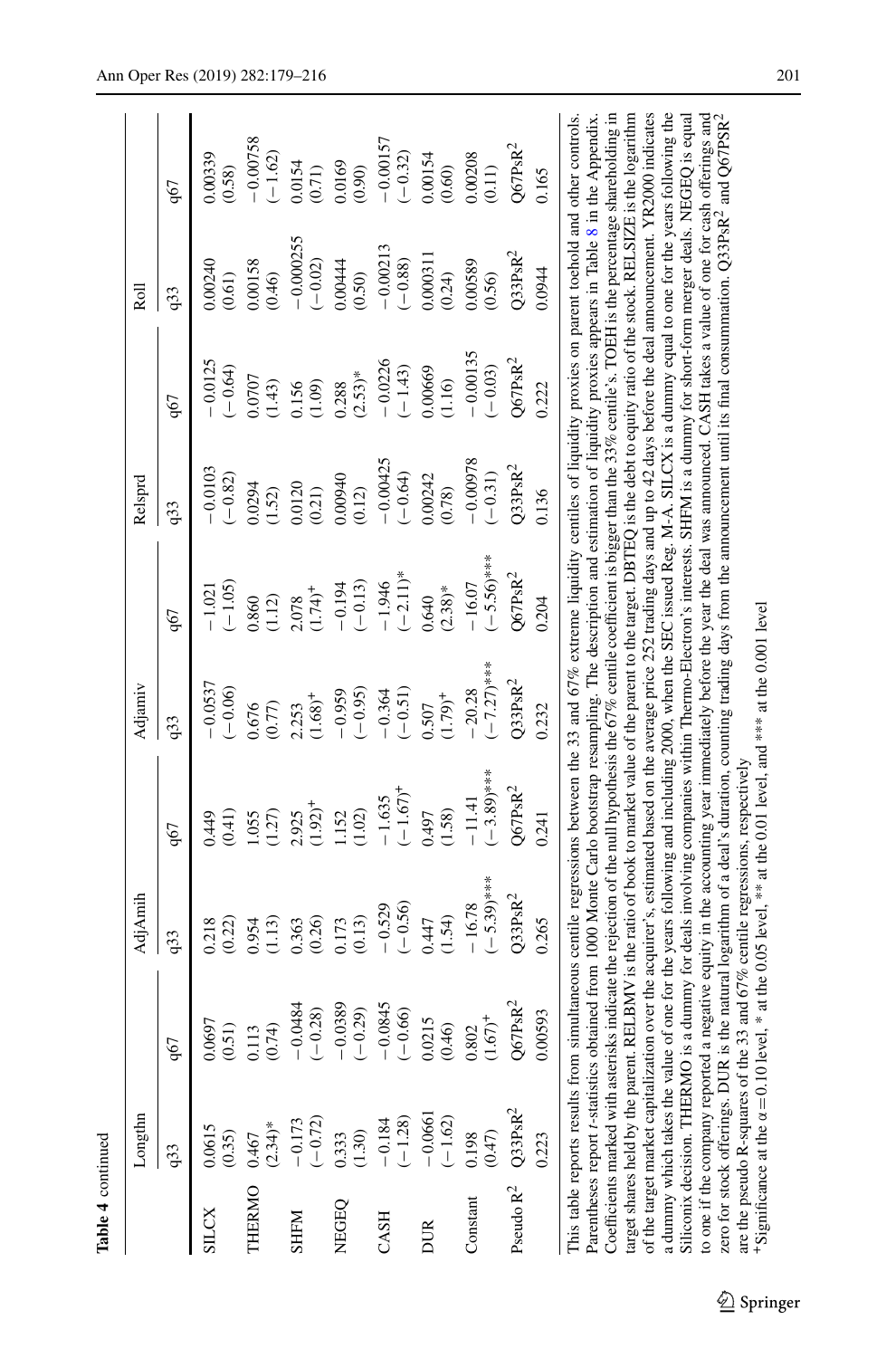|               | Longthn                                   |                        | AdjAmih                                                                          |                                                                                                                                                                               | Adjamiv                                                                                                              |                                                | Relsprd                                                                                                                                                    |                                                                                                                                 | Roll                                                                                                                |                                                                                                                             |
|---------------|-------------------------------------------|------------------------|----------------------------------------------------------------------------------|-------------------------------------------------------------------------------------------------------------------------------------------------------------------------------|----------------------------------------------------------------------------------------------------------------------|------------------------------------------------|------------------------------------------------------------------------------------------------------------------------------------------------------------|---------------------------------------------------------------------------------------------------------------------------------|---------------------------------------------------------------------------------------------------------------------|-----------------------------------------------------------------------------------------------------------------------------|
|               | q33                                       | q67                    | q33                                                                              | q67                                                                                                                                                                           | 133                                                                                                                  | q67                                            | q33                                                                                                                                                        | q67                                                                                                                             |                                                                                                                     | q67                                                                                                                         |
| SILCX         | 0.0615<br>(0.35)                          | 1.0697<br>(0.51)       |                                                                                  | (0.41)<br>0449                                                                                                                                                                | $-0.0537$<br>$(-0.06)$                                                                                               | $-1.021$<br>$(-1.05)$                          | $-0.0103$<br>(-0.82)                                                                                                                                       |                                                                                                                                 |                                                                                                                     | 0.58)                                                                                                                       |
| <b>THERMO</b> | $0.467$<br>(2.34)*                        | $0.113$<br>$(0.74)$    |                                                                                  |                                                                                                                                                                               |                                                                                                                      | $0.860$<br>$(1.12)$                            |                                                                                                                                                            |                                                                                                                                 | $\begin{array}{c} 0.00240 \\ (0.61) \\ 0.00158 \\ (0.46) \end{array}$                                               |                                                                                                                             |
| <b>SHFM</b>   | $-0.173$<br>$(-0.72)$                     | $-0.0484$<br>$(-0.28)$ | $\begin{array}{c} 0.218 \\ 0.22) \\ 0.954 \\ 1.13) \\ 0.363 \\ 0.20 \end{array}$ | 1.055<br>(1.27)<br>2.925<br>(1.92) <sup>+</sup><br>1.152<br>(1.02)                                                                                                            |                                                                                                                      |                                                |                                                                                                                                                            |                                                                                                                                 |                                                                                                                     |                                                                                                                             |
| NEGEQ         | (1.333)                                   | $-0.0389$<br>$(-0.29)$ |                                                                                  |                                                                                                                                                                               |                                                                                                                      | $2.078$<br>$(1.74)^+$<br>$-0.194$<br>$(-0.13)$ |                                                                                                                                                            |                                                                                                                                 |                                                                                                                     |                                                                                                                             |
| CASH          | $-0.184$<br>(-1.28)                       | $-0.0845$<br>(-0.66)   |                                                                                  | $-1.635$<br>$(-1.67)$ <sup>+</sup><br>0.497                                                                                                                                   |                                                                                                                      | $-1.946$<br>$(-2.11)^*$                        |                                                                                                                                                            |                                                                                                                                 |                                                                                                                     |                                                                                                                             |
| DUR           | $-0.0661$<br>$(-1.62)$                    | $0.0215$<br>$(0.46)$   | 0.173<br>$(0.13)$<br>$- 0.529$<br>$(- 0.56)$<br>$(1.54)$<br>$(1.54)$             | (1.58)                                                                                                                                                                        | 0.676<br>(0.77)<br>2.253<br>(1.68) <sup>+</sup><br>(1.68) <sup>+</sup><br>(1.79) <sup>+</sup><br>(1.79) <sup>+</sup> | $0.640$<br>$(2.38)*$                           | $\begin{array}{l} 1.0294\\ (1.52)\\ 0.0120\\ (0.21)\\ 0.00940\\ (0.12)\\ -0.00425\\ (-0.64)\\ 0.00242\\ (0.00242\\ 0.00242\\ (0.78)\\ 0.00242 \end{array}$ | $-0.0125$<br>$(-0.64)$<br>$(-0.64)$<br>0.0707<br>0.156<br>0.156<br>0.156<br>0.00669<br>0.00669<br>0.00669<br>0.00669<br>0.00669 | $-0.000255$<br>$(-0.02)$<br>0.00444<br>0.50)<br>0.00213<br>$-0.00213$<br>$(-0.88)$<br>0.00311<br>0.00311<br>0.00589 | $-0.00758$<br>$(-1.62)$<br>0.0154<br>0.0154<br>0.0169<br>0.00157<br>$-0.00157$<br>0.00154<br>0.000154<br>0.00208<br>0.00208 |
| Constant      | 0.198<br>$(0.47)$                         | 0.802<br>$(1.67)$      | $-16.78$<br>$(-5.39)***$                                                         | $-11.41$<br>$(-3.89)$ ***                                                                                                                                                     | $-20.28$<br>$(-7.27)***$                                                                                             | $-16.07$<br>$(-5.56)$ ***                      | $-0.00978$<br>$(-0.31)$                                                                                                                                    | $-0.00135$<br>$(-0.03)$                                                                                                         |                                                                                                                     |                                                                                                                             |
|               | Pseudo $R^2$ Q33PsR <sup>2</sup><br>0.223 | $Q67P_8R^2$<br>0.00593 | 233PsR <sup>2</sup><br>0.265                                                     | $267P$ s $R^2$                                                                                                                                                                | $233 \mathrm{PsR}^2$<br>1.232                                                                                        | Q67PsR <sup>2</sup><br>0.204                   | 233PsR <sup>2</sup><br>136                                                                                                                                 | Q67PsR <sup>2</sup><br>1.222                                                                                                    | Q33PsR <sup>2</sup><br>0.0944                                                                                       | 1.165                                                                                                                       |
|               |                                           |                        |                                                                                  | This table reports results from simultaneous centile regressions between the 33 and 67% extreme liquidity centiles of liquidity proxies on parent toehold and other controls. |                                                                                                                      |                                                |                                                                                                                                                            |                                                                                                                                 |                                                                                                                     |                                                                                                                             |

Coefficients marked with asterisks indicate the rejection of the null hypothesis the 67% centile coefficient is bigger than the 33% centile's. TOEH is the percentage shareholding in arget shares held by the parent. RELBMV is the ratio of book to market value of the parent to the target. DBTEQ is the debt to equity ratio of the stock. RELSIZE is the logarithm Parentheses report r-statistics obtained from 1000 Monte Carlo bootstrap resampling. The description and estimation of liquidity proxies appears in Table 8 in the Appendix. of the target market capitalization over the acquirer's, estimated based on the average price 252 trading days and up to 42 days before the deal announcement. YR2000 indicates a dummy which takes the value of one for the years following and including 2000, when the SEC issued Reg. M-A. SILCX is a dummy equal to one for the years following the Siliconix decision. THERMO is a dummy for deals involving companies within Thermo-Electron's interests. SHFM is a dummy for short-form merger deals. NEGEQ is equal to one if the company reported a negative equity in the accounting year immediately before the year the deal was announced. CASH takes a value of one for cash offerings and eero for stock offerings. DUR is the natural logarithm of a deal's duration, counting trading days from the announcement until its final consummation. Q33PsR<sup>2</sup> and Q67PSR<sup>2</sup> Parentheses report *t*-statistics obtained from 1000 Monte Carlo bootstrap resampling. The description and estimation of liquidity proxies appears in Table [8](#page-33-0) in the Appendix. Coefficients marked with asterisks indicate the rejection of the null hypothesis the 67% centile coefficient is bigger than the 33% centile's. TOEH is the percentage shareholding in target shares held by the parent. RELBMV is the ratio of book to market value of the parent to the target. DBTEQ is the debt to equity ratio of the stock. RELSIZE is the logarithm of the target market capitalization over the acquirer's, estimated based on the average price 252 trading days and up to 42 days before the deal announcement. YR2000 indicates a dummy which takes the value of one for the years following and including 2000, when the SEC issued Reg. M-A. SILCX is a dummy equal to one for the years following the Siliconix decision. THERMO is a dummy for deals involving companies within Thermo-Electron's interests. SHFM is a dummy for short-form merger deals. NEGEQ is equal to one if the company reported a negative equity in the accounting year immediately before the year the deal was announced. CASH takes a value of one for cash offerings and zero for stock offerings. DUR is the natural logarithm of a deal's duration, counting trading days from the announcement until its final consummation. Q33PsR<sup>2</sup> and Q67PSR<sup>2</sup> Significance at the  $\alpha = 0.10$  level, \* at the 0.05 level, \*\* at the 0.01 level, and \*\*\* at the 0.001 level +Significance at the  $\alpha$  = 0.10 level, \* at the 0.05 level, \*\* at the 0.01 level, and \*\*\* at the 0.001 level are the pseudo R-squares of the 33 and 67% centile regressions, respectively are the pseudo R-squares of the 33 and 67% centile regressions, respectively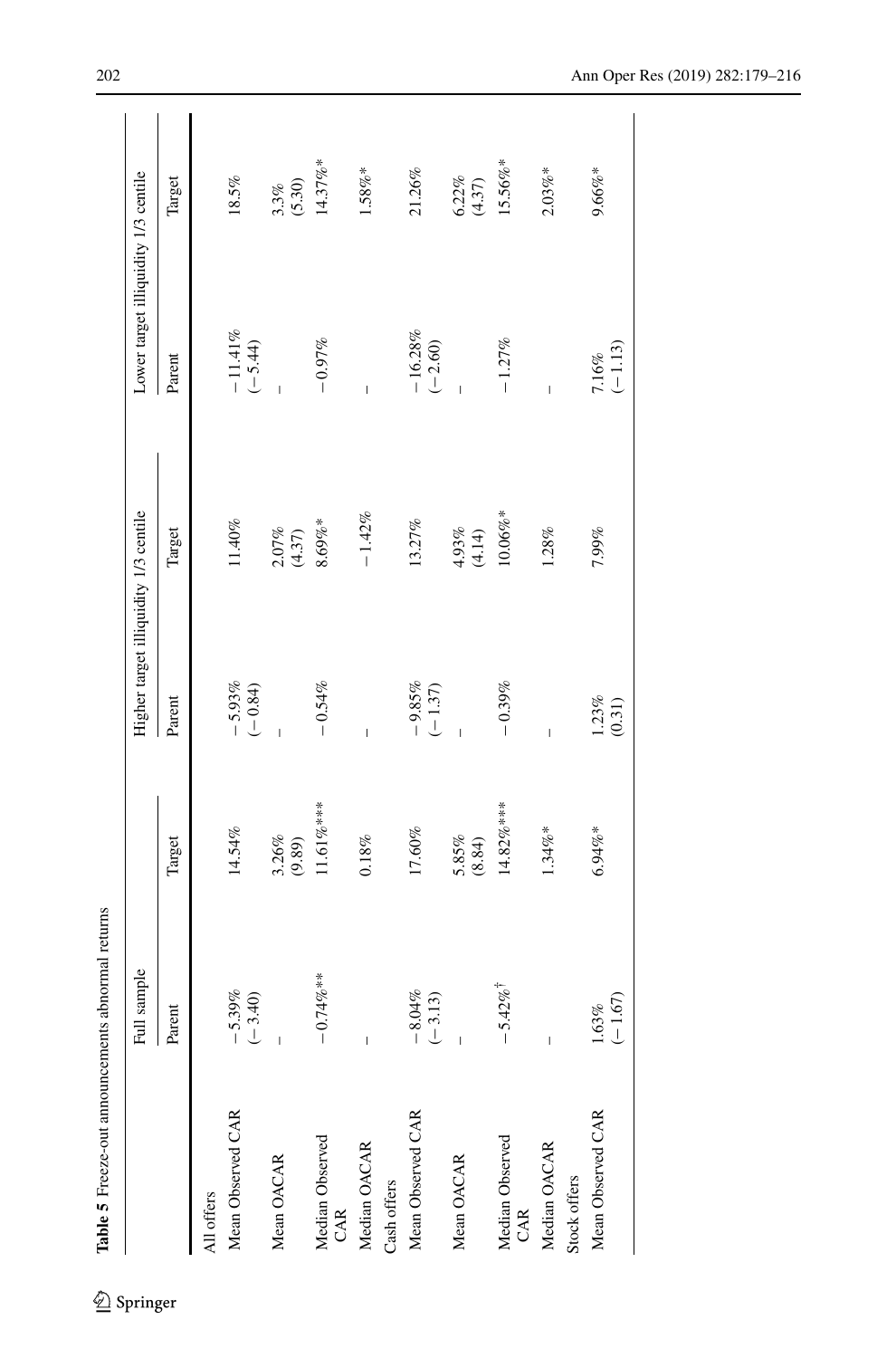<span id="page-23-0"></span>

| Table 5 Freeze-out announcements | abnormal returns         |                    |                                       |                    |                                      |                    |
|----------------------------------|--------------------------|--------------------|---------------------------------------|--------------------|--------------------------------------|--------------------|
|                                  | sample<br>目              |                    | Higher target illiquidity 1/3 centile |                    | Lower target illiquidity 1/3 centile |                    |
|                                  | Parent                   | Target             | Parent                                | Target             | Parent                               | Target             |
| All offers                       |                          |                    |                                       |                    |                                      |                    |
| Mean Observed CAR                | $-5.39\%$<br>$(-3.40)$   | 14.54%             | $-5.93\%$<br>$(-0.84)$                | 11.40%             | $-11.41\%$<br>$(-5.44)$              | $18.5\%$           |
| Mean OACAR                       |                          | $3.26\%$<br>(9.89) |                                       | $2.07\%$<br>(4.37) |                                      | (5.30)<br>3.3%     |
| Median Observed<br>CAR           | $-0.74\%$ **             | $11.61\%***$       | $-0.54%$                              | $8.69\% *$         | $-0.97%$                             | $14.37%$ *         |
| Median OACAR<br>Cash offers      | $\overline{1}$           | 0.18%              | Ï                                     | $-1.42%$           | Ï                                    | $1.58\% *$         |
| Mean Observed CAR                | $-8.04\%$<br>$(-3.13)$   | 17.60%             | $-9.85\%$<br>$(-1.37)$                | 13.27%             | $-16.28%$<br>$(-2.60)$               | 21.26%             |
| Mean OACAR                       |                          | 5.85%<br>(8.84)    |                                       | 4.93%<br>(4.14)    |                                      | $6.22\%$<br>(4.37) |
| Median Observed<br>CAR           | $-5.42\%$ <sup>†</sup>   | $14.82\%***$       | $-0.39%$                              | $10.06\%$ *        | $-1.27%$                             | $15.56\%$ *        |
| Median OACAR<br>Stock offers     | $\overline{\phantom{a}}$ | $1.34\%$ *         | Ï                                     | 1.28%              | Ï                                    | $2.03\% *$         |
| Mean Observed CAR                | $(-1.67)$<br>$1.63\%$    | $6.94\%*$          | $1.23\%$<br>(0.31)                    | 7.99%              | $(-1.13)$<br>7.16%                   | $9.66\% *$         |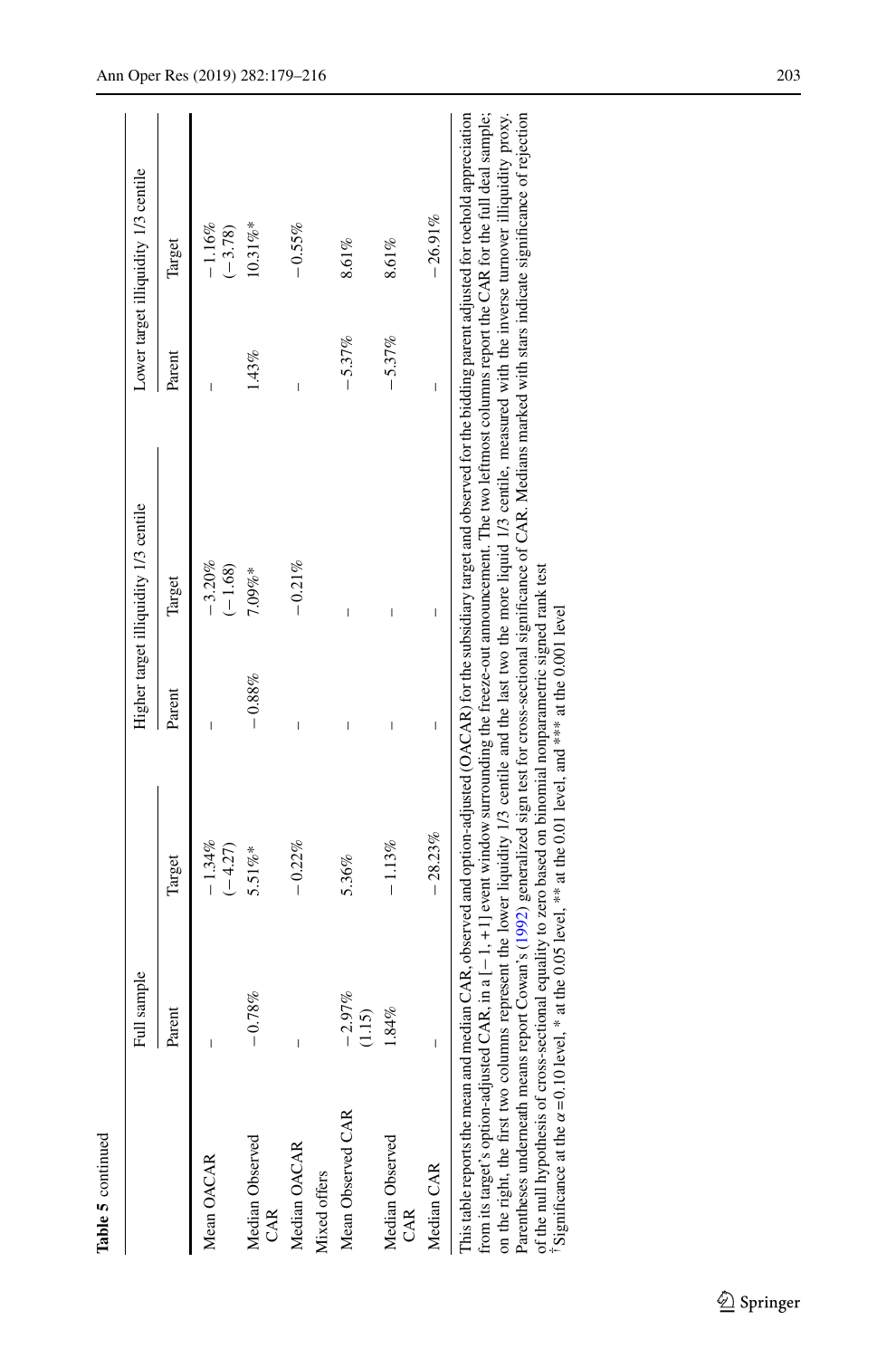| n |  |
|---|--|
|   |  |
| ⋍ |  |
|   |  |

|                              | Full sample                        |                        |           | Higher target illiquidity 1/3 centile |          | Lower target illiquidity 1/3 centile |
|------------------------------|------------------------------------|------------------------|-----------|---------------------------------------|----------|--------------------------------------|
|                              | Parent<br>$\overline{\phantom{a}}$ | l'arget                | Parent    | Target                                | Parent   | Target                               |
| Mean OACAR                   |                                    | $-1.34\%$<br>$(-4.27)$ |           | $-3.20%$<br>$(-1.68)$                 | Ī        | $-1.16%$<br>$(-3.78)$                |
| Median Observed<br>CAR       | 0.78%                              | 5.51%*                 | $-0.88\%$ | 7.09%*                                | 1.43%    | $10.31\%$ *                          |
| Median OACAR<br>Mixed offers | $\overline{1}$                     | $-0.22%$               | I         | $-0.21%$                              | I        | $-0.55%$                             |
| Mean Observed CAR            | $-2.97%$<br>(1.15)                 | 5.36%                  | I         | I                                     | $-5.37%$ | 8.61%                                |
| Median Observed<br>CAR       | 1.84%                              | $-1.13%$               | I         | I                                     | $-5.37%$ | 8.61%                                |
| Median CAR                   |                                    | $-28.23%$              | I         | I                                     | I        | $-26.91%$                            |

Parentheses underneath means report Cowan's (1992) generalized sign test for cross-sectional significance of CAR. Medians marked with stars indicate significance of rejection<br>of the null hypothesis of cross-sectional equal on the right, the first two columns represent the lower liquidity 1/3 centile and the last two the more liquid 1/3 centile, measured with the inverse turnover illiquidity proxy. −1, + 1] event window surrounding the freeze-out announcement. The two leftmost columns report the CAR for the full deal sample; on the right, the first two columns represent the lower liquidity 1/3 centile and the last two the more liquid 1/3 centile, measured with the inverse turnover illiquidity proxy. Parentheses underneath means report Cowan's [\(1992\)](#page-35-24) generalized sign test for cross-sectional significance of CAR. Medians marked with stars indicate significance of rejection of the null hypothesis of cross-sectional equality to zero based on binomial nonparametric signed rank test †Significance at the  $\alpha$  = 0.10 level, \* at the 0.05 level, \*\* at the 0.01 level, and \*\*\* at the 0.001 level from its target's option-adjusted CAR, in a [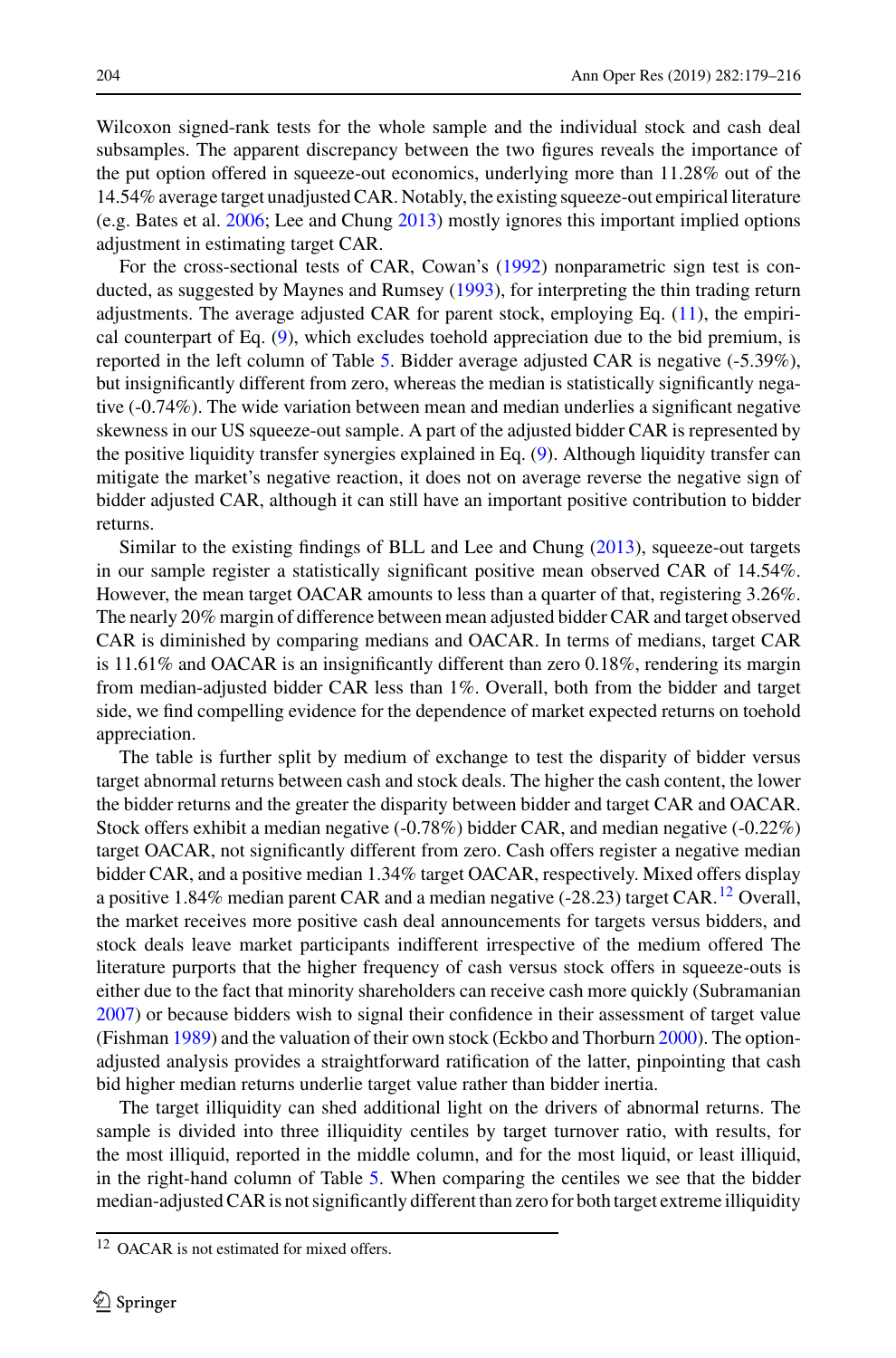Wilcoxon signed-rank tests for the whole sample and the individual stock and cash deal subsamples. The apparent discrepancy between the two figures reveals the importance of the put option offered in squeeze-out economics, underlying more than 11.28% out of the 14.54% average target unadjusted CAR. Notably, the existing squeeze-out empirical literature (e.g. Bates et al. [2006;](#page-34-1) Lee and Chung [2013\)](#page-36-16) mostly ignores this important implied options adjustment in estimating target CAR.

For the cross-sectional tests of CAR, Cowan's [\(1992\)](#page-35-24) nonparametric sign test is conducted, as suggested by Maynes and Rumsey [\(1993\)](#page-36-4), for interpreting the thin trading return adjustments. The average adjusted CAR for parent stock, employing Eq. [\(11\)](#page-7-2), the empirical counterpart of Eq. [\(9\)](#page-7-1), which excludes toehold appreciation due to the bid premium, is reported in the left column of Table [5.](#page-23-0) Bidder average adjusted CAR is negative (-5.39%), but insignificantly different from zero, whereas the median is statistically significantly negative (-0.74%). The wide variation between mean and median underlies a significant negative skewness in our US squeeze-out sample. A part of the adjusted bidder CAR is represented by the positive liquidity transfer synergies explained in Eq. [\(9\)](#page-7-1). Although liquidity transfer can mitigate the market's negative reaction, it does not on average reverse the negative sign of bidder adjusted CAR, although it can still have an important positive contribution to bidder returns.

Similar to the existing findings of BLL and Lee and Chung [\(2013\)](#page-36-16), squeeze-out targets in our sample register a statistically significant positive mean observed CAR of 14.54%. However, the mean target OACAR amounts to less than a quarter of that, registering 3.26%. The nearly 20% margin of difference between mean adjusted bidder CAR and target observed CAR is diminished by comparing medians and OACAR. In terms of medians, target CAR is 11.61% and OACAR is an insignificantly different than zero 0.18%, rendering its margin from median-adjusted bidder CAR less than 1%. Overall, both from the bidder and target side, we find compelling evidence for the dependence of market expected returns on toehold appreciation.

The table is further split by medium of exchange to test the disparity of bidder versus target abnormal returns between cash and stock deals. The higher the cash content, the lower the bidder returns and the greater the disparity between bidder and target CAR and OACAR. Stock offers exhibit a median negative (-0.78%) bidder CAR, and median negative (-0.22%) target OACAR, not significantly different from zero. Cash offers register a negative median bidder CAR, and a positive median 1.34% target OACAR, respectively. Mixed offers display a positive 1.84% median parent CAR and a median negative (-28.23) target CAR[.](#page-25-0)[12](#page-25-1) Overall, the market receives more positive cash deal announcements for targets versus bidders, and stock deals leave market participants indifferent irrespective of the medium offered The literature purports that the higher frequency of cash versus stock offers in squeeze-outs is either due to the fact that minority shareholders can receive cash more quickly (Subramanian [2007\)](#page-37-0) or because bidders wish to signal their confidence in their assessment of target value (Fishman [1989\)](#page-35-25) and the valuation of their own stock (Eckbo and Thorburn [2000\)](#page-35-26). The optionadjusted analysis provides a straightforward ratification of the latter, pinpointing that cash bid higher median returns underlie target value rather than bidder inertia.

The target illiquidity can shed additional light on the drivers of abnormal returns. The sample is divided into three illiquidity centiles by target turnover ratio, with results, for the most illiquid, reported in the middle column, and for the most liquid, or least illiquid, in the right-hand column of Table [5.](#page-23-0) When comparing the centiles we see that the bidder median-adjusted CAR is not significantly different than zero for both target extreme illiquidity

<span id="page-25-1"></span><span id="page-25-0"></span><sup>&</sup>lt;sup>12</sup> OACAR is not estimated for mixed offers.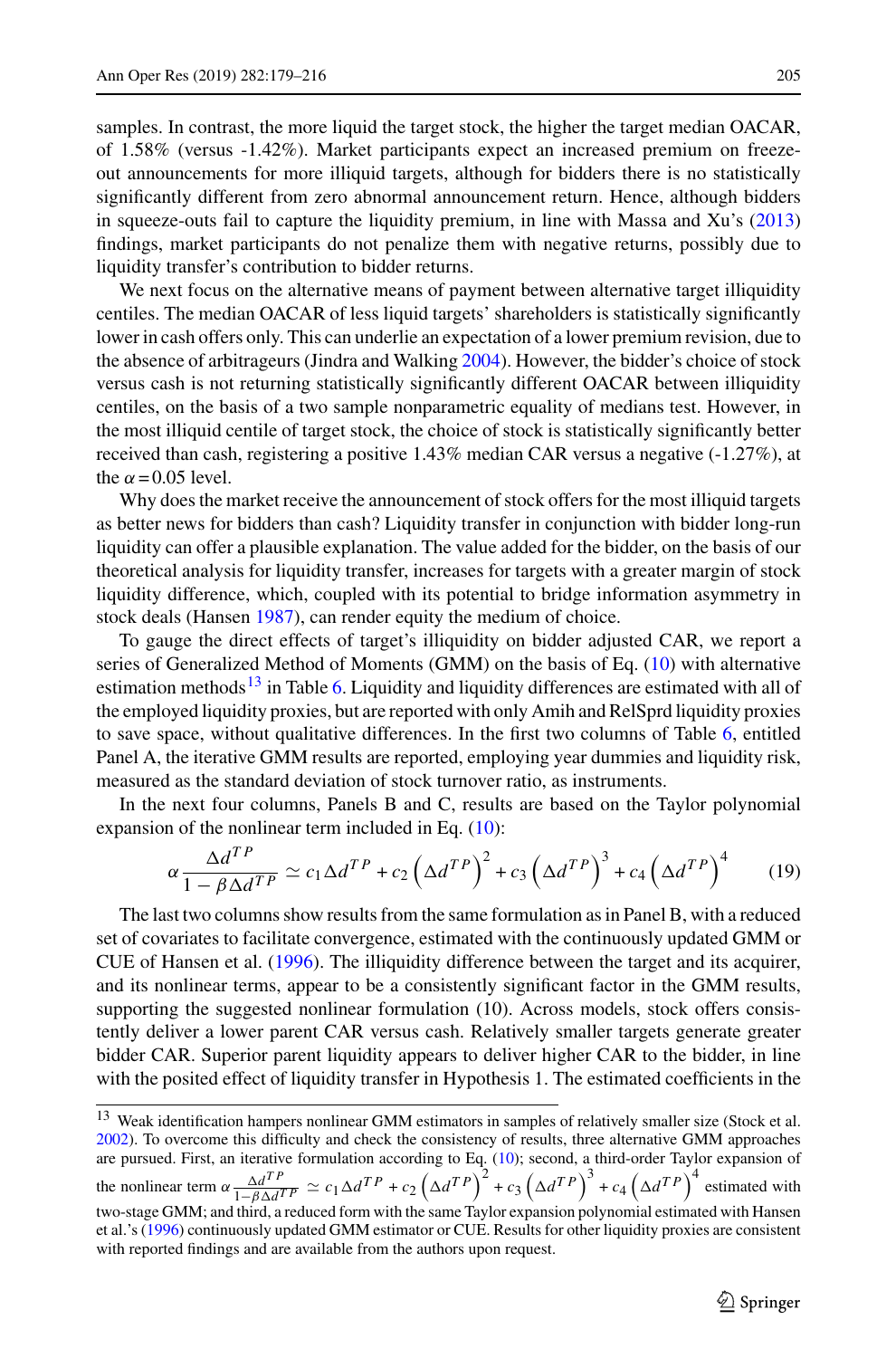samples. In contrast, the more liquid the target stock, the higher the target median OACAR, of 1.58% (versus -1.42%). Market participants expect an increased premium on freezeout announcements for more illiquid targets, although for bidders there is no statistically significantly different from zero abnormal announcement return. Hence, although bidders in squeeze-outs fail to capture the liquidity premium, in line with Massa and Xu's [\(2013\)](#page-36-1) findings, market participants do not penalize them with negative returns, possibly due to liquidity transfer's contribution to bidder returns.

We next focus on the alternative means of payment between alternative target illiquidity centiles. The median OACAR of less liquid targets' shareholders is statistically significantly lower in cash offers only. This can underlie an expectation of a lower premium revision, due to the absence of arbitrageurs (Jindra and Walking [2004\)](#page-36-11). However, the bidder's choice of stock versus cash is not returning statistically significantly different OACAR between illiquidity centiles, on the basis of a two sample nonparametric equality of medians test. However, in the most illiquid centile of target stock, the choice of stock is statistically significantly better received than cash, registering a positive 1.43% median CAR versus a negative (-1.27%), at the  $\alpha$  = 0.05 level.

Why does the market receive the announcement of stock offers for the most illiquid targets as better news for bidders than cash? Liquidity transfer in conjunction with bidder long-run liquidity can offer a plausible explanation. The value added for the bidder, on the basis of our theoretical analysis for liquidity transfer, increases for targets with a greater margin of stock liquidity difference, which, coupled with its potential to bridge information asymmetry in stock deals (Hansen [1987\)](#page-36-25), can render equity the medium of choice.

To gauge the direct effects of target's illiquidity on bidder adjusted CAR, we report a series of Generalized Method of Moments (GMM) on the basis of Eq. [\(10\)](#page-7-0) with alternative estimation methods<sup>[13](#page-26-1)</sup> in Table [6.](#page-27-0) Liquidity and liquidity differences are estimated with all of the employed liquidity proxies, but are reported with only Amih and RelSprd liquidity proxies to save space, without qualitative differences. In the first two columns of Table [6,](#page-27-0) entitled Panel A, the iterative GMM results are reported, employing year dummies and liquidity risk, measured as the standard deviation of stock turnover ratio, as instruments.

In the next four columns, Panels B and C, results are based on the Taylor polynomial expansion of the nonlinear term included in Eq.  $(10)$ :

$$
\alpha \frac{\Delta d^{TP}}{1 - \beta \Delta d^{TP}} \simeq c_1 \Delta d^{TP} + c_2 \left(\Delta d^{TP}\right)^2 + c_3 \left(\Delta d^{TP}\right)^3 + c_4 \left(\Delta d^{TP}\right)^4 \tag{19}
$$

The last two columns show results from the same formulation as in Panel B, with a reduced set of covariates to facilitate convergence, estimated with the continuously updated GMM or CUE of Hansen et al. [\(1996\)](#page-36-26). The illiquidity difference between the target and its acquirer, and its nonlinear terms, appear to be a consistently significant factor in the GMM results, supporting the suggested nonlinear formulation (10). Across models, stock offers consistently deliver a lower parent CAR versus cash. Relatively smaller targets generate greater bidder CAR. Superior parent liquidity appears to deliver higher CAR to the bidder, in line with the posited effect of liquidity transfer in Hypothesis 1. The estimated coefficients in the

<span id="page-26-1"></span><span id="page-26-0"></span><sup>&</sup>lt;sup>13</sup> Weak identification hampers nonlinear GMM estimators in samples of relatively smaller size (Stock et al. [2002\)](#page-36-27). To overcome this difficulty and check the consistency of results, three alternative GMM approaches are pursued. First, an iterative formulation according to Eq. [\(10\)](#page-7-0); second, a third-order Taylor expansion of the nonlinear term  $\alpha \frac{\Delta d^{TP}}{1-\beta \Delta d^{TP}} \simeq c_1 \Delta d^{TP} + c_2 \left( \Delta d^{TP} \right)^2 + c_3 \left( \Delta d^{TP} \right)^3 + c_4 \left( \Delta d^{TP} \right)^4$  estimated with two-stage GMM; and third, a reduced form with the same Taylor expansion polynomial estimated with Hansen et al.'s [\(1996\)](#page-36-26) continuously updated GMM estimator or CUE. Results for other liquidity proxies are consistent with reported findings and are available from the authors upon request.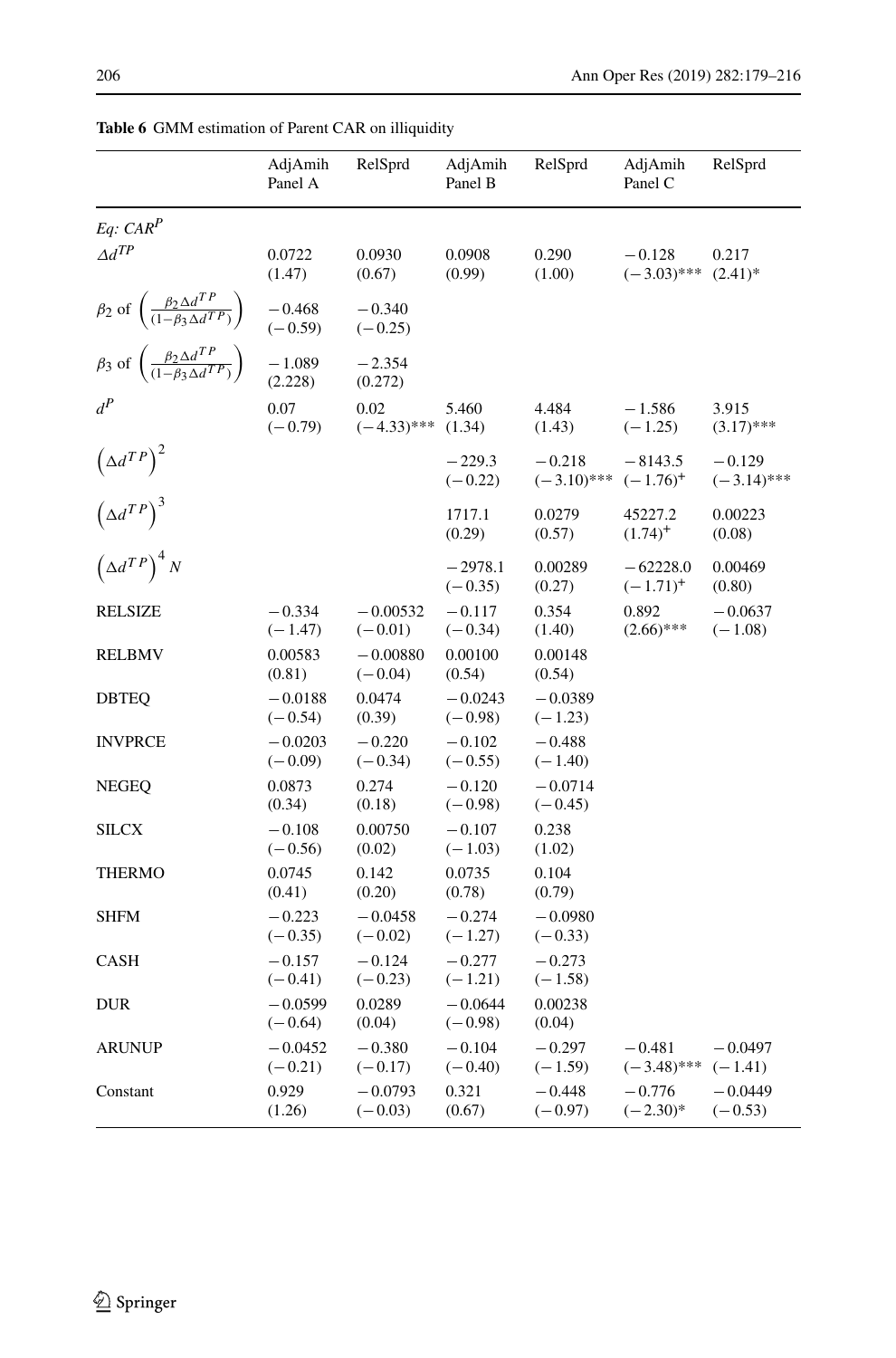|                                                                                     | AdjAmih<br>Panel A     | RelSprd                 | AdjAmih<br>Panel B     | RelSprd                   | AdjAmih<br>Panel C          | RelSprd                   |
|-------------------------------------------------------------------------------------|------------------------|-------------------------|------------------------|---------------------------|-----------------------------|---------------------------|
| Eq: CAR <sup>P</sup>                                                                |                        |                         |                        |                           |                             |                           |
| $\varDelta d^{TP}$                                                                  | 0.0722<br>(1.47)       | 0.0930<br>(0.67)        | 0.0908<br>(0.99)       | 0.290<br>(1.00)           | $-0.128$<br>$(-3.03)$ ***   | 0.217<br>$(2.41)^*$       |
| $\beta_2$ of $\left(\frac{\beta_2 \Delta d^{TP}}{(1-\beta_3 \Delta d^{TP})}\right)$ | $-0.468$<br>$(-0.59)$  | $-0.340$<br>$(-0.25)$   |                        |                           |                             |                           |
| $\beta_3$ of $\left(\frac{\beta_2 \Delta d^{TP}}{(1-\beta_3 \Delta d^{TP})}\right)$ | $-1.089$<br>(2.228)    | $-2.354$<br>(0.272)     |                        |                           |                             |                           |
|                                                                                     | 0.07<br>$(-0.79)$      | 0.02<br>$(-4.33)$ ***   | 5.460<br>(1.34)        | 4.484<br>(1.43)           | $-1.586$<br>$(-1.25)$       | 3.915<br>$(3.17)$ ***     |
| $\left(\Delta d^{TP}\right)^2$ $\left(\Delta d^{TP}\right)^3$                       |                        |                         | $-229.3$<br>$(-0.22)$  | $-0.218$<br>$(-3.10)$ *** | $-8143.5$<br>$(-1.76)^+$    | $-0.129$<br>$(-3.14)$ *** |
|                                                                                     |                        |                         | 1717.1<br>(0.29)       | 0.0279<br>(0.57)          | 45227.2<br>$(1.74)^{+}$     | 0.00223<br>(0.08)         |
| $\left(\Delta d^{TP}\right)^4 N$                                                    |                        |                         | $-2978.1$<br>$(-0.35)$ | 0.00289<br>(0.27)         | $-62228.0$<br>$(-1.71)^{+}$ | 0.00469<br>(0.80)         |
| <b>RELSIZE</b>                                                                      | $-0.334$<br>$(-1.47)$  | $-0.00532$<br>$(-0.01)$ | $-0.117$<br>$(-0.34)$  | 0.354<br>(1.40)           | 0.892<br>$(2.66)$ ***       | $-0.0637$<br>$(-1.08)$    |
| <b>RELBMV</b>                                                                       | 0.00583<br>(0.81)      | $-0.00880$<br>$(-0.04)$ | 0.00100<br>(0.54)      | 0.00148<br>(0.54)         |                             |                           |
| <b>DBTEQ</b>                                                                        | $-0.0188$<br>$(-0.54)$ | 0.0474<br>(0.39)        | $-0.0243$<br>$(-0.98)$ | $-0.0389$<br>$(-1.23)$    |                             |                           |
| <b>INVPRCE</b>                                                                      | $-0.0203$<br>$(-0.09)$ | $-0.220$<br>$(-0.34)$   | $-0.102$<br>$(-0.55)$  | $-0.488$<br>$(-1.40)$     |                             |                           |
| NEGEQ                                                                               | 0.0873<br>(0.34)       | 0.274<br>(0.18)         | $-0.120$<br>$(-0.98)$  | $-0.0714$<br>$(-0.45)$    |                             |                           |
| <b>SILCX</b>                                                                        | $-0.108$<br>$(-0.56)$  | 0.00750<br>(0.02)       | $-0.107$<br>$(-1.03)$  | 0.238<br>(1.02)           |                             |                           |
| <b>THERMO</b>                                                                       | 0.0745<br>(0.41)       | 0.142<br>(0.20)         | 0.0735<br>(0.78)       | 0.104<br>(0.79)           |                             |                           |
| SHFM                                                                                | $-0.223$<br>$(-0.35)$  | $-0.0458$<br>$(-0.02)$  | $-0.274$<br>$(-1.27)$  | $-0.0980$<br>$(-0.33)$    |                             |                           |
| <b>CASH</b>                                                                         | $-0.157$<br>$(-0.41)$  | $-0.124$<br>$(-0.23)$   | $-0.277$<br>$(-1.21)$  | $-0.273$<br>$(-1.58)$     |                             |                           |
| DUR                                                                                 | $-0.0599$<br>$(-0.64)$ | 0.0289<br>(0.04)        | $-0.0644$<br>$(-0.98)$ | 0.00238<br>(0.04)         |                             |                           |
| <b>ARUNUP</b>                                                                       | $-0.0452$<br>$(-0.21)$ | $-0.380$<br>$(-0.17)$   | $-0.104$<br>$(-0.40)$  | $-0.297$<br>$(-1.59)$     | $-0.481$<br>$(-3.48)$ ***   | $-0.0497$<br>$(-1.41)$    |
| Constant                                                                            | 0.929<br>(1.26)        | $-0.0793$<br>$(-0.03)$  | 0.321<br>(0.67)        | $-0.448$<br>$(-0.97)$     | $-0.776$<br>$(-2.30)^*$     | $-0.0449$<br>$(-0.53)$    |

<span id="page-27-0"></span>**Table 6** GMM estimation of Parent CAR on illiquidity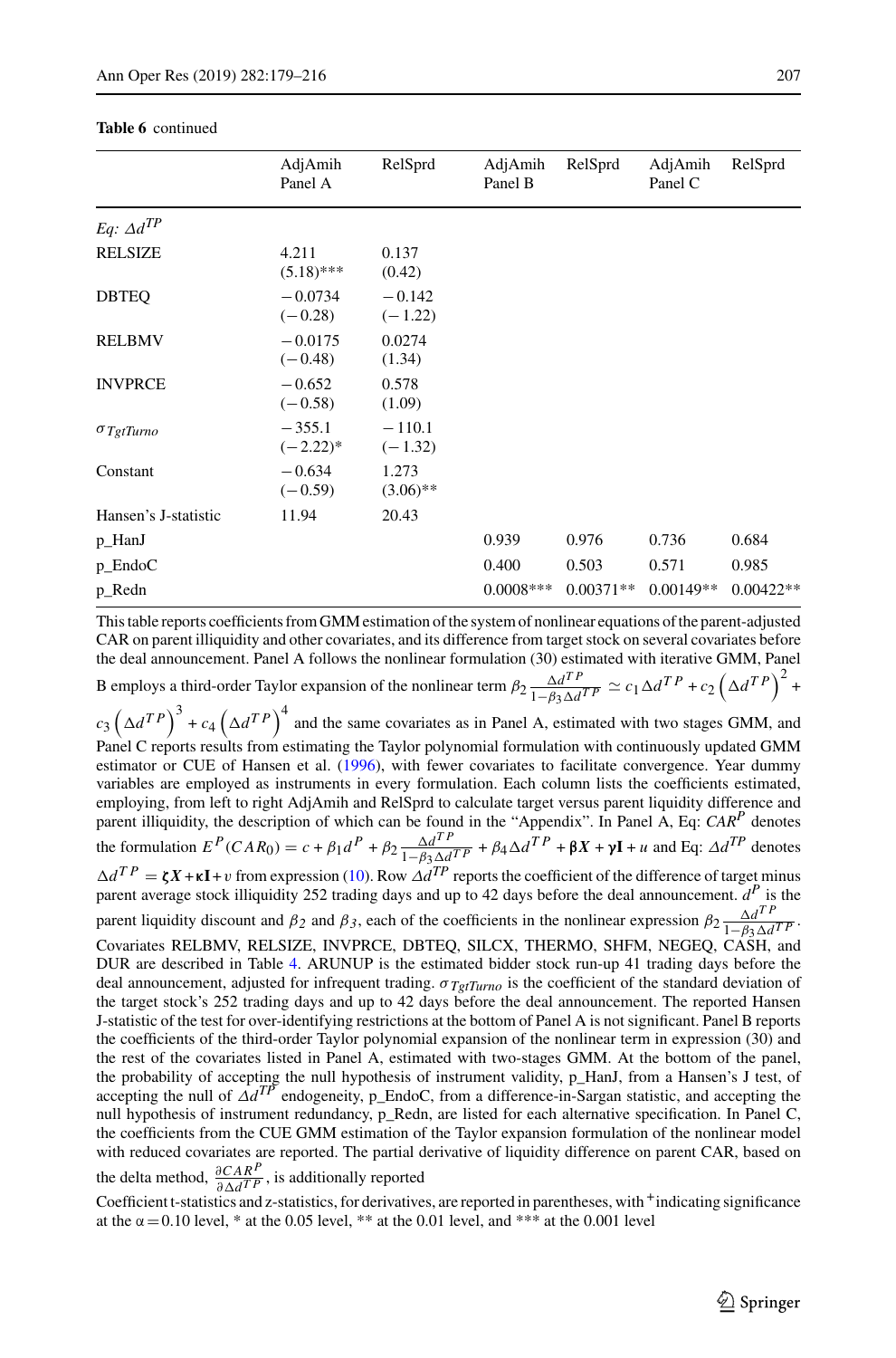#### **Table 6** continued

|                      | AdjAmih<br>Panel A      | RelSprd               | AdjAmih<br>Panel B | RelSprd     | AdjAmih<br>Panel C | RelSprd     |
|----------------------|-------------------------|-----------------------|--------------------|-------------|--------------------|-------------|
| Eq: $\Delta d^{TP}$  |                         |                       |                    |             |                    |             |
| <b>RELSIZE</b>       | 4.211<br>$(5.18)$ ***   | 0.137<br>(0.42)       |                    |             |                    |             |
| <b>DBTEQ</b>         | $-0.0734$<br>$(-0.28)$  | $-0.142$<br>$(-1.22)$ |                    |             |                    |             |
| <b>RELBMV</b>        | $-0.0175$<br>$(-0.48)$  | 0.0274<br>(1.34)      |                    |             |                    |             |
| <b>INVPRCE</b>       | $-0.652$<br>$(-0.58)$   | 0.578<br>(1.09)       |                    |             |                    |             |
| $\sigma_{TgtTurno}$  | $-355.1$<br>$(-2.22)^*$ | $-110.1$<br>$(-1.32)$ |                    |             |                    |             |
| Constant             | $-0.634$<br>$(-0.59)$   | 1.273<br>$(3.06)$ **  |                    |             |                    |             |
| Hansen's J-statistic | 11.94                   | 20.43                 |                    |             |                    |             |
| p_HanJ               |                         |                       | 0.939              | 0.976       | 0.736              | 0.684       |
| p_EndoC              |                         |                       | 0.400              | 0.503       | 0.571              | 0.985       |
| p_Redn               |                         |                       | $0.0008***$        | $0.00371**$ | $0.00149**$        | $0.00422**$ |

This table reports coefficients from GMM estimation of the system of nonlinear equations of the parent-adjusted CAR on parent illiquidity and other covariates, and its difference from target stock on several covariates before the deal announcement. Panel A follows the nonlinear formulation (30) estimated with iterative GMM, Panel

B employs a third-order Taylor expansion of the nonlinear term  $\beta_2 \frac{\Delta d^{TP}}{1-\beta_3 \Delta d^{TP}} \approx c_1 \Delta d^{TP} + c_2 \left(\Delta d^{TP}\right)^2 +$  $c_3\left(\Delta d^{TP}\right)^3$  +  $c_4\left(\Delta d^{TP}\right)^4$  and the same covariates as in Panel A, estimated with two stages GMM, and

Panel C reports results from estimating the Taylor polynomial formulation with continuously updated GMM estimator or CUE of Hansen et al. [\(1996\)](#page-36-26), with fewer covariates to facilitate convergence. Year dummy variables are employed as instruments in every formulation. Each column lists the coefficients estimated, employing, from left to right AdjAmih and RelSprd to calculate target versus parent liquidity difference and parent illiquidity, the description of which can be found in the "Appendix". In Panel A, Eq: *CAR<sup>P</sup>* denotes the formulation  $E^P(CAR_0) = c + \beta_1 d^P + \beta_2 \frac{\Delta d^{TP}}{1 - \beta_3 \Delta d^{TP}} + \beta_4 \Delta d^{TP} + \beta X + \gamma I + u$  and Eq:  $\Delta d^{TP}$  denotes  $\Delta d^{TP} = \zeta X + \kappa I + v$  from expression [\(10\)](#page-7-0). Row  $\Delta d^{TP}$  reports the coefficient of the difference of target minus parent average stock illiquidity 252 trading days and up to 42 days before the deal announcement. *d<sup>P</sup>* is the parent liquidity discount and  $\beta_2$  and  $\beta_3$ , each of the coefficients in the nonlinear expression  $\beta_2 \frac{\Delta d^T P}{1-\beta_3 \Delta d^T P}$ . Covariates RELBMV, RELSIZE, INVPRCE, DBTEQ, SILCX, THERMO, SHFM, NEGEQ, CASH, and DUR are described in Table [4.](#page-20-0) ARUNUP is the estimated bidder stock run-up 41 trading days before the deal announcement, adjusted for infrequent trading. σ *TgtTurno* is the coefficient of the standard deviation of the target stock's 252 trading days and up to 42 days before the deal announcement. The reported Hansen J-statistic of the test for over-identifying restrictions at the bottom of Panel A is not significant. Panel B reports the coefficients of the third-order Taylor polynomial expansion of the nonlinear term in expression (30) and the rest of the covariates listed in Panel A, estimated with two-stages GMM. At the bottom of the panel, the probability of accepting the null hypothesis of instrument validity, p\_HanJ, from a Hansen's J test, of accepting the null of Δ*dTP* endogeneity, p\_EndoC, from a difference-in-Sargan statistic, and accepting the null hypothesis of instrument redundancy, p\_Redn, are listed for each alternative specification. In Panel C, the coefficients from the CUE GMM estimation of the Taylor expansion formulation of the nonlinear model with reduced covariates are reported. The partial derivative of liquidity difference on parent CAR, based on the delta method,  $\frac{\partial CAR^P}{\partial \Delta d^{TP}}$ , is additionally reported

Coefficient t-statistics and z-statistics, for derivatives, are reported in parentheses, with +indicating significance at the  $\alpha$  = 0.10 level, \* at the 0.05 level, \*\* at the 0.01 level, and \*\*\* at the 0.001 level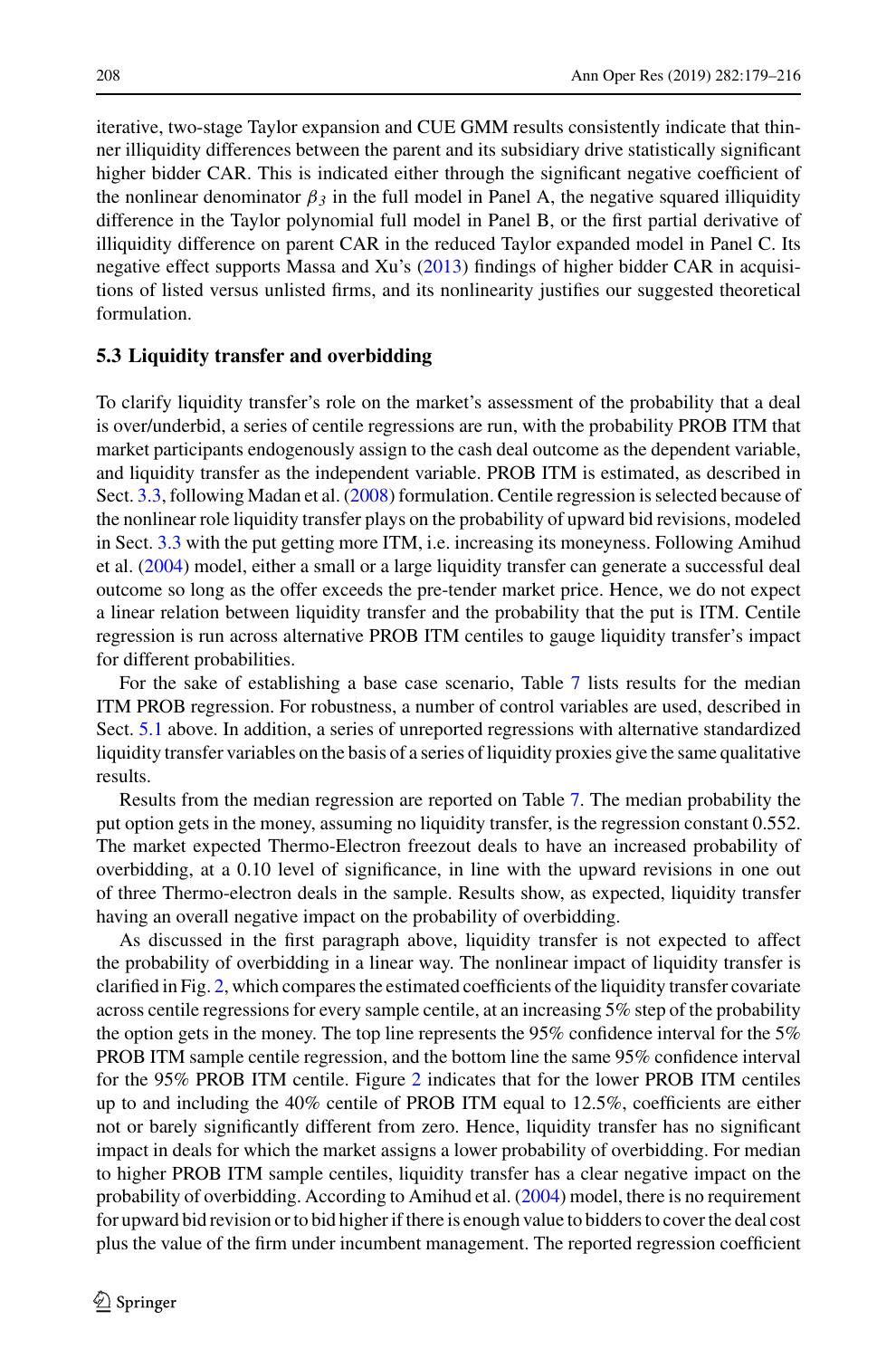iterative, two-stage Taylor expansion and CUE GMM results consistently indicate that thinner illiquidity differences between the parent and its subsidiary drive statistically significant higher bidder CAR. This is indicated either through the significant negative coefficient of the nonlinear denominator  $\beta_3$  in the full model in Panel A, the negative squared illiquidity difference in the Taylor polynomial full model in Panel B, or the first partial derivative of illiquidity difference on parent CAR in the reduced Taylor expanded model in Panel C. Its negative effect supports Massa and Xu's [\(2013\)](#page-36-1) findings of higher bidder CAR in acquisitions of listed versus unlisted firms, and its nonlinearity justifies our suggested theoretical formulation.

#### **5.3 Liquidity transfer and overbidding**

To clarify liquidity transfer's role on the market's assessment of the probability that a deal is over/underbid, a series of centile regressions are run, with the probability PROB ITM that market participants endogenously assign to the cash deal outcome as the dependent variable, and liquidity transfer as the independent variable. PROB ITM is estimated, as described in Sect. [3.3,](#page-10-0) following Madan et al. [\(2008\)](#page-36-7) formulation. Centile regression is selected because of the nonlinear role liquidity transfer plays on the probability of upward bid revisions, modeled in Sect. [3.3](#page-10-0) with the put getting more ITM, i.e. increasing its moneyness. Following Amihud et al. [\(2004\)](#page-34-2) model, either a small or a large liquidity transfer can generate a successful deal outcome so long as the offer exceeds the pre-tender market price. Hence, we do not expect a linear relation between liquidity transfer and the probability that the put is ITM. Centile regression is run across alternative PROB ITM centiles to gauge liquidity transfer's impact for different probabilities.

For the sake of establishing a base case scenario, Table [7](#page-30-1) lists results for the median ITM PROB regression. For robustness, a number of control variables are used, described in Sect. [5.1](#page-16-5) above. In addition, a series of unreported regressions with alternative standardized liquidity transfer variables on the basis of a series of liquidity proxies give the same qualitative results.

Results from the median regression are reported on Table [7.](#page-30-1) The median probability the put option gets in the money, assuming no liquidity transfer, is the regression constant 0.552. The market expected Thermo-Electron freezout deals to have an increased probability of overbidding, at a 0.10 level of significance, in line with the upward revisions in one out of three Thermo-electron deals in the sample. Results show, as expected, liquidity transfer having an overall negative impact on the probability of overbidding.

As discussed in the first paragraph above, liquidity transfer is not expected to affect the probability of overbidding in a linear way. The nonlinear impact of liquidity transfer is clarified in Fig. [2,](#page-31-0) which compares the estimated coefficients of the liquidity transfer covariate across centile regressions for every sample centile, at an increasing 5% step of the probability the option gets in the money. The top line represents the 95% confidence interval for the 5% PROB ITM sample centile regression, and the bottom line the same 95% confidence interval for the 95% PROB ITM centile. Figure [2](#page-31-0) indicates that for the lower PROB ITM centiles up to and including the 40% centile of PROB ITM equal to 12.5%, coefficients are either not or barely significantly different from zero. Hence, liquidity transfer has no significant impact in deals for which the market assigns a lower probability of overbidding. For median to higher PROB ITM sample centiles, liquidity transfer has a clear negative impact on the probability of overbidding. According to Amihud et al. [\(2004\)](#page-34-2) model, there is no requirement for upward bid revision or to bid higher if there is enough value to bidders to cover the deal cost plus the value of the firm under incumbent management. The reported regression coefficient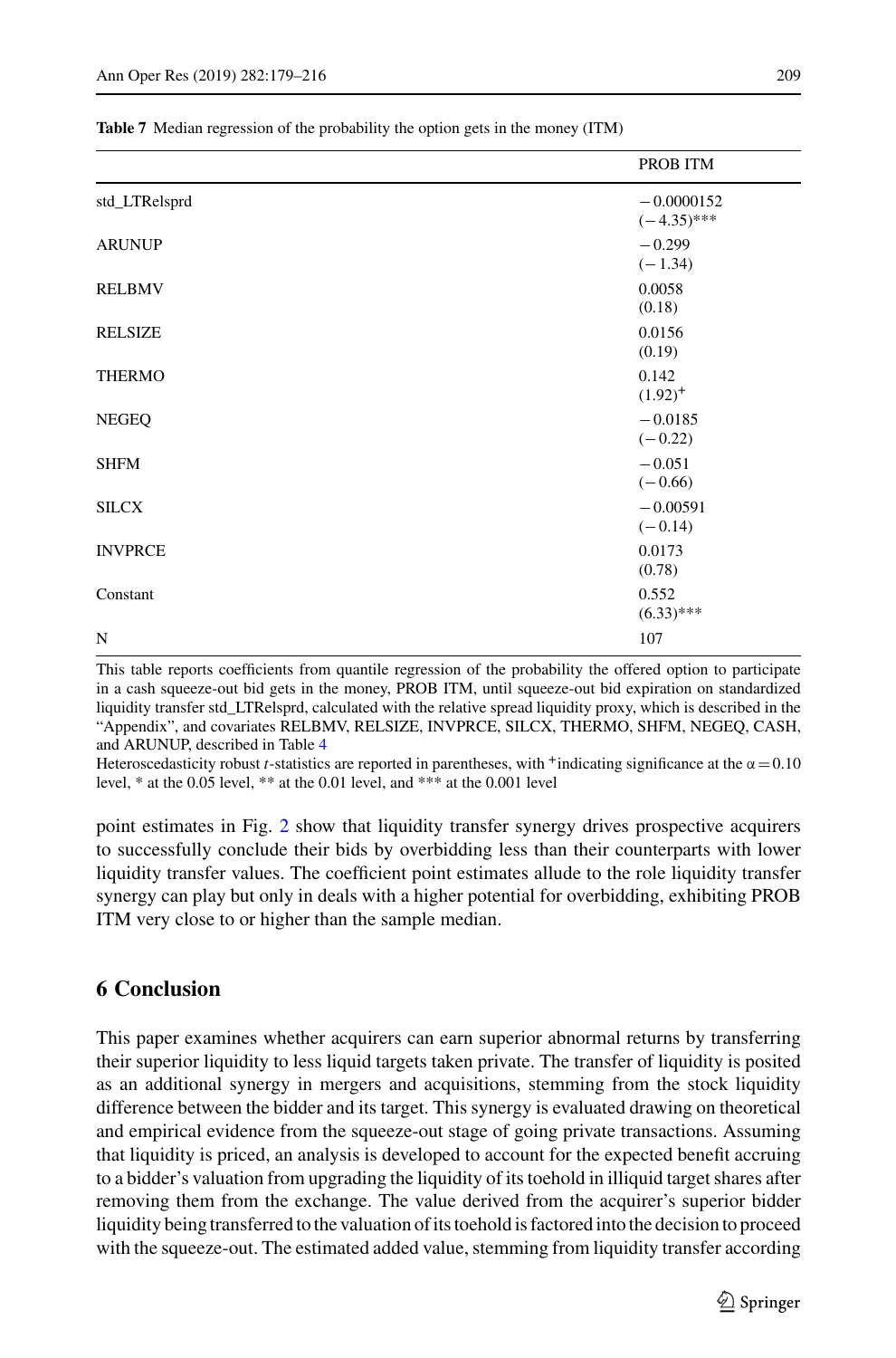|                | PROB ITM                      |
|----------------|-------------------------------|
| std_LTRelsprd  | $-0.0000152$<br>$(-4.35)$ *** |
| <b>ARUNUP</b>  | $-0.299$<br>$(-1.34)$         |
| <b>RELBMV</b>  | 0.0058<br>(0.18)              |
| <b>RELSIZE</b> | 0.0156<br>(0.19)              |
| <b>THERMO</b>  | 0.142<br>$(1.92)^{+}$         |
| <b>NEGEQ</b>   | $-0.0185$<br>$(-0.22)$        |
| <b>SHFM</b>    | $-0.051$<br>$(-0.66)$         |
| <b>SILCX</b>   | $-0.00591$<br>$(-0.14)$       |
| <b>INVPRCE</b> | 0.0173<br>(0.78)              |
| Constant       | 0.552<br>$(6.33)$ ***         |
| N              | 107                           |

<span id="page-30-1"></span>**Table 7** Median regression of the probability the option gets in the money (ITM)

This table reports coefficients from quantile regression of the probability the offered option to participate in a cash squeeze-out bid gets in the money, PROB ITM, until squeeze-out bid expiration on standardized liquidity transfer std\_LTRelsprd, calculated with the relative spread liquidity proxy, which is described in the "Appendix", and covariates RELBMV, RELSIZE, INVPRCE, SILCX, THERMO, SHFM, NEGEQ, CASH, and ARUNUP, described in Table [4](#page-20-0)

Heteroscedasticity robust *t*-statistics are reported in parentheses, with <sup>+</sup>indicating significance at the  $\alpha$  = 0.10 level, \* at the 0.05 level, \*\* at the 0.01 level, and \*\*\* at the 0.001 level

point estimates in Fig. [2](#page-31-0) show that liquidity transfer synergy drives prospective acquirers to successfully conclude their bids by overbidding less than their counterparts with lower liquidity transfer values. The coefficient point estimates allude to the role liquidity transfer synergy can play but only in deals with a higher potential for overbidding, exhibiting PROB ITM very close to or higher than the sample median.

### <span id="page-30-0"></span>**6 Conclusion**

This paper examines whether acquirers can earn superior abnormal returns by transferring their superior liquidity to less liquid targets taken private. The transfer of liquidity is posited as an additional synergy in mergers and acquisitions, stemming from the stock liquidity difference between the bidder and its target. This synergy is evaluated drawing on theoretical and empirical evidence from the squeeze-out stage of going private transactions. Assuming that liquidity is priced, an analysis is developed to account for the expected benefit accruing to a bidder's valuation from upgrading the liquidity of its toehold in illiquid target shares after removing them from the exchange. The value derived from the acquirer's superior bidder liquidity being transferred to the valuation of its toehold is factored into the decision to proceed with the squeeze-out. The estimated added value, stemming from liquidity transfer according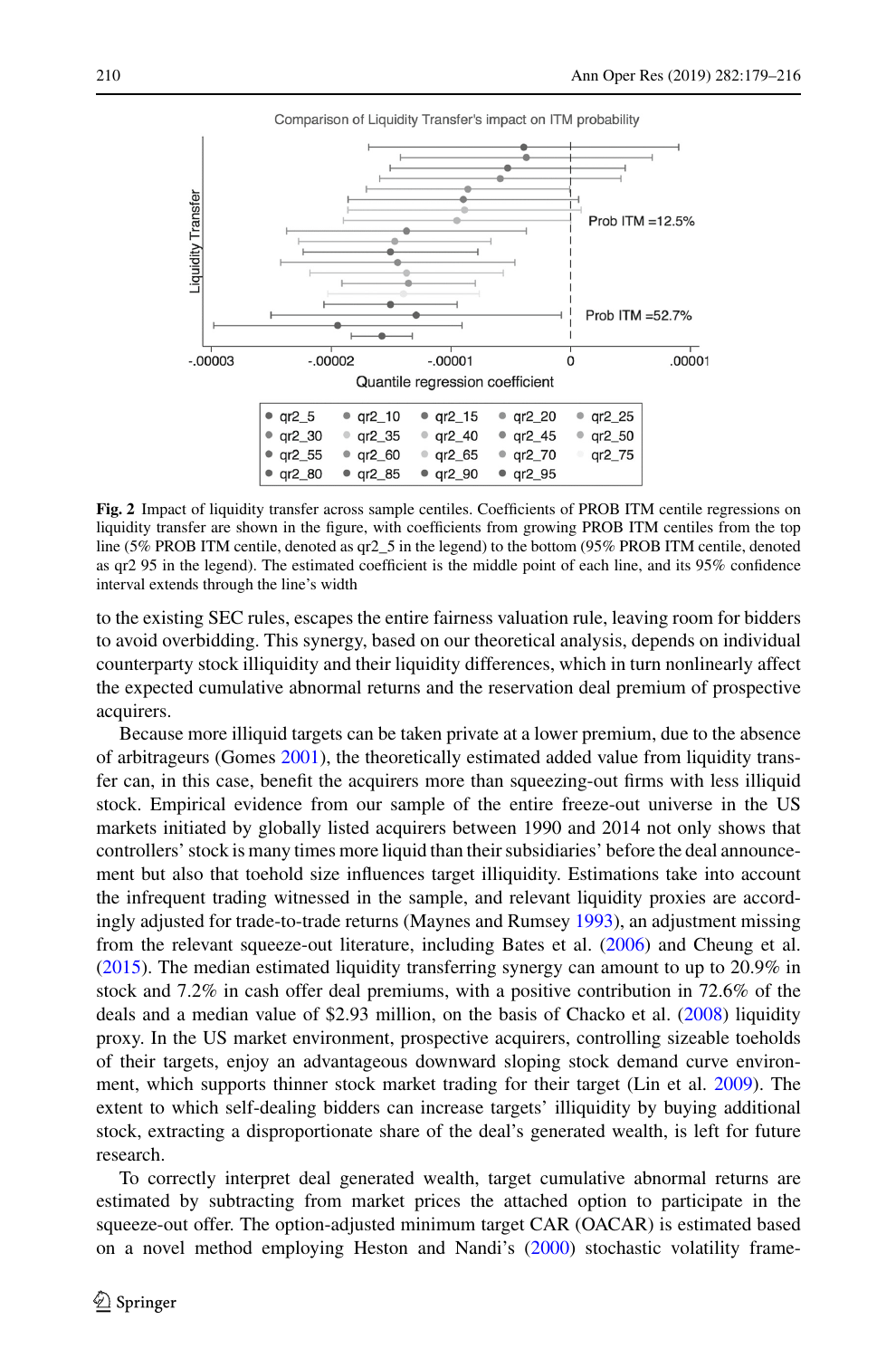

Comparison of Liquidity Transfer's impact on ITM probability

<span id="page-31-0"></span>**Fig. 2** Impact of liquidity transfer across sample centiles. Coefficients of PROB ITM centile regressions on liquidity transfer are shown in the figure, with coefficients from growing PROB ITM centiles from the top line (5% PROB ITM centile, denoted as qr2\_5 in the legend) to the bottom (95% PROB ITM centile, denoted as qr2 95 in the legend). The estimated coefficient is the middle point of each line, and its 95% confidence interval extends through the line's width

to the existing SEC rules, escapes the entire fairness valuation rule, leaving room for bidders to avoid overbidding. This synergy, based on our theoretical analysis, depends on individual counterparty stock illiquidity and their liquidity differences, which in turn nonlinearly affect the expected cumulative abnormal returns and the reservation deal premium of prospective acquirers.

Because more illiquid targets can be taken private at a lower premium, due to the absence of arbitrageurs (Gomes [2001\)](#page-35-8), the theoretically estimated added value from liquidity transfer can, in this case, benefit the acquirers more than squeezing-out firms with less illiquid stock. Empirical evidence from our sample of the entire freeze-out universe in the US markets initiated by globally listed acquirers between 1990 and 2014 not only shows that controllers' stock is many times more liquid than their subsidiaries' before the deal announcement but also that toehold size influences target illiquidity. Estimations take into account the infrequent trading witnessed in the sample, and relevant liquidity proxies are accordingly adjusted for trade-to-trade returns (Maynes and Rumsey [1993\)](#page-36-4), an adjustment missing from the relevant squeeze-out literature, including Bates et al. [\(2006\)](#page-34-1) and Cheung et al. [\(2015\)](#page-35-27). The median estimated liquidity transferring synergy can amount to up to 20.9% in stock and 7.2% in cash offer deal premiums, with a positive contribution in 72.6% of the deals and a median value of \$2.93 million, on the basis of Chacko et al. [\(2008\)](#page-35-17) liquidity proxy. In the US market environment, prospective acquirers, controlling sizeable toeholds of their targets, enjoy an advantageous downward sloping stock demand curve environment, which supports thinner stock market trading for their target (Lin et al. [2009\)](#page-36-28). The extent to which self-dealing bidders can increase targets' illiquidity by buying additional stock, extracting a disproportionate share of the deal's generated wealth, is left for future research.

To correctly interpret deal generated wealth, target cumulative abnormal returns are estimated by subtracting from market prices the attached option to participate in the squeeze-out offer. The option-adjusted minimum target CAR (OACAR) is estimated based on a novel method employing Heston and Nandi's [\(2000\)](#page-36-6) stochastic volatility frame-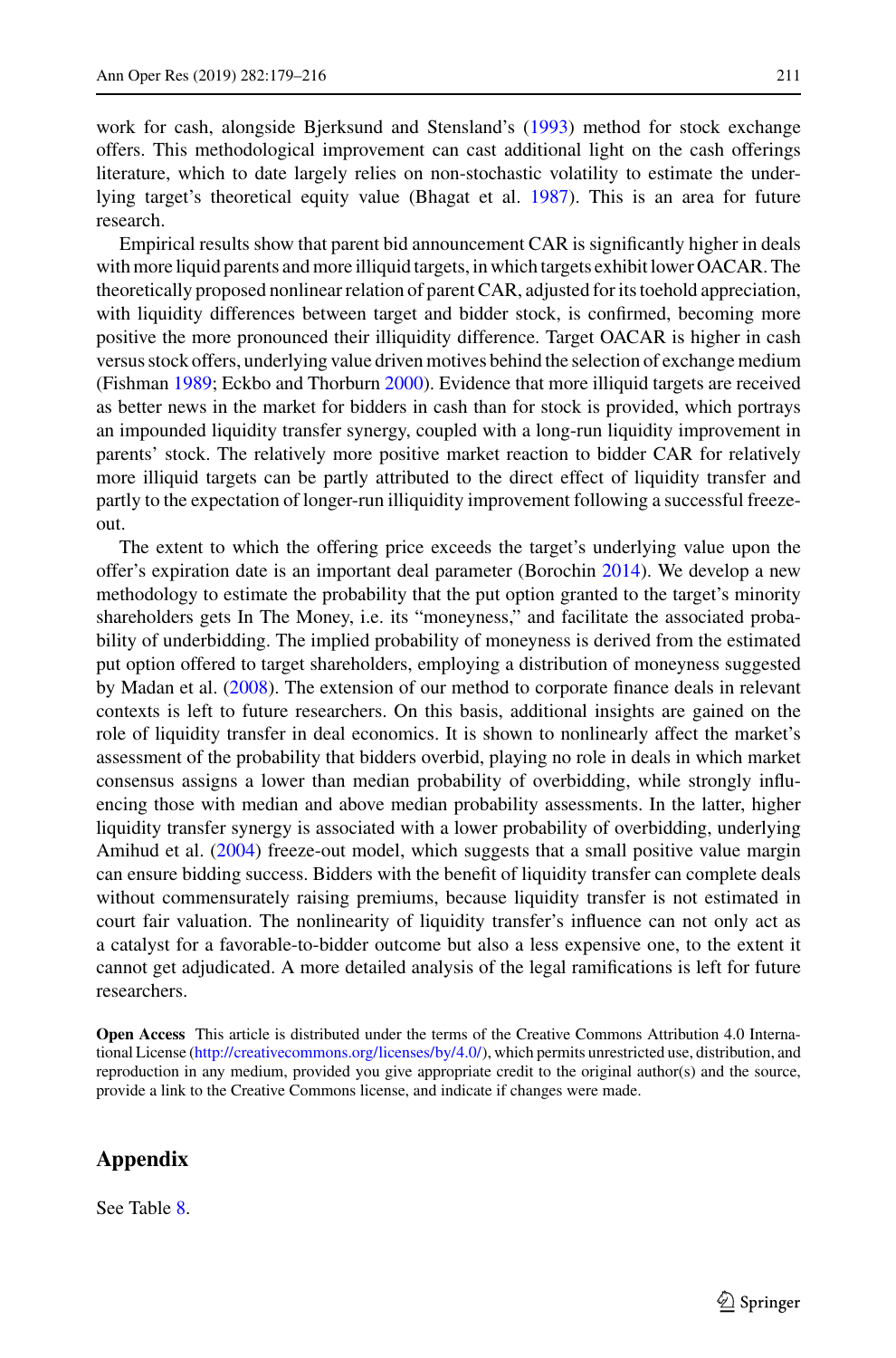Empirical results show that parent bid announcement CAR is significantly higher in deals with more liquid parents and more illiquid targets, in which targets exhibit lower OACAR. The theoretically proposed nonlinear relation of parent CAR, adjusted for its toehold appreciation, with liquidity differences between target and bidder stock, is confirmed, becoming more positive the more pronounced their illiquidity difference. Target OACAR is higher in cash versus stock offers, underlying value driven motives behind the selection of exchange medium (Fishman [1989;](#page-35-25) Eckbo and Thorburn [2000\)](#page-35-26). Evidence that more illiquid targets are received as better news in the market for bidders in cash than for stock is provided, which portrays an impounded liquidity transfer synergy, coupled with a long-run liquidity improvement in parents' stock. The relatively more positive market reaction to bidder CAR for relatively more illiquid targets can be partly attributed to the direct effect of liquidity transfer and partly to the expectation of longer-run illiquidity improvement following a successful freezeout.

The extent to which the offering price exceeds the target's underlying value upon the offer's expiration date is an important deal parameter (Borochin [2014\)](#page-35-20). We develop a new methodology to estimate the probability that the put option granted to the target's minority shareholders gets In The Money, i.e. its "moneyness," and facilitate the associated probability of underbidding. The implied probability of moneyness is derived from the estimated put option offered to target shareholders, employing a distribution of moneyness suggested by Madan et al. [\(2008\)](#page-36-7). The extension of our method to corporate finance deals in relevant contexts is left to future researchers. On this basis, additional insights are gained on the role of liquidity transfer in deal economics. It is shown to nonlinearly affect the market's assessment of the probability that bidders overbid, playing no role in deals in which market consensus assigns a lower than median probability of overbidding, while strongly influencing those with median and above median probability assessments. In the latter, higher liquidity transfer synergy is associated with a lower probability of overbidding, underlying Amihud et al. [\(2004\)](#page-34-2) freeze-out model, which suggests that a small positive value margin can ensure bidding success. Bidders with the benefit of liquidity transfer can complete deals without commensurately raising premiums, because liquidity transfer is not estimated in court fair valuation. The nonlinearity of liquidity transfer's influence can not only act as a catalyst for a favorable-to-bidder outcome but also a less expensive one, to the extent it cannot get adjudicated. A more detailed analysis of the legal ramifications is left for future researchers.

**Open Access** This article is distributed under the terms of the Creative Commons Attribution 4.0 International License [\(http://creativecommons.org/licenses/by/4.0/\)](http://creativecommons.org/licenses/by/4.0/), which permits unrestricted use, distribution, and reproduction in any medium, provided you give appropriate credit to the original author(s) and the source, provide a link to the Creative Commons license, and indicate if changes were made.

## **Appendix**

See Table [8.](#page-33-0)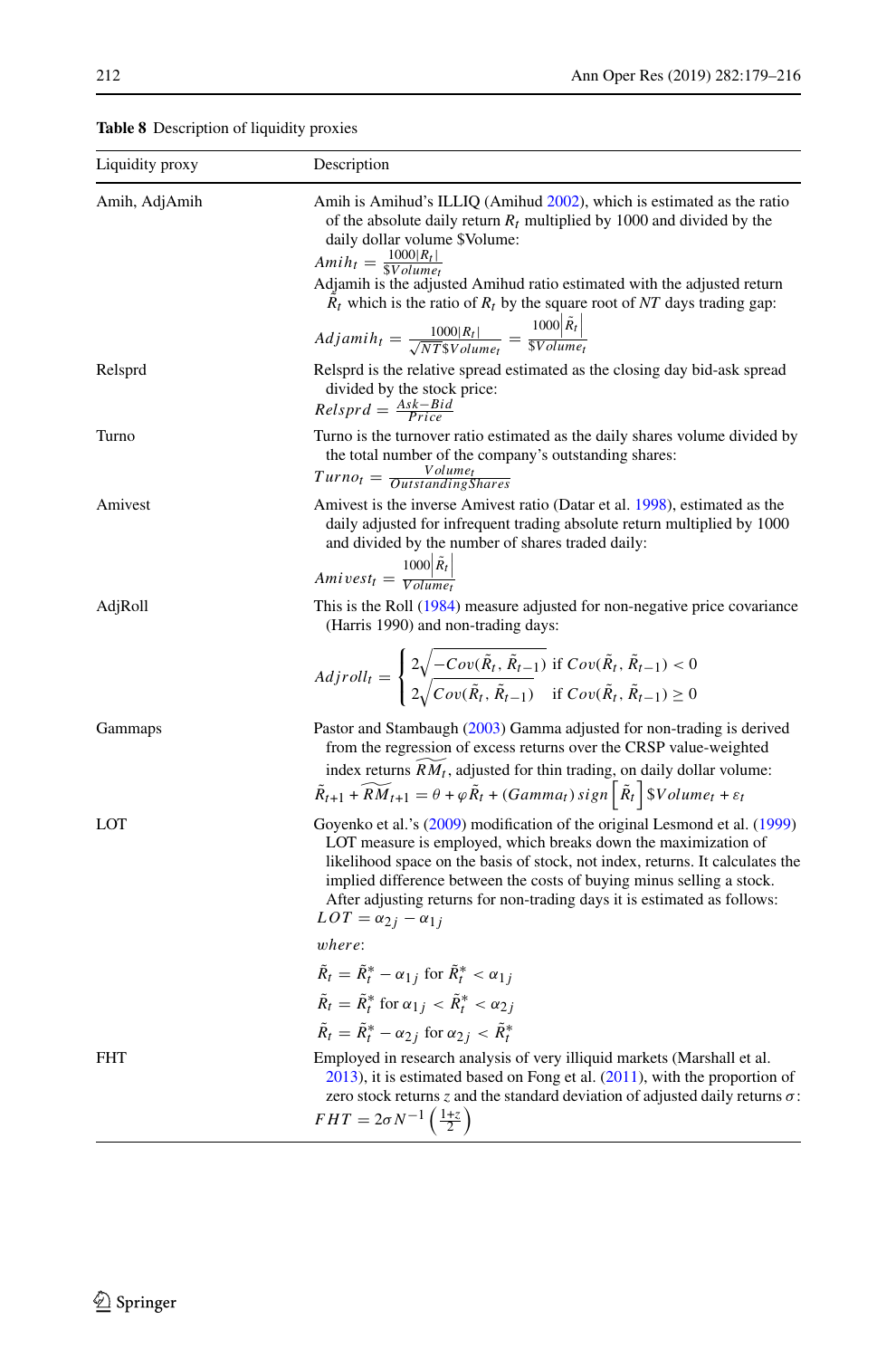<span id="page-33-0"></span>**Table 8** Description of liquidity proxies

| Liquidity proxy | Description                                                                                                                                                                                                                                                                                                                                                                                                             |
|-----------------|-------------------------------------------------------------------------------------------------------------------------------------------------------------------------------------------------------------------------------------------------------------------------------------------------------------------------------------------------------------------------------------------------------------------------|
| Amih, AdjAmih   | Amih is Amihud's ILLIQ (Amihud 2002), which is estimated as the ratio<br>of the absolute daily return $R_t$ multiplied by 1000 and divided by the<br>daily dollar volume \$Volume:<br>$Amih_t = \frac{1000 R_t }{\$Volume_t}$<br>Adjamih is the adjusted Amihud ratio estimated with the adjusted return                                                                                                                |
|                 | $\tilde{R}_t$ which is the ratio of $R_t$ by the square root of NT days trading gap:<br>$Adjamih_t = \frac{1000 R_t }{\sqrt{NT}$ \$Volume <sub>t</sub> $= \frac{1000 \tilde{R}_t }{\sqrt{V}dt}$                                                                                                                                                                                                                         |
| Relsprd         | Relsprd is the relative spread estimated as the closing day bid-ask spread<br>divided by the stock price:<br>$Relsprd = \frac{Ask-Bid}{Price}$                                                                                                                                                                                                                                                                          |
| Turno           | Turno is the turnover ratio estimated as the daily shares volume divided by<br>the total number of the company's outstanding shares:<br>$Turno_t = \frac{Volume_t}{OutstandingShares}$                                                                                                                                                                                                                                  |
| Amivest         | Amivest is the inverse Amivest ratio (Datar et al. 1998), estimated as the<br>daily adjusted for infrequent trading absolute return multiplied by 1000<br>and divided by the number of shares traded daily:<br>$Amivest_t = \frac{1000\left \tilde{R}_t\right }{Volum_e}$                                                                                                                                               |
| AdjRoll         | This is the Roll (1984) measure adjusted for non-negative price covariance<br>(Harris 1990) and non-trading days:                                                                                                                                                                                                                                                                                                       |
|                 | $Adjroll_t = \begin{cases} 2\sqrt{-Cov(\tilde{R}_t, \tilde{R}_{t-1})} & \text{if } Cov(\tilde{R}_t, \tilde{R}_{t-1}) < 0 \\ 2\sqrt{Cov(\tilde{R}_t, \tilde{R}_{t-1})} & \text{if } Cov(\tilde{R}_t, \tilde{R}_{t-1}) \ge 0 \end{cases}$                                                                                                                                                                                 |
| Gammaps         | Pastor and Stambaugh (2003) Gamma adjusted for non-trading is derived<br>from the regression of excess returns over the CRSP value-weighted<br>index returns $\widetilde{RM}_t$ , adjusted for thin trading, on daily dollar volume:<br>$\widetilde{R}_{t+1} + \widetilde{RM}_{t+1} = \theta + \varphi \widetilde{R}_t + (Gamma_t) sign \left[ \widetilde{R}_t \right] \$Volume_t + \varepsilon_t$                      |
| LOT             | Goyenko et al.'s (2009) modification of the original Lesmond et al. (1999)<br>LOT measure is employed, which breaks down the maximization of<br>likelihood space on the basis of stock, not index, returns. It calculates the<br>implied difference between the costs of buying minus selling a stock.<br>After adjusting returns for non-trading days it is estimated as follows:<br>$LOT = \alpha_{2i} - \alpha_{1i}$ |
|                 | where:                                                                                                                                                                                                                                                                                                                                                                                                                  |
|                 | $\tilde{R}_t = \tilde{R}_t^* - \alpha_{1i}$ for $\tilde{R}_t^* < \alpha_{1i}$                                                                                                                                                                                                                                                                                                                                           |
|                 | $\tilde{R}_t = \tilde{R}_t^*$ for $\alpha_{1i} < \tilde{R}_t^* < \alpha_{2i}$                                                                                                                                                                                                                                                                                                                                           |
|                 | $\tilde{R}_t = \tilde{R}_t^* - \alpha_{2i}$ for $\alpha_{2i} < \tilde{R}_t^*$                                                                                                                                                                                                                                                                                                                                           |
| FHT             | Employed in research analysis of very illiquid markets (Marshall et al.<br>$(2013)$ , it is estimated based on Fong et al. $(2011)$ , with the proportion of<br>zero stock returns z and the standard deviation of adjusted daily returns $\sigma$ :<br>$FHT = 2\sigma N^{-1}\left(\frac{1+z}{2}\right)$                                                                                                                |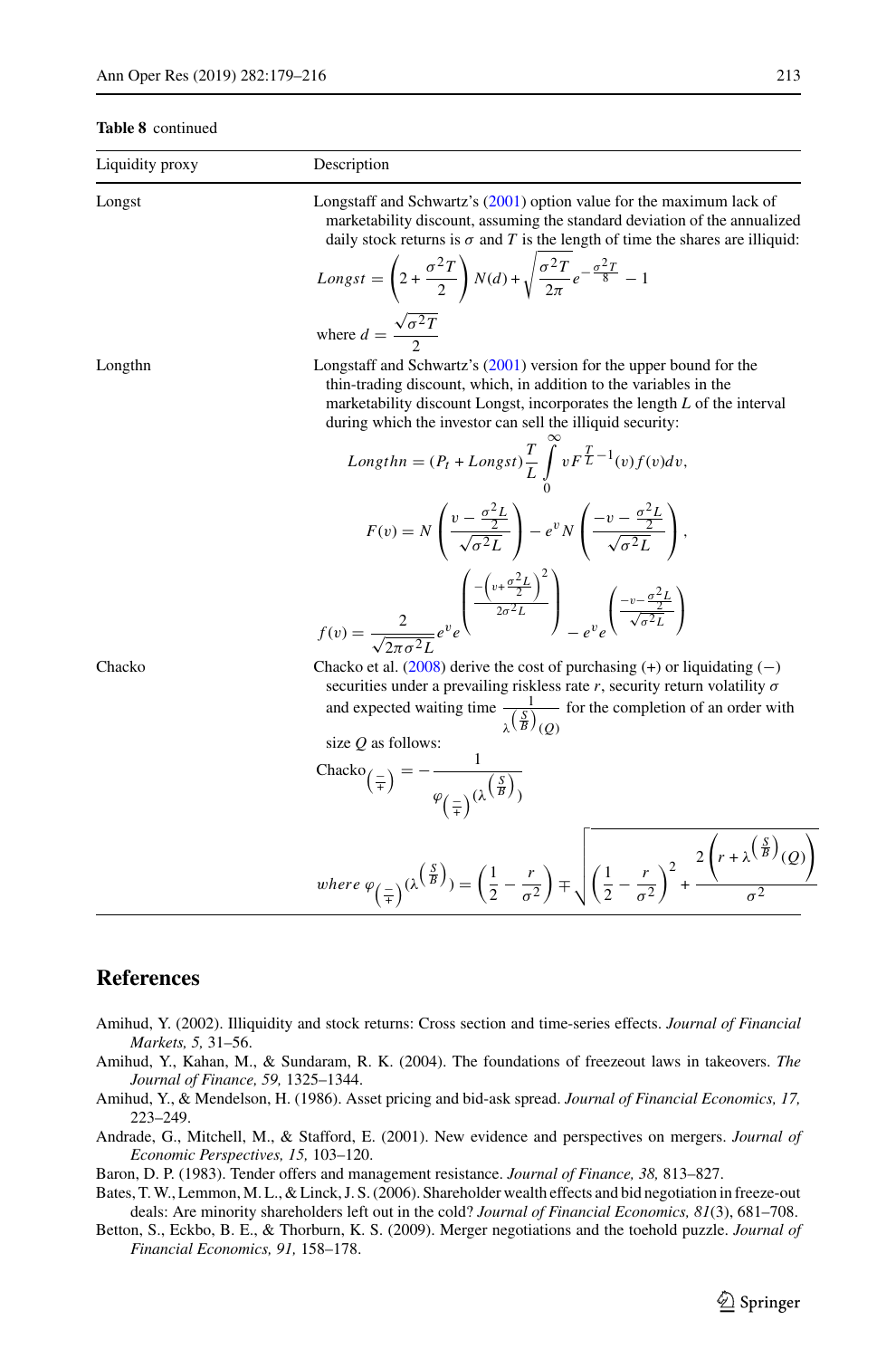| Liquidity proxy   | Description                                                                                                                                                                                                                                                                         |
|-------------------|-------------------------------------------------------------------------------------------------------------------------------------------------------------------------------------------------------------------------------------------------------------------------------------|
| Longst            | Longstaff and Schwartz's $(2001)$ option value for the maximum lack of<br>marketability discount, assuming the standard deviation of the annualized<br>daily stock returns is $\sigma$ and T is the length of time the shares are illiquid:                                         |
|                   | $Longst = \left(2+\frac{\sigma^2 T}{2}\right)N(d) + \sqrt{\frac{\sigma^2 T}{2\pi}}e^{-\frac{\sigma^2 T}{8}} - 1$                                                                                                                                                                    |
|                   | where $d = \frac{\sqrt{\sigma^2 T}}{2}$                                                                                                                                                                                                                                             |
| Longthn           | Longstaff and Schwartz's $(2001)$ version for the upper bound for the<br>thin-trading discount, which, in addition to the variables in the<br>marketability discount Longst, incorporates the length L of the interval<br>during which the investor can sell the illiquid security: |
|                   | $Longth n = (P_t + Longst) \frac{T}{L} \int_{0}^{\infty} v F^{\frac{T}{L}-1}(v) f(v) dv,$                                                                                                                                                                                           |
|                   | $F(v) = N\left(\frac{v - \frac{\sigma^2 L}{2}}{\sqrt{\sigma^2 L}}\right) - e^v N\left(\frac{-v - \frac{\sigma^2 L}{2}}{\sqrt{\sigma^2 L}}\right),\right.$                                                                                                                           |
|                   | $f(v) = \frac{2}{\sqrt{2\pi-2T}}e^v e^v \left(\frac{-\left(v+\frac{\sigma^2L}{2}\right)^2}{2\sigma^2L}\right)_{v=\frac{v}{2}} e^v e^{\left(\frac{-v-\frac{\sigma^2L}{2}}{\sqrt{\sigma^2L}}\right)}$                                                                                 |
| Chacko            | Chacko et al. $(2008)$ derive the cost of purchasing (+) or liquidating (-)<br>securities under a prevailing riskless rate $r$ , security return volatility $\sigma$<br>and expected waiting time $\frac{1}{\sqrt{\frac{S}{B}}}\$ for the completion of an order with               |
|                   | size $Q$ as follows:                                                                                                                                                                                                                                                                |
|                   | Chacko $\left(\frac{1}{\mp}\right) = -\frac{1}{\varphi_{\left(\frac{1}{\mp}\right)}(\lambda^{\left(\frac{S}{B}\right)})}$                                                                                                                                                           |
|                   |                                                                                                                                                                                                                                                                                     |
|                   | where $\varphi_{\left(\frac{1}{\pi}\right)}(\lambda^{\left(\frac{S}{B}\right)}) = \left(\frac{1}{2} - \frac{r}{\sigma^2}\right) \mp \sqrt{\left(\frac{1}{2} - \frac{r}{\sigma^2}\right)^2 + \frac{2\left(r + \lambda^{\left(\frac{S}{B}\right)}(Q)\right)}{\sigma^2}}$              |
|                   |                                                                                                                                                                                                                                                                                     |
| <b>References</b> |                                                                                                                                                                                                                                                                                     |

- <span id="page-34-5"></span><span id="page-34-2"></span>*Markets, 5,* 31–56. Amihud, Y., Kahan, M., & Sundaram, R. K. (2004). The foundations of freezeout laws in takeovers. *The Journal of Finance, 59,* 1325–1344.
- <span id="page-34-0"></span>Amihud, Y., & Mendelson, H. (1986). Asset pricing and bid-ask spread. *Journal of Financial Economics, 17,* 223–249.

<span id="page-34-3"></span>Andrade, G., Mitchell, M., & Stafford, E. (2001). New evidence and perspectives on mergers. *Journal of Economic Perspectives, 15,* 103–120.

<span id="page-34-4"></span>Baron, D. P. (1983). Tender offers and management resistance. *Journal of Finance, 38,* 813–827.

<span id="page-34-1"></span>Bates, T.W., Lemmon, M. L., & Linck, J. S. (2006). Shareholder wealth effects and bid negotiation in freeze-out deals: Are minority shareholders left out in the cold? *Journal of Financial Economics, 81*(3), 681–708.

Betton, S., Eckbo, B. E., & Thorburn, K. S. (2009). Merger negotiations and the toehold puzzle. *Journal of Financial Economics, 91,* 158–178.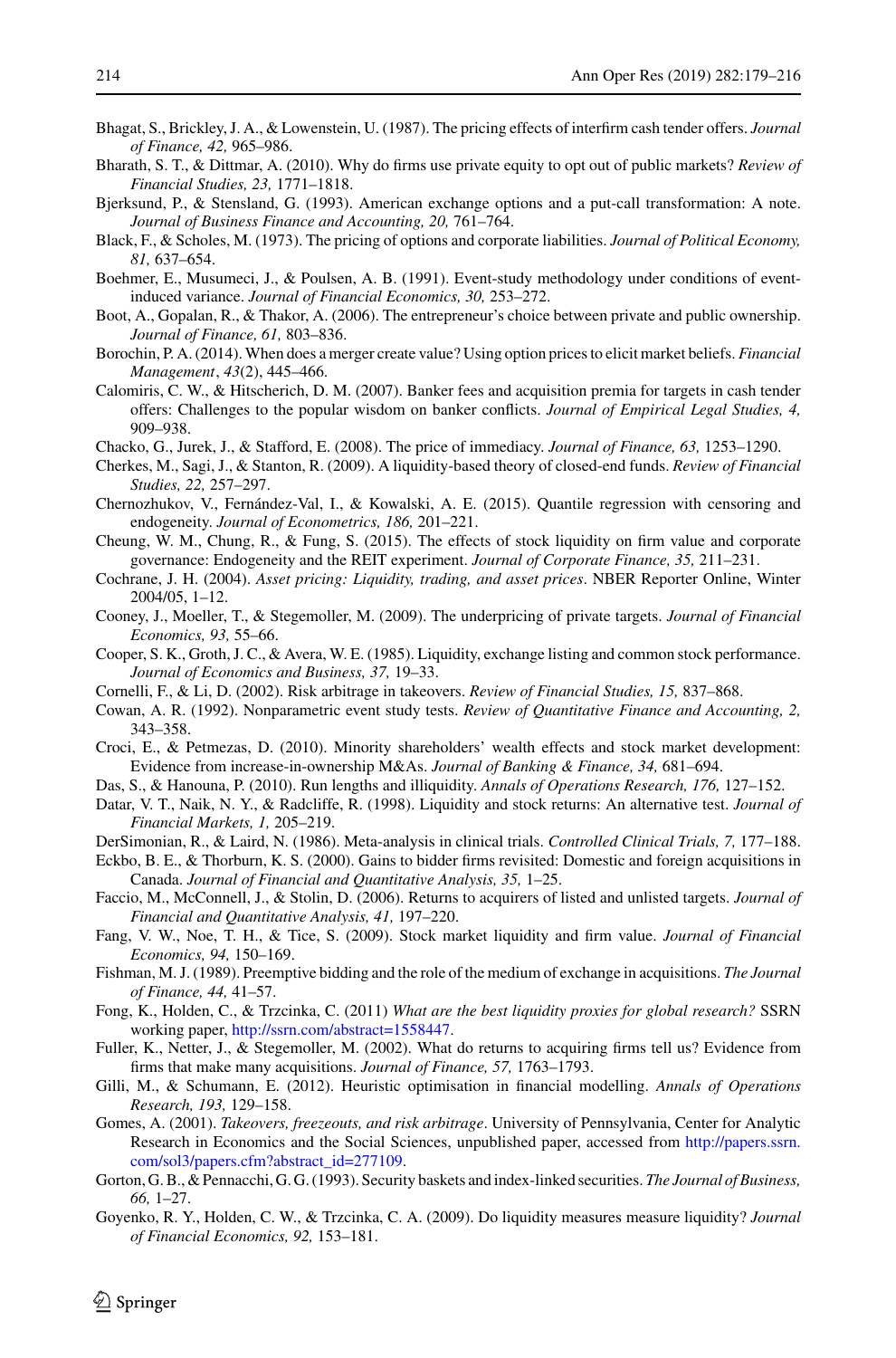- <span id="page-35-2"></span>Bhagat, S., Brickley, J. A., & Lowenstein, U. (1987). The pricing effects of interfirm cash tender offers. *Journal of Finance, 42,* 965–986.
- <span id="page-35-21"></span>Bharath, S. T., & Dittmar, A. (2010). Why do firms use private equity to opt out of public markets? *Review of Financial Studies, 23,* 1771–1818.
- <span id="page-35-3"></span>Bjerksund, P., & Stensland, G. (1993). American exchange options and a put-call transformation: A note. *Journal of Business Finance and Accounting, 20,* 761–764.
- <span id="page-35-18"></span>Black, F., & Scholes, M. (1973). The pricing of options and corporate liabilities. *Journal of Political Economy, 81,* 637–654.
- Boehmer, E., Musumeci, J., & Poulsen, A. B. (1991). Event-study methodology under conditions of eventinduced variance. *Journal of Financial Economics, 30,* 253–272.
- <span id="page-35-7"></span>Boot, A., Gopalan, R., & Thakor, A. (2006). The entrepreneur's choice between private and public ownership. *Journal of Finance, 61,* 803–836.
- <span id="page-35-20"></span>Borochin, P. A. (2014). When does a merger create value? Using option prices to elicit market beliefs. *Financial Management*, *43*(2), 445–466.
- <span id="page-35-22"></span>Calomiris, C. W., & Hitscherich, D. M. (2007). Banker fees and acquisition premia for targets in cash tender offers: Challenges to the popular wisdom on banker conflicts. *Journal of Empirical Legal Studies, 4,* 909–938.
- <span id="page-35-17"></span>Chacko, G., Jurek, J., & Stafford, E. (2008). The price of immediacy. *Journal of Finance, 63,* 1253–1290.
- <span id="page-35-11"></span>Cherkes, M., Sagi, J., & Stanton, R. (2009). A liquidity-based theory of closed-end funds. *Review of Financial Studies, 22,* 257–297.
- Chernozhukov, V., Fernández-Val, I., & Kowalski, A. E. (2015). Quantile regression with censoring and endogeneity. *Journal of Econometrics, 186,* 201–221.
- <span id="page-35-27"></span>Cheung, W. M., Chung, R., & Fung, S. (2015). The effects of stock liquidity on firm value and corporate governance: Endogeneity and the REIT experiment. *Journal of Corporate Finance, 35,* 211–231.
- <span id="page-35-10"></span>Cochrane, J. H. (2004). *Asset pricing: Liquidity, trading, and asset prices*. NBER Reporter Online, Winter 2004/05, 1–12.
- <span id="page-35-6"></span>Cooney, J., Moeller, T., & Stegemoller, M. (2009). The underpricing of private targets. *Journal of Financial Economics, 93,* 55–66.
- <span id="page-35-12"></span>Cooper, S. K., Groth, J. C., & Avera, W. E. (1985). Liquidity, exchange listing and common stock performance. *Journal of Economics and Business, 37,* 19–33.
- <span id="page-35-9"></span>Cornelli, F., & Li, D. (2002). Risk arbitrage in takeovers. *Review of Financial Studies, 15,* 837–868.
- <span id="page-35-24"></span>Cowan, A. R. (1992). Nonparametric event study tests. *Review of Quantitative Finance and Accounting, 2,* 343–358.
- <span id="page-35-1"></span>Croci, E., & Petmezas, D. (2010). Minority shareholders' wealth effects and stock market development: Evidence from increase-in-ownership M&As. *Journal of Banking & Finance, 34,* 681–694.
- <span id="page-35-14"></span>Das, S., & Hanouna, P. (2010). Run lengths and illiquidity. *Annals of Operations Research, 176,* 127–152.
- <span id="page-35-16"></span>Datar, V. T., Naik, N. Y., & Radcliffe, R. (1998). Liquidity and stock returns: An alternative test. *Journal of Financial Markets, 1,* 205–219.
- <span id="page-35-23"></span>DerSimonian, R., & Laird, N. (1986). Meta-analysis in clinical trials. *Controlled Clinical Trials, 7,* 177–188.
- <span id="page-35-26"></span>Eckbo, B. E., & Thorburn, K. S. (2000). Gains to bidder firms revisited: Domestic and foreign acquisitions in Canada. *Journal of Financial and Quantitative Analysis, 35,* 1–25.
- <span id="page-35-4"></span>Faccio, M., McConnell, J., & Stolin, D. (2006). Returns to acquirers of listed and unlisted targets. *Journal of Financial and Quantitative Analysis, 41,* 197–220.
- <span id="page-35-0"></span>Fang, V. W., Noe, T. H., & Tice, S. (2009). Stock market liquidity and firm value. *Journal of Financial Economics, 94,* 150–169.
- <span id="page-35-25"></span>Fishman, M. J. (1989). Preemptive bidding and the role of the medium of exchange in acquisitions. *The Journal of Finance, 44,* 41–57.
- <span id="page-35-15"></span>Fong, K., Holden, C., & Trzcinka, C. (2011) *What are the best liquidity proxies for global research?* SSRN working paper, [http://ssrn.com/abstract=1558447.](http://ssrn.com/abstract=1558447)
- <span id="page-35-5"></span>Fuller, K., Netter, J., & Stegemoller, M. (2002). What do returns to acquiring firms tell us? Evidence from firms that make many acquisitions. *Journal of Finance, 57,* 1763–1793.
- <span id="page-35-19"></span>Gilli, M., & Schumann, E. (2012). Heuristic optimisation in financial modelling. *Annals of Operations Research, 193,* 129–158.
- <span id="page-35-8"></span>Gomes, A. (2001). *Takeovers, freezeouts, and risk arbitrage*. University of Pennsylvania, Center for Analytic [Research in Economics and the Social Sciences, unpublished paper, accessed from](http://papers.ssrn.com/sol3/papers.cfm%3fabstract_id%3d277109) http://papers.ssrn. com/sol3/papers.cfm?abstract\_id=277109.
- Gorton, G. B., & Pennacchi, G. G. (1993). Security baskets and index-linked securities. *The Journal of Business, 66,* 1–27.
- <span id="page-35-13"></span>Goyenko, R. Y., Holden, C. W., & Trzcinka, C. A. (2009). Do liquidity measures measure liquidity? *Journal of Financial Economics, 92,* 153–181.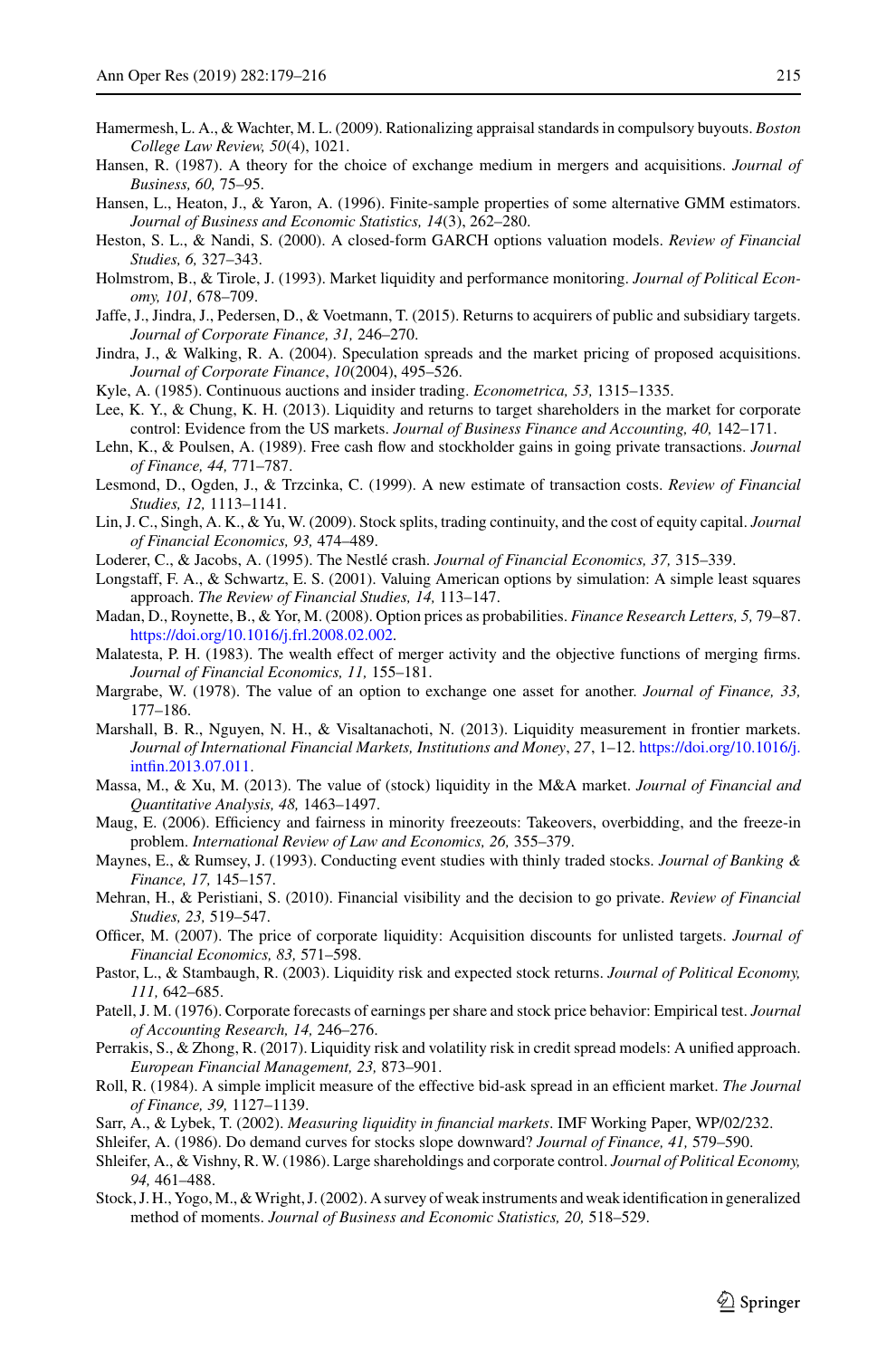- <span id="page-36-8"></span>Hamermesh, L. A., & Wachter, M. L. (2009). Rationalizing appraisal standards in compulsory buyouts. *Boston College Law Review, 50*(4), 1021.
- <span id="page-36-25"></span>Hansen, R. (1987). A theory for the choice of exchange medium in mergers and acquisitions. *Journal of Business, 60,* 75–95.
- <span id="page-36-26"></span>Hansen, L., Heaton, J., & Yaron, A. (1996). Finite-sample properties of some alternative GMM estimators. *Journal of Business and Economic Statistics, 14*(3), 262–280.
- <span id="page-36-6"></span>Heston, S. L., & Nandi, S. (2000). A closed-form GARCH options valuation models. *Review of Financial Studies, 6,* 327–343.
- <span id="page-36-10"></span>Holmstrom, B., & Tirole, J. (1993). Market liquidity and performance monitoring. *Journal of Political Economy, 101,* 678–709.
- <span id="page-36-0"></span>Jaffe, J., Jindra, J., Pedersen, D., & Voetmann, T. (2015). Returns to acquirers of public and subsidiary targets. *Journal of Corporate Finance, 31,* 246–270.
- <span id="page-36-11"></span>Jindra, J., & Walking, R. A. (2004). Speculation spreads and the market pricing of proposed acquisitions. *Journal of Corporate Finance*, *10*(2004), 495–526.
- <span id="page-36-18"></span>Kyle, A. (1985). Continuous auctions and insider trading. *Econometrica, 53,* 1315–1335.
- <span id="page-36-16"></span>Lee, K. Y., & Chung, K. H. (2013). Liquidity and returns to target shareholders in the market for corporate control: Evidence from the US markets. *Journal of Business Finance and Accounting, 40,* 142–171.
- <span id="page-36-24"></span>Lehn, K., & Poulsen, A. (1989). Free cash flow and stockholder gains in going private transactions. *Journal of Finance, 44,* 771–787.
- <span id="page-36-21"></span>Lesmond, D., Ogden, J., & Trzcinka, C. (1999). A new estimate of transaction costs. *Review of Financial Studies, 12,* 1113–1141.
- <span id="page-36-28"></span>Lin, J. C., Singh, A. K., & Yu, W. (2009). Stock splits, trading continuity, and the cost of equity capital. *Journal of Financial Economics, 93,* 474–489.
- <span id="page-36-14"></span>Loderer, C., & Jacobs, A. (1995). The Nestlé crash. *Journal of Financial Economics, 37,* 315–339.
- <span id="page-36-22"></span>Longstaff, F. A., & Schwartz, E. S. (2001). Valuing American options by simulation: A simple least squares approach. *The Review of Financial Studies, 14,* 113–147.
- <span id="page-36-7"></span>Madan, D., Roynette, B., & Yor, M. (2008). Option prices as probabilities. *Finance Research Letters, 5,* 79–87. [https://doi.org/10.1016/j.frl.2008.02.002.](https://doi.org/10.1016/j.frl.2008.02.002)
- <span id="page-36-5"></span>Malatesta, P. H. (1983). The wealth effect of merger activity and the objective functions of merging firms. *Journal of Financial Economics, 11,* 155–181.
- <span id="page-36-23"></span>Margrabe, W. (1978). The value of an option to exchange one asset for another. *Journal of Finance, 33,* 177–186.
- <span id="page-36-29"></span>Marshall, B. R., Nguyen, N. H., & Visaltanachoti, N. (2013). Liquidity measurement in frontier markets. *[Journal of International Financial Markets, Institutions and Money](https://doi.org/10.1016/j.intfin.2013.07.011)*, *27*, 1–12. https://doi.org/10.1016/j. intfin.2013.07.011.
- <span id="page-36-1"></span>Massa, M., & Xu, M. (2013). The value of (stock) liquidity in the M&A market. *Journal of Financial and Quantitative Analysis, 48,* 1463–1497.
- <span id="page-36-13"></span>Maug, E. (2006). Efficiency and fairness in minority freezeouts: Takeovers, overbidding, and the freeze-in problem. *International Review of Law and Economics, 26,* 355–379.
- <span id="page-36-4"></span>Maynes, E., & Rumsey, J. (1993). Conducting event studies with thinly traded stocks. *Journal of Banking & Finance, 17,* 145–157.
- <span id="page-36-9"></span>Mehran, H., & Peristiani, S. (2010). Financial visibility and the decision to go private. *Review of Financial Studies, 23,* 519–547.
- <span id="page-36-2"></span>Officer, M. (2007). The price of corporate liquidity: Acquisition discounts for unlisted targets. *Journal of Financial Economics, 83,* 571–598.
- <span id="page-36-19"></span>Pastor, L., & Stambaugh, R. (2003). Liquidity risk and expected stock returns. *Journal of Political Economy, 111,* 642–685.
- Patell, J. M. (1976). Corporate forecasts of earnings per share and stock price behavior: Empirical test. *Journal of Accounting Research, 14,* 246–276.
- <span id="page-36-17"></span>Perrakis, S., & Zhong, R. (2017). Liquidity risk and volatility risk in credit spread models: A unified approach. *European Financial Management, 23,* 873–901.
- <span id="page-36-20"></span>Roll, R. (1984). A simple implicit measure of the effective bid-ask spread in an efficient market. *The Journal of Finance, 39,* 1127–1139.
- <span id="page-36-3"></span>Sarr, A., & Lybek, T. (2002). *Measuring liquidity in financial markets*. IMF Working Paper, WP/02/232.
- <span id="page-36-15"></span>Shleifer, A. (1986). Do demand curves for stocks slope downward? *Journal of Finance, 41,* 579–590.
- <span id="page-36-12"></span>Shleifer, A., & Vishny, R. W. (1986). Large shareholdings and corporate control. *Journal of Political Economy, 94,* 461–488.
- <span id="page-36-27"></span>Stock, J. H., Yogo,M., &Wright, J. (2002). A survey of weak instruments and weak identification in generalized method of moments. *Journal of Business and Economic Statistics, 20,* 518–529.